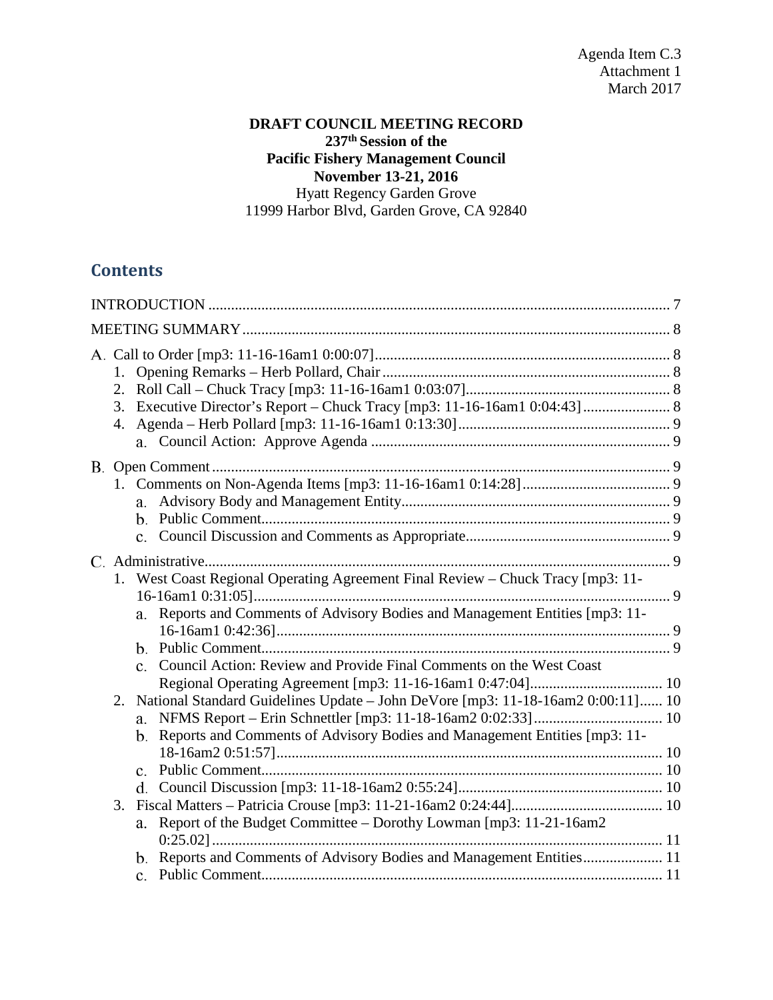### **DRAFT COUNCIL MEETING RECORD 237th Session of the Pacific Fishery Management Council November 13-21, 2016** Hyatt Regency Garden Grove 11999 Harbor Blvd, Garden Grove, CA 92840

# **Contents**

|    | 3. Executive Director's Report - Chuck Tracy [mp3: 11-16-16am1 0:04:43] 8                                                                                                                                                                             |  |
|----|-------------------------------------------------------------------------------------------------------------------------------------------------------------------------------------------------------------------------------------------------------|--|
|    | a.                                                                                                                                                                                                                                                    |  |
|    | West Coast Regional Operating Agreement Final Review - Chuck Tracy [mp3: 11-<br>a. Reports and Comments of Advisory Bodies and Management Entities [mp3: 11-<br>Council Action: Review and Provide Final Comments on the West Coast<br>$\mathbf{c}$ . |  |
| 2. | National Standard Guidelines Update - John DeVore [mp3: 11-18-16am2 0:00:11] 10<br>b. Reports and Comments of Advisory Bodies and Management Entities [mp3: 11-                                                                                       |  |
| 3. | Report of the Budget Committee - Dorothy Lowman [mp3: 11-21-16am2<br>a.<br>b. Reports and Comments of Advisory Bodies and Management Entities 11                                                                                                      |  |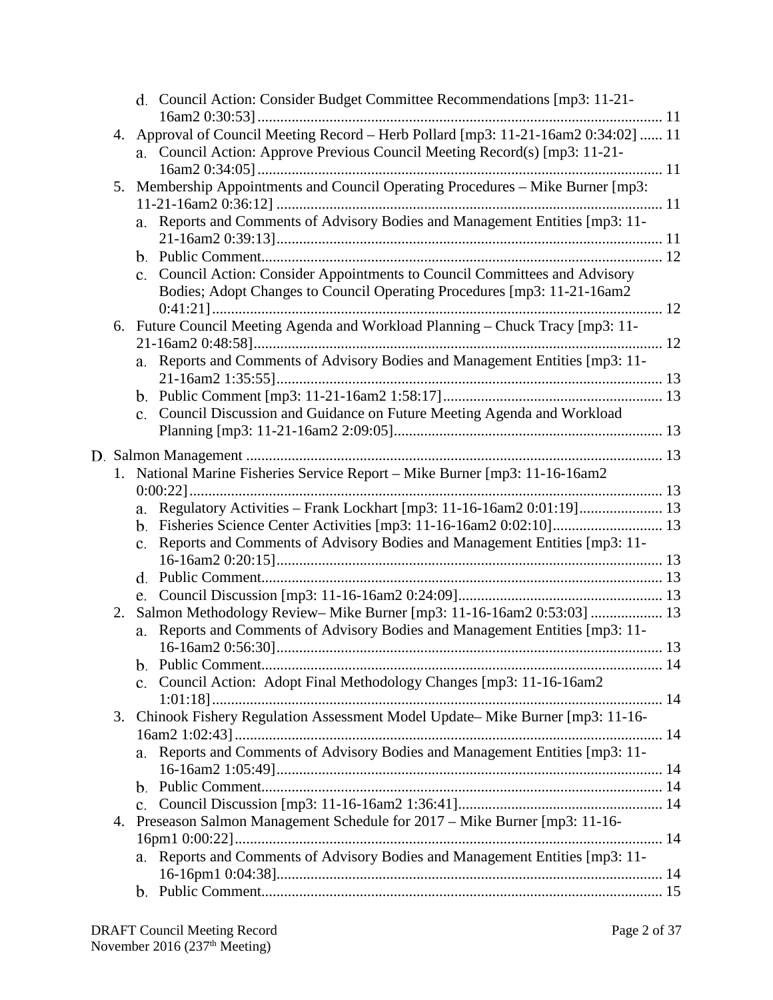|                                                                             |                                                                                     | d. Council Action: Consider Budget Committee Recommendations [mp3: 11-21-       |  |
|-----------------------------------------------------------------------------|-------------------------------------------------------------------------------------|---------------------------------------------------------------------------------|--|
|                                                                             | 4. Approval of Council Meeting Record - Herb Pollard [mp3: 11-21-16am2 0:34:02]  11 |                                                                                 |  |
|                                                                             | a. Council Action: Approve Previous Council Meeting Record(s) [mp3: 11-21-          |                                                                                 |  |
|                                                                             |                                                                                     |                                                                                 |  |
|                                                                             | 5.                                                                                  | Membership Appointments and Council Operating Procedures - Mike Burner [mp3:    |  |
|                                                                             |                                                                                     |                                                                                 |  |
|                                                                             |                                                                                     | Reports and Comments of Advisory Bodies and Management Entities [mp3: 11-<br>a. |  |
|                                                                             |                                                                                     |                                                                                 |  |
|                                                                             |                                                                                     |                                                                                 |  |
|                                                                             |                                                                                     | c. Council Action: Consider Appointments to Council Committees and Advisory     |  |
|                                                                             |                                                                                     | Bodies; Adopt Changes to Council Operating Procedures [mp3: 11-21-16am2         |  |
|                                                                             |                                                                                     |                                                                                 |  |
|                                                                             |                                                                                     | 6. Future Council Meeting Agenda and Workload Planning - Chuck Tracy [mp3: 11-  |  |
|                                                                             |                                                                                     |                                                                                 |  |
|                                                                             |                                                                                     | a. Reports and Comments of Advisory Bodies and Management Entities [mp3: 11-    |  |
|                                                                             |                                                                                     |                                                                                 |  |
|                                                                             |                                                                                     |                                                                                 |  |
|                                                                             |                                                                                     | c. Council Discussion and Guidance on Future Meeting Agenda and Workload        |  |
|                                                                             |                                                                                     |                                                                                 |  |
|                                                                             |                                                                                     |                                                                                 |  |
|                                                                             |                                                                                     |                                                                                 |  |
|                                                                             |                                                                                     | 1. National Marine Fisheries Service Report – Mike Burner [mp3: 11-16-16am2]    |  |
|                                                                             |                                                                                     |                                                                                 |  |
|                                                                             |                                                                                     | a. Regulatory Activities - Frank Lockhart [mp3: 11-16-16am2 0:01:19] 13         |  |
|                                                                             |                                                                                     | b. Fisheries Science Center Activities [mp3: 11-16-16am2 0:02:10] 13            |  |
|                                                                             |                                                                                     | c. Reports and Comments of Advisory Bodies and Management Entities [mp3: 11-    |  |
|                                                                             |                                                                                     |                                                                                 |  |
|                                                                             |                                                                                     |                                                                                 |  |
|                                                                             |                                                                                     |                                                                                 |  |
| Salmon Methodology Review- Mike Burner [mp3: 11-16-16am2 0:53:03]  13<br>2. |                                                                                     | Reports and Comments of Advisory Bodies and Management Entities [mp3: 11-<br>a. |  |
|                                                                             |                                                                                     |                                                                                 |  |
|                                                                             |                                                                                     |                                                                                 |  |
|                                                                             |                                                                                     | Council Action: Adopt Final Methodology Changes [mp3: 11-16-16am2               |  |
|                                                                             |                                                                                     |                                                                                 |  |
|                                                                             |                                                                                     | 3. Chinook Fishery Regulation Assessment Model Update– Mike Burner [mp3: 11-16- |  |
|                                                                             |                                                                                     |                                                                                 |  |
|                                                                             |                                                                                     | Reports and Comments of Advisory Bodies and Management Entities [mp3: 11-       |  |
|                                                                             |                                                                                     |                                                                                 |  |
|                                                                             |                                                                                     |                                                                                 |  |
|                                                                             |                                                                                     |                                                                                 |  |
|                                                                             | 4.                                                                                  | Preseason Salmon Management Schedule for 2017 - Mike Burner [mp3: 11-16-        |  |
|                                                                             |                                                                                     |                                                                                 |  |
|                                                                             |                                                                                     | a. Reports and Comments of Advisory Bodies and Management Entities [mp3: 11-    |  |
|                                                                             |                                                                                     |                                                                                 |  |
|                                                                             |                                                                                     |                                                                                 |  |
|                                                                             |                                                                                     |                                                                                 |  |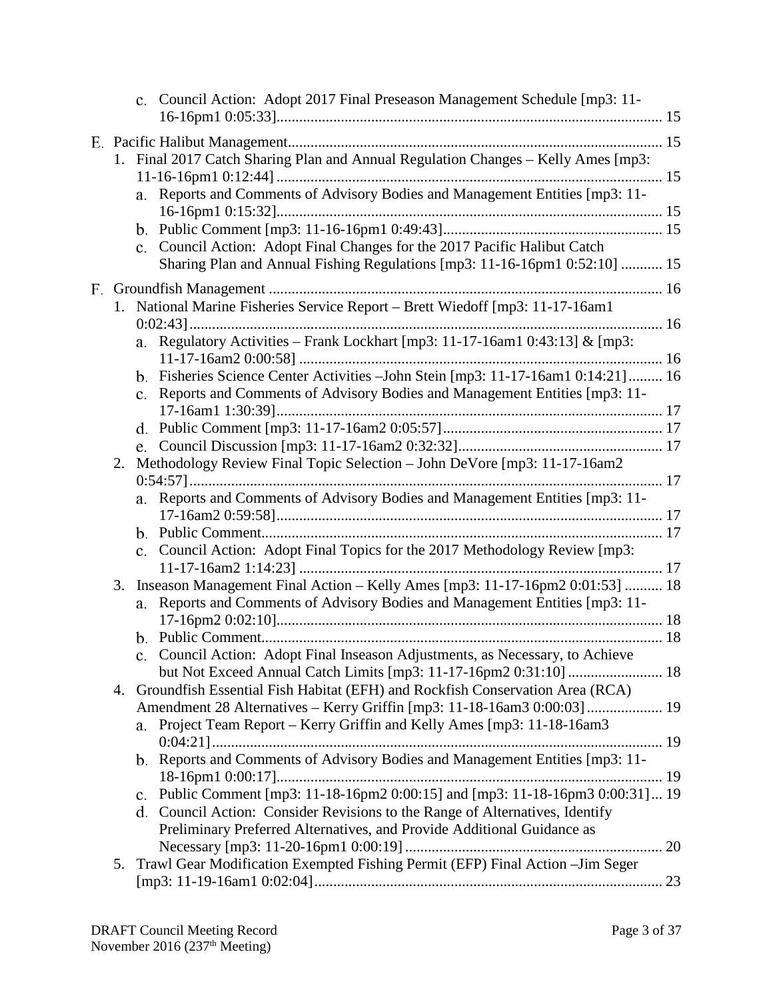|  |    |    | c. Council Action: Adopt 2017 Final Preseason Management Schedule [mp3: 11-                                                                            |  |
|--|----|----|--------------------------------------------------------------------------------------------------------------------------------------------------------|--|
|  |    |    |                                                                                                                                                        |  |
|  |    |    | 1. Final 2017 Catch Sharing Plan and Annual Regulation Changes - Kelly Ames [mp3:                                                                      |  |
|  |    |    | a. Reports and Comments of Advisory Bodies and Management Entities [mp3: 11-                                                                           |  |
|  |    |    |                                                                                                                                                        |  |
|  |    |    | c. Council Action: Adopt Final Changes for the 2017 Pacific Halibut Catch                                                                              |  |
|  |    |    | Sharing Plan and Annual Fishing Regulations [mp3: 11-16-16pm1 0:52:10]  15                                                                             |  |
|  |    |    |                                                                                                                                                        |  |
|  |    |    | 1. National Marine Fisheries Service Report - Brett Wiedoff [mp3: 11-17-16am1                                                                          |  |
|  |    |    | a. Regulatory Activities - Frank Lockhart [mp3: 11-17-16am1 0:43:13] & [mp3:                                                                           |  |
|  |    |    | b. Fisheries Science Center Activities - John Stein [mp3: 11-17-16am1 0:14:21] 16                                                                      |  |
|  |    |    | c. Reports and Comments of Advisory Bodies and Management Entities [mp3: 11-                                                                           |  |
|  |    |    |                                                                                                                                                        |  |
|  |    |    |                                                                                                                                                        |  |
|  | 2. |    | Methodology Review Final Topic Selection - John DeVore [mp3: 11-17-16am2]                                                                              |  |
|  |    |    |                                                                                                                                                        |  |
|  |    |    | a. Reports and Comments of Advisory Bodies and Management Entities [mp3: 11-                                                                           |  |
|  |    |    |                                                                                                                                                        |  |
|  |    |    | c. Council Action: Adopt Final Topics for the 2017 Methodology Review [mp3:                                                                            |  |
|  |    |    |                                                                                                                                                        |  |
|  | 3. |    | Inseason Management Final Action - Kelly Ames [mp3: 11-17-16pm2 0:01:53]  18                                                                           |  |
|  |    | a. | Reports and Comments of Advisory Bodies and Management Entities [mp3: 11-                                                                              |  |
|  |    |    |                                                                                                                                                        |  |
|  |    |    | c. Council Action: Adopt Final Inseason Adjustments, as Necessary, to Achieve                                                                          |  |
|  |    |    |                                                                                                                                                        |  |
|  |    |    | 4. Groundfish Essential Fish Habitat (EFH) and Rockfish Conservation Area (RCA)                                                                        |  |
|  |    |    | Amendment 28 Alternatives - Kerry Griffin [mp3: 11-18-16am3 0:00:03]  19                                                                               |  |
|  |    |    | a. Project Team Report – Kerry Griffin and Kelly Ames [mp3: 11-18-16am3]                                                                               |  |
|  |    |    |                                                                                                                                                        |  |
|  |    |    | b. Reports and Comments of Advisory Bodies and Management Entities [mp3: 11-                                                                           |  |
|  |    |    |                                                                                                                                                        |  |
|  |    |    | c. Public Comment [mp3: 11-18-16pm2 0:00:15] and [mp3: 11-18-16pm3 0:00:31] 19                                                                         |  |
|  |    |    | d. Council Action: Consider Revisions to the Range of Alternatives, Identify<br>Preliminary Preferred Alternatives, and Provide Additional Guidance as |  |
|  |    |    |                                                                                                                                                        |  |
|  |    |    | 5. Trawl Gear Modification Exempted Fishing Permit (EFP) Final Action - Jim Seger                                                                      |  |
|  |    |    |                                                                                                                                                        |  |
|  |    |    |                                                                                                                                                        |  |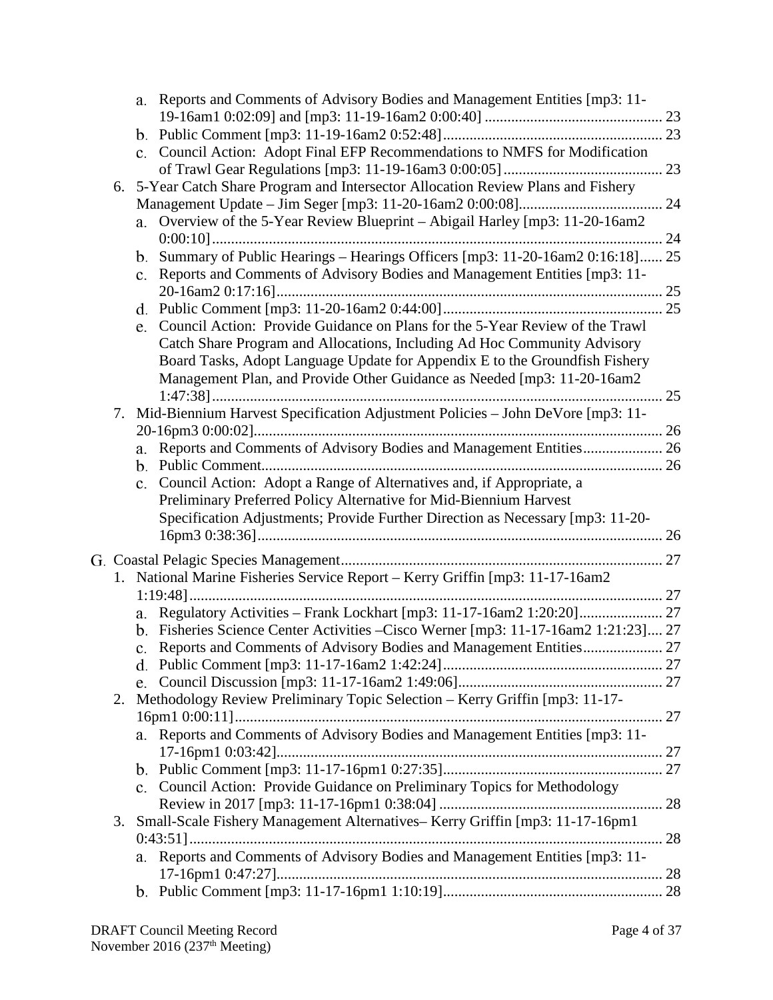|    |                                                                               | a. Reports and Comments of Advisory Bodies and Management Entities [mp3: 11-        |    |  |  |  |
|----|-------------------------------------------------------------------------------|-------------------------------------------------------------------------------------|----|--|--|--|
|    |                                                                               |                                                                                     |    |  |  |  |
|    |                                                                               |                                                                                     |    |  |  |  |
|    |                                                                               | c. Council Action: Adopt Final EFP Recommendations to NMFS for Modification         |    |  |  |  |
|    |                                                                               |                                                                                     |    |  |  |  |
| 6. |                                                                               | 5-Year Catch Share Program and Intersector Allocation Review Plans and Fishery      |    |  |  |  |
|    |                                                                               |                                                                                     |    |  |  |  |
|    | a.                                                                            | Overview of the 5-Year Review Blueprint - Abigail Harley [mp3: 11-20-16am2          |    |  |  |  |
|    |                                                                               |                                                                                     |    |  |  |  |
|    |                                                                               | b. Summary of Public Hearings - Hearings Officers [mp3: 11-20-16am2 0:16:18] 25     |    |  |  |  |
|    |                                                                               | c. Reports and Comments of Advisory Bodies and Management Entities [mp3: 11-        |    |  |  |  |
|    |                                                                               |                                                                                     |    |  |  |  |
|    |                                                                               |                                                                                     |    |  |  |  |
|    | e.                                                                            | Council Action: Provide Guidance on Plans for the 5-Year Review of the Trawl        |    |  |  |  |
|    |                                                                               | Catch Share Program and Allocations, Including Ad Hoc Community Advisory            |    |  |  |  |
|    |                                                                               | Board Tasks, Adopt Language Update for Appendix E to the Groundfish Fishery         |    |  |  |  |
|    |                                                                               | Management Plan, and Provide Other Guidance as Needed [mp3: 11-20-16am2             |    |  |  |  |
|    |                                                                               |                                                                                     | 25 |  |  |  |
| 7. |                                                                               | Mid-Biennium Harvest Specification Adjustment Policies - John DeVore [mp3: 11-      |    |  |  |  |
|    |                                                                               |                                                                                     |    |  |  |  |
|    | a.                                                                            | Reports and Comments of Advisory Bodies and Management Entities 26                  |    |  |  |  |
|    |                                                                               |                                                                                     |    |  |  |  |
|    |                                                                               | c. Council Action: Adopt a Range of Alternatives and, if Appropriate, a             |    |  |  |  |
|    |                                                                               | Preliminary Preferred Policy Alternative for Mid-Biennium Harvest                   |    |  |  |  |
|    |                                                                               | Specification Adjustments; Provide Further Direction as Necessary [mp3: 11-20-      |    |  |  |  |
|    |                                                                               |                                                                                     |    |  |  |  |
|    |                                                                               |                                                                                     |    |  |  |  |
|    | 1. National Marine Fisheries Service Report - Kerry Griffin [mp3: 11-17-16am2 |                                                                                     |    |  |  |  |
|    |                                                                               |                                                                                     |    |  |  |  |
|    |                                                                               | a. Regulatory Activities - Frank Lockhart [mp3: 11-17-16am2 1:20:20] 27             |    |  |  |  |
|    |                                                                               | b. Fisheries Science Center Activities - Cisco Werner [mp3: 11-17-16am2 1:21:23] 27 |    |  |  |  |
|    |                                                                               |                                                                                     |    |  |  |  |
|    |                                                                               |                                                                                     |    |  |  |  |
|    |                                                                               |                                                                                     |    |  |  |  |
| 2. |                                                                               | Methodology Review Preliminary Topic Selection - Kerry Griffin [mp3: 11-17-         |    |  |  |  |
|    |                                                                               |                                                                                     |    |  |  |  |
|    |                                                                               | a. Reports and Comments of Advisory Bodies and Management Entities [mp3: 11-        |    |  |  |  |
|    |                                                                               |                                                                                     |    |  |  |  |
|    |                                                                               |                                                                                     |    |  |  |  |
|    |                                                                               | c. Council Action: Provide Guidance on Preliminary Topics for Methodology           |    |  |  |  |
|    |                                                                               |                                                                                     |    |  |  |  |
| 3. |                                                                               | Small-Scale Fishery Management Alternatives- Kerry Griffin [mp3: 11-17-16pm1        |    |  |  |  |
|    |                                                                               |                                                                                     |    |  |  |  |
|    |                                                                               | a. Reports and Comments of Advisory Bodies and Management Entities [mp3: 11-        |    |  |  |  |
|    |                                                                               |                                                                                     |    |  |  |  |
|    |                                                                               |                                                                                     |    |  |  |  |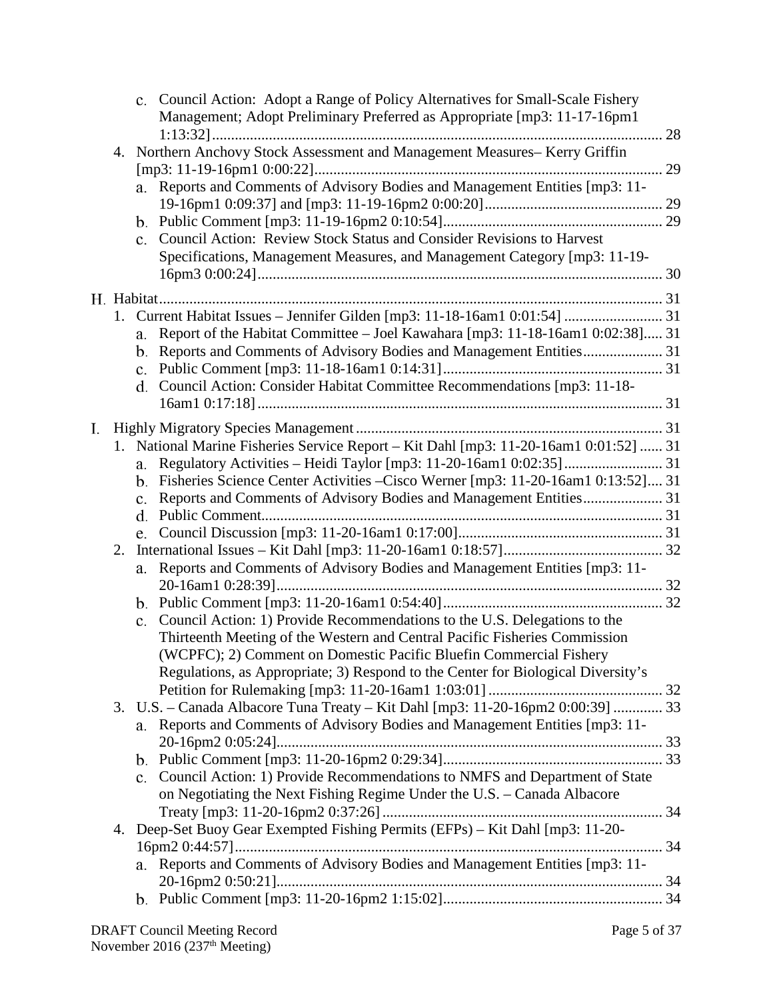|    |    | c. Council Action: Adopt a Range of Policy Alternatives for Small-Scale Fishery<br>Management; Adopt Preliminary Preferred as Appropriate [mp3: 11-17-16pm1                                                                                                                                                                    |    |
|----|----|--------------------------------------------------------------------------------------------------------------------------------------------------------------------------------------------------------------------------------------------------------------------------------------------------------------------------------|----|
|    |    | 4. Northern Anchovy Stock Assessment and Management Measures- Kerry Griffin<br>a. Reports and Comments of Advisory Bodies and Management Entities [mp3: 11-<br>c. Council Action: Review Stock Status and Consider Revisions to Harvest<br>Specifications, Management Measures, and Management Category [mp3: 11-19-           | 29 |
|    |    |                                                                                                                                                                                                                                                                                                                                |    |
|    |    | 1. Current Habitat Issues - Jennifer Gilden [mp3: 11-18-16am1 0:01:54]  31<br>Report of the Habitat Committee - Joel Kawahara [mp3: 11-18-16am1 0:02:38] 31<br>a.<br>Reports and Comments of Advisory Bodies and Management Entities 31<br>b.<br>Council Action: Consider Habitat Committee Recommendations [mp3: 11-18-<br>d. |    |
| I. |    |                                                                                                                                                                                                                                                                                                                                |    |
|    |    | 1. National Marine Fisheries Service Report - Kit Dahl [mp3: 11-20-16am1 0:01:52]  31                                                                                                                                                                                                                                          |    |
|    |    | a.                                                                                                                                                                                                                                                                                                                             |    |
|    |    | b. Fisheries Science Center Activities – Cisco Werner [mp3: 11-20-16am1 0:13:52] 31                                                                                                                                                                                                                                            |    |
|    |    | c.<br>d.                                                                                                                                                                                                                                                                                                                       |    |
|    |    | e.                                                                                                                                                                                                                                                                                                                             |    |
|    | 2. |                                                                                                                                                                                                                                                                                                                                |    |
|    |    | Reports and Comments of Advisory Bodies and Management Entities [mp3: 11-<br>a.                                                                                                                                                                                                                                                |    |
|    |    |                                                                                                                                                                                                                                                                                                                                |    |
|    |    |                                                                                                                                                                                                                                                                                                                                |    |
|    |    | Council Action: 1) Provide Recommendations to the U.S. Delegations to the<br>$c_{\cdot}$                                                                                                                                                                                                                                       |    |
|    |    | Thirteenth Meeting of the Western and Central Pacific Fisheries Commission                                                                                                                                                                                                                                                     |    |
|    |    | (WCPFC); 2) Comment on Domestic Pacific Bluefin Commercial Fishery                                                                                                                                                                                                                                                             |    |
|    |    | Regulations, as Appropriate; 3) Respond to the Center for Biological Diversity's                                                                                                                                                                                                                                               |    |
|    |    |                                                                                                                                                                                                                                                                                                                                |    |
|    |    | 3. U.S. - Canada Albacore Tuna Treaty - Kit Dahl [mp3: 11-20-16pm2 0:00:39]  33<br>a. Reports and Comments of Advisory Bodies and Management Entities [mp3: 11-                                                                                                                                                                |    |
|    |    |                                                                                                                                                                                                                                                                                                                                |    |
|    |    |                                                                                                                                                                                                                                                                                                                                |    |
|    |    | c. Council Action: 1) Provide Recommendations to NMFS and Department of State                                                                                                                                                                                                                                                  |    |
|    |    | on Negotiating the Next Fishing Regime Under the U.S. - Canada Albacore                                                                                                                                                                                                                                                        |    |
|    |    |                                                                                                                                                                                                                                                                                                                                |    |
|    | 4. | Deep-Set Buoy Gear Exempted Fishing Permits (EFPs) - Kit Dahl [mp3: 11-20-                                                                                                                                                                                                                                                     |    |
|    |    |                                                                                                                                                                                                                                                                                                                                |    |
|    |    | a. Reports and Comments of Advisory Bodies and Management Entities [mp3: 11-                                                                                                                                                                                                                                                   |    |
|    |    |                                                                                                                                                                                                                                                                                                                                |    |
|    |    |                                                                                                                                                                                                                                                                                                                                |    |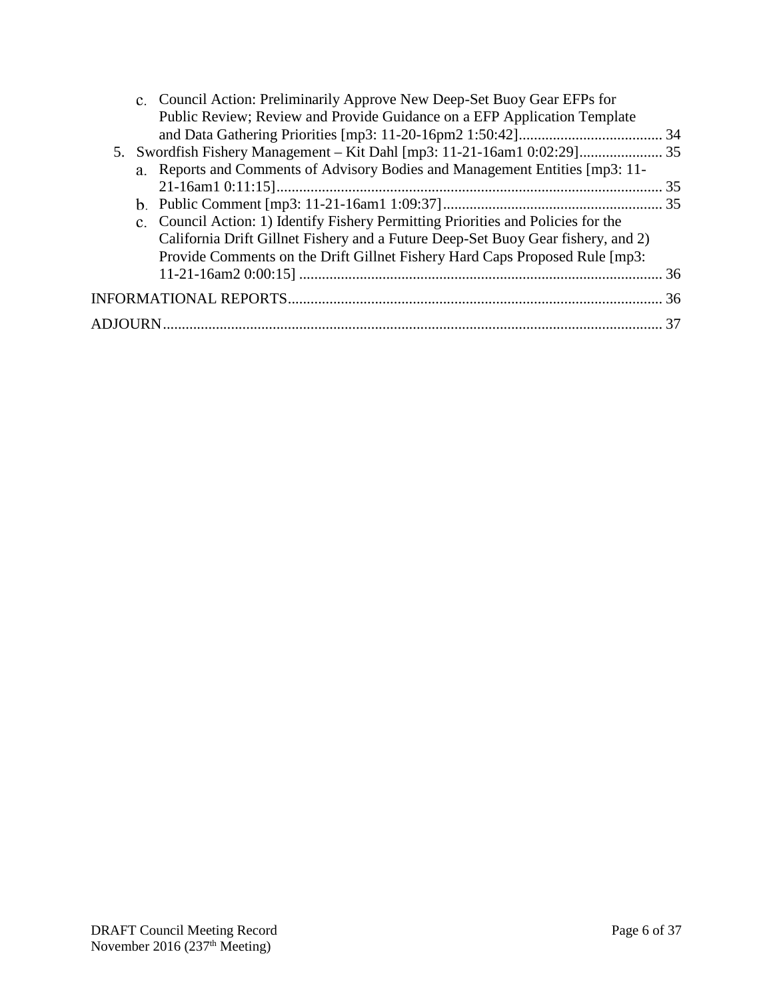| c. Council Action: Preliminarily Approve New Deep-Set Buoy Gear EFPs for<br>Public Review; Review and Provide Guidance on a EFP Application Template |    |
|------------------------------------------------------------------------------------------------------------------------------------------------------|----|
|                                                                                                                                                      |    |
|                                                                                                                                                      |    |
| a. Reports and Comments of Advisory Bodies and Management Entities [mp3: 11-                                                                         |    |
|                                                                                                                                                      |    |
|                                                                                                                                                      |    |
| c. Council Action: 1) Identify Fishery Permitting Priorities and Policies for the                                                                    |    |
| California Drift Gillnet Fishery and a Future Deep-Set Buoy Gear fishery, and 2)                                                                     |    |
| Provide Comments on the Drift Gillnet Fishery Hard Caps Proposed Rule [mp3:                                                                          |    |
|                                                                                                                                                      | 36 |
|                                                                                                                                                      |    |
|                                                                                                                                                      | 37 |
|                                                                                                                                                      |    |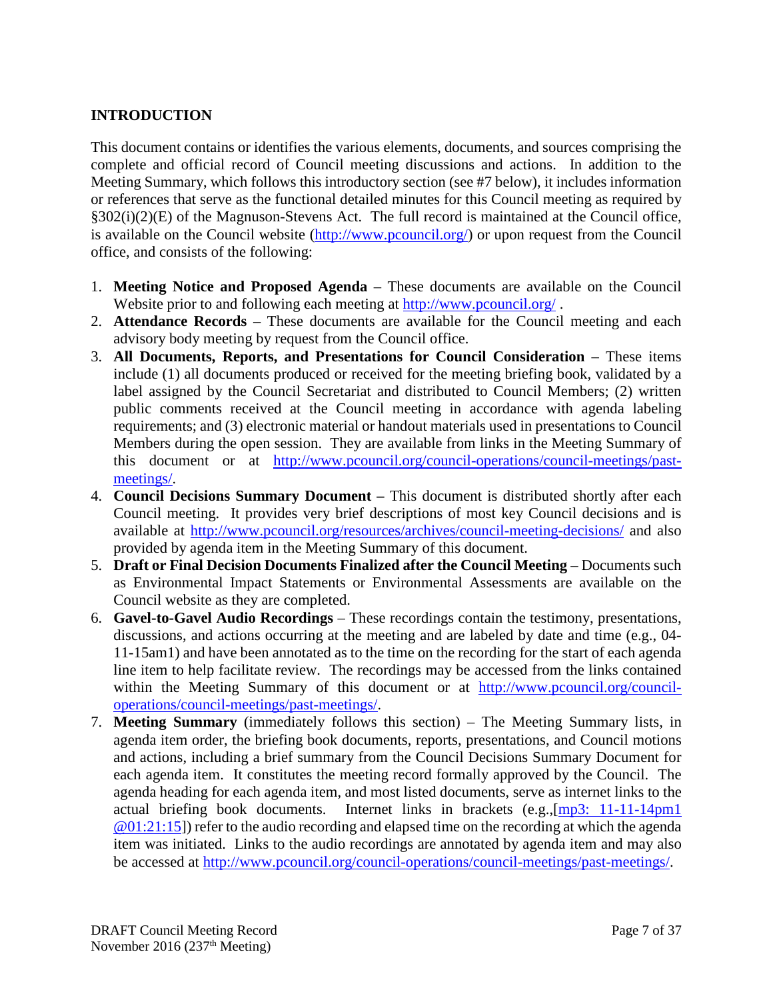### <span id="page-6-0"></span>**INTRODUCTION**

This document contains or identifies the various elements, documents, and sources comprising the complete and official record of Council meeting discussions and actions. In addition to the Meeting Summary, which follows this introductory section (see #7 below), it includes information or references that serve as the functional detailed minutes for this Council meeting as required by §302(i)(2)(E) of the Magnuson-Stevens Act. The full record is maintained at the Council office, is available on the Council website [\(http://www.pcouncil.org/\)](http://www.pcouncil.org/) or upon request from the Council office, and consists of the following:

- 1. **Meeting Notice and Proposed Agenda** These documents are available on the Council Website prior to and following each meeting at<http://www.pcouncil.org/>.
- 2. **Attendance Records** These documents are available for the Council meeting and each advisory body meeting by request from the Council office.
- 3. **All Documents, Reports, and Presentations for Council Consideration** These items include (1) all documents produced or received for the meeting briefing book, validated by a label assigned by the Council Secretariat and distributed to Council Members; (2) written public comments received at the Council meeting in accordance with agenda labeling requirements; and (3) electronic material or handout materials used in presentations to Council Members during the open session. They are available from links in the Meeting Summary of this document or at [http://www.pcouncil.org/council-operations/council-meetings/past](http://www.pcouncil.org/council-operations/council-meetings/past-meetings/)[meetings/.](http://www.pcouncil.org/council-operations/council-meetings/past-meetings/)
- 4. **Council Decisions Summary Document –** This document is distributed shortly after each Council meeting. It provides very brief descriptions of most key Council decisions and is available at<http://www.pcouncil.org/resources/archives/council-meeting-decisions/> and also provided by agenda item in the Meeting Summary of this document.
- 5. **Draft or Final Decision Documents Finalized after the Council Meeting** Documents such as Environmental Impact Statements or Environmental Assessments are available on the Council website as they are completed.
- 6. **Gavel-to-Gavel Audio Recordings** These recordings contain the testimony, presentations, discussions, and actions occurring at the meeting and are labeled by date and time (e.g., 04- 11-15am1) and have been annotated as to the time on the recording for the start of each agenda line item to help facilitate review. The recordings may be accessed from the links contained within the Meeting Summary of this document or at [http://www.pcouncil.org/council](http://www.pcouncil.org/council-operations/council-meetings/past-meetings/)[operations/council-meetings/past-meetings/.](http://www.pcouncil.org/council-operations/council-meetings/past-meetings/)
- 7. **Meeting Summary** (immediately follows this section) The Meeting Summary lists, in agenda item order, the briefing book documents, reports, presentations, and Council motions and actions, including a brief summary from the Council Decisions Summary Document for each agenda item. It constitutes the meeting record formally approved by the Council. The agenda heading for each agenda item, and most listed documents, serve as internet links to the actual briefing book documents. Internet links in brackets (e.g.,[\[mp3: 11-11-14pm1](ftp://ftp.pcouncil.org/pub/R1411_November_2014_Recordings/11-14-14pm1Copy.mp3) @01:21:15]) refer to the audio recording and elapsed time on the recording at which the agenda item was initiated. Links to the audio recordings are annotated by agenda item and may also be accessed at [http://www.pcouncil.org/council-operations/council-meetings/past-meetings/.](http://www.pcouncil.org/council-operations/council-meetings/past-meetings/)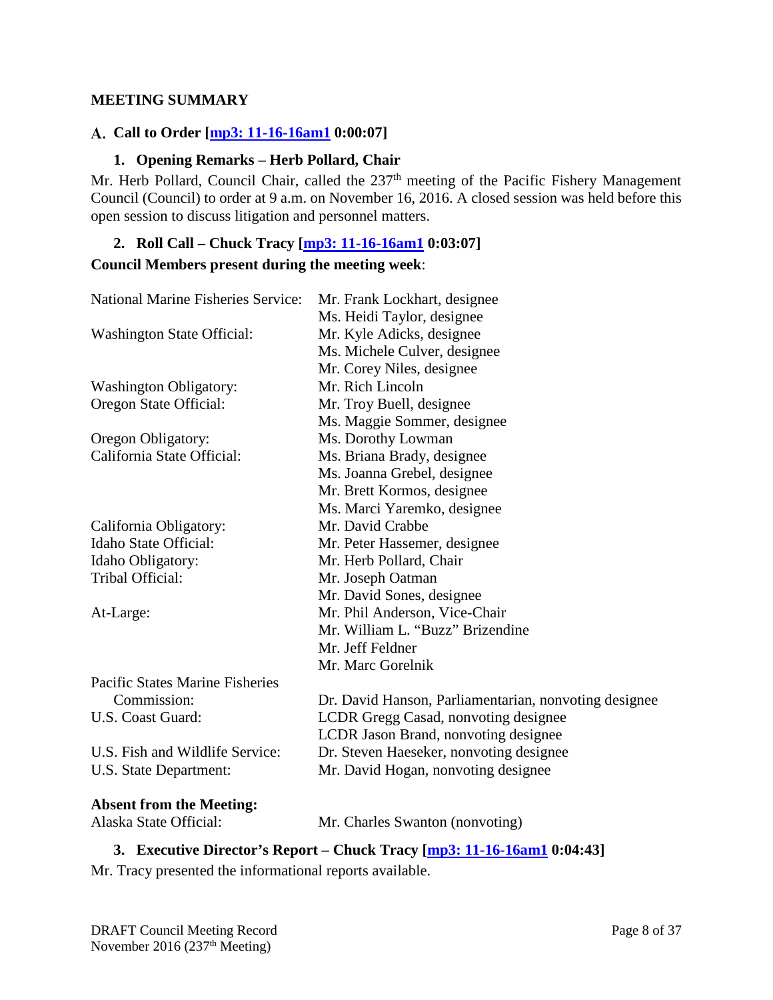#### <span id="page-7-0"></span>**MEETING SUMMARY**

### <span id="page-7-1"></span>**Call to Order [\[mp3: 11-16-16am1](ftp://ftp.pcouncil.org/pub/R1611_November_2016_Recordings/11-16-16am1Copy.mp3) 0:00:07]**

#### **1. Opening Remarks – Herb Pollard, Chair**

<span id="page-7-2"></span>Mr. Herb Pollard, Council Chair, called the 237<sup>th</sup> meeting of the Pacific Fishery Management Council (Council) to order at 9 a.m. on November 16, 2016. A closed session was held before this open session to discuss litigation and personnel matters.

## <span id="page-7-3"></span>**2. Roll Call – Chuck Tracy [\[mp3: 11-16-16am1](ftp://ftp.pcouncil.org/pub/R1611_November_2016_Recordings/11-16-16am1Copy.mp3) 0:03:07] Council Members present during the meeting week**:

| <b>National Marine Fisheries Service:</b>                                  | Mr. Frank Lockhart, designee                          |  |  |  |
|----------------------------------------------------------------------------|-------------------------------------------------------|--|--|--|
|                                                                            | Ms. Heidi Taylor, designee                            |  |  |  |
| <b>Washington State Official:</b>                                          | Mr. Kyle Adicks, designee                             |  |  |  |
|                                                                            | Ms. Michele Culver, designee                          |  |  |  |
|                                                                            | Mr. Corey Niles, designee                             |  |  |  |
| <b>Washington Obligatory:</b>                                              | Mr. Rich Lincoln                                      |  |  |  |
| Oregon State Official:                                                     | Mr. Troy Buell, designee                              |  |  |  |
|                                                                            | Ms. Maggie Sommer, designee                           |  |  |  |
| Oregon Obligatory:                                                         | Ms. Dorothy Lowman                                    |  |  |  |
| California State Official:                                                 | Ms. Briana Brady, designee                            |  |  |  |
|                                                                            | Ms. Joanna Grebel, designee                           |  |  |  |
|                                                                            | Mr. Brett Kormos, designee                            |  |  |  |
|                                                                            | Ms. Marci Yaremko, designee                           |  |  |  |
| California Obligatory:                                                     | Mr. David Crabbe                                      |  |  |  |
| Idaho State Official:                                                      | Mr. Peter Hassemer, designee                          |  |  |  |
| Idaho Obligatory:                                                          | Mr. Herb Pollard, Chair                               |  |  |  |
| Tribal Official:                                                           | Mr. Joseph Oatman                                     |  |  |  |
|                                                                            | Mr. David Sones, designee                             |  |  |  |
| At-Large:                                                                  | Mr. Phil Anderson, Vice-Chair                         |  |  |  |
|                                                                            | Mr. William L. "Buzz" Brizendine                      |  |  |  |
|                                                                            | Mr. Jeff Feldner                                      |  |  |  |
|                                                                            | Mr. Marc Gorelnik                                     |  |  |  |
| <b>Pacific States Marine Fisheries</b>                                     |                                                       |  |  |  |
| Commission:                                                                | Dr. David Hanson, Parliamentarian, nonvoting designee |  |  |  |
| U.S. Coast Guard:                                                          | LCDR Gregg Casad, nonvoting designee                  |  |  |  |
|                                                                            | LCDR Jason Brand, nonvoting designee                  |  |  |  |
| U.S. Fish and Wildlife Service:                                            | Dr. Steven Haeseker, nonvoting designee               |  |  |  |
| U.S. State Department:                                                     | Mr. David Hogan, nonvoting designee                   |  |  |  |
|                                                                            |                                                       |  |  |  |
| <b>Absent from the Meeting:</b>                                            |                                                       |  |  |  |
| Alaska State Official:                                                     | Mr. Charles Swanton (nonvoting)                       |  |  |  |
| 2. Executive Diverter's Depart Claudy Trees, Lug 2, 11 16 16 and 0.04, 421 |                                                       |  |  |  |

#### <span id="page-7-4"></span>**3. Executive Director's Report – Chuck Tracy [\[mp3: 11-16-16am1](ftp://ftp.pcouncil.org/pub/R1611_November_2016_Recordings/11-16-16am1Copy.mp3) 0:04:43]**

Mr. Tracy presented the informational reports available.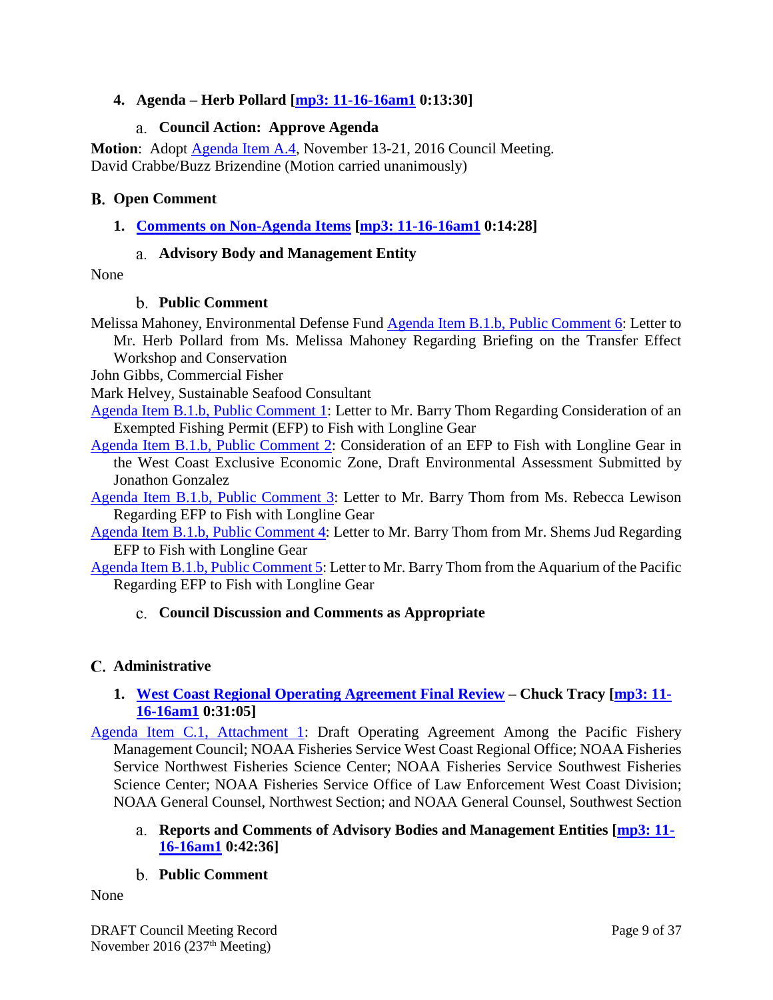### <span id="page-8-0"></span>**4. Agenda – Herb Pollard [\[mp3: 11-16-16am1](ftp://ftp.pcouncil.org/pub/R1611_November_2016_Recordings/11-16-16am1Copy.mp3) 0:13:30]**

### **Council Action: Approve Agenda**

<span id="page-8-1"></span>**Motion**: Adopt [Agenda Item A.4,](http://www.pcouncil.org/wp-content/uploads/2016/11/A4__Nov16Agenda_NOV2016BB.pdf) November 13-21, 2016 Council Meeting. David Crabbe/Buzz Brizendine (Motion carried unanimously)

### <span id="page-8-2"></span>**Open Comment**

<span id="page-8-3"></span>**1. [Comments on Non-Agenda Items](http://www.pcouncil.org/wp-content/uploads/2016/10/B1__SitSum_Nov2016BB.pdf) [\[mp3: 11-16-16am1](ftp://ftp.pcouncil.org/pub/R1611_November_2016_Recordings/11-16-16am1Copy.mp3) 0:14:28]**

### **Advisory Body and Management Entity**

<span id="page-8-5"></span><span id="page-8-4"></span>None

### **Public Comment**

Melissa Mahoney, Environmental Defense Fund [Agenda Item B.1.b, Public Comment 6:](http://www.pcouncil.org/wp-content/uploads/2016/10/B1b_PC6_EDF_Letter_NOV2016BB.pdf) Letter to Mr. Herb Pollard from Ms. Melissa Mahoney Regarding Briefing on the Transfer Effect

Workshop and Conservation

John Gibbs, Commercial Fisher

Mark Helvey, Sustainable Seafood Consultant

[Agenda Item B.1.b, Public Comment 1:](http://www.pcouncil.org/wp-content/uploads/2016/10/B1b_PC1_EFP_Letter-10032016-final_NOV2016BB.pdf) Letter to Mr. Barry Thom Regarding Consideration of an Exempted Fishing Permit (EFP) to Fish with Longline Gear

[Agenda Item B.1.b, Public Comment 2:](http://www.pcouncil.org/wp-content/uploads/2016/10/B1b_PC2_longline_efp_draft-ea_NOV2016BB.pdf) Consideration of an EFP to Fish with Longline Gear in the West Coast Exclusive Economic Zone, Draft Environmental Assessment Submitted by Jonathon Gonzalez

[Agenda Item B.1.b, Public Comment 3:](http://www.pcouncil.org/wp-content/uploads/2016/10/B1b_PC3_Lewison_Ltr_for_BThom_EFP_NOV2016BB.pdf) Letter to Mr. Barry Thom from Ms. Rebecca Lewison Regarding EFP to Fish with Longline Gear

[Agenda Item B.1.b, Public Comment 4:](http://www.pcouncil.org/wp-content/uploads/2016/10/B1b_PC4_EDF_support_letter_for_LL_EFP_NOV2016BB.pdf) Letter to Mr. Barry Thom from Mr. Shems Jud Regarding EFP to Fish with Longline Gear

<span id="page-8-6"></span>[Agenda Item B.1.b, Public Comment 5:](http://www.pcouncil.org/wp-content/uploads/2016/10/B1b_PC5_Swordfish_longlineEFP_NOV2016BB.pdf) Letter to Mr. Barry Thom from the Aquarium of the Pacific Regarding EFP to Fish with Longline Gear

### **Council Discussion and Comments as Appropriate**

### <span id="page-8-7"></span>**Administrative**

## <span id="page-8-8"></span>**1. [West Coast Regional Operating Agreement Final Review](http://www.pcouncil.org/wp-content/uploads/2016/10/C1__SitSum_ROA_NOV2016BB.pdf) – Chuck Tracy [\[mp3: 11-](ftp://ftp.pcouncil.org/pub/R1611_November_2016_Recordings/11-16-16am1Copy.mp3) [16-16am1](ftp://ftp.pcouncil.org/pub/R1611_November_2016_Recordings/11-16-16am1Copy.mp3) 0:31:05]**

[Agenda Item C.1, Attachment 1:](http://www.pcouncil.org/wp-content/uploads/2016/10/C1_Att1_dROA_NOV2016BB.pdf) Draft Operating Agreement Among the Pacific Fishery Management Council; NOAA Fisheries Service West Coast Regional Office; NOAA Fisheries Service Northwest Fisheries Science Center; NOAA Fisheries Service Southwest Fisheries Science Center; NOAA Fisheries Service Office of Law Enforcement West Coast Division; NOAA General Counsel, Northwest Section; and NOAA General Counsel, Southwest Section

<span id="page-8-9"></span>**Reports and Comments of Advisory Bodies and Management Entities [\[mp3: 11-](ftp://ftp.pcouncil.org/pub/R1611_November_2016_Recordings/11-16-16am1Copy.mp3) [16-16am1](ftp://ftp.pcouncil.org/pub/R1611_November_2016_Recordings/11-16-16am1Copy.mp3) 0:42:36]**

## **Public Comment**

<span id="page-8-10"></span>None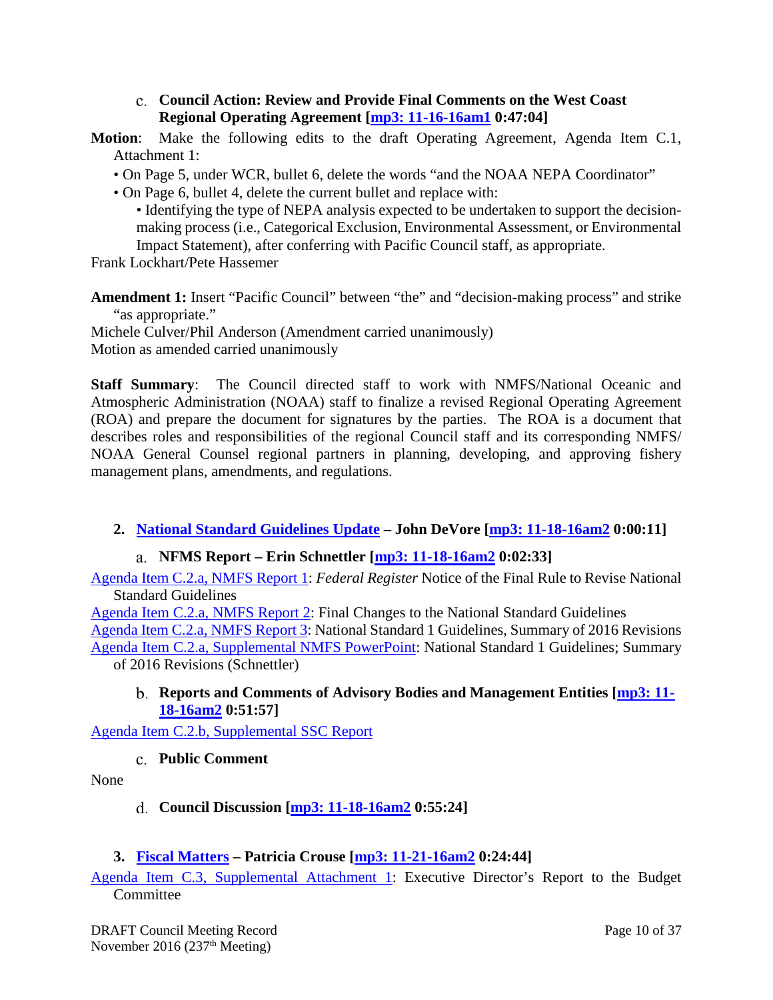#### **Council Action: Review and Provide Final Comments on the West Coast Regional Operating Agreement [\[mp3: 11-16-16am1](ftp://ftp.pcouncil.org/pub/R1611_November_2016_Recordings/11-16-16am1Copy.mp3) 0:47:04]**

- <span id="page-9-0"></span>**Motion**: Make the following edits to the draft Operating Agreement, Agenda Item C.1, Attachment 1:
	- On Page 5, under WCR, bullet 6, delete the words "and the NOAA NEPA Coordinator"
	- On Page 6, bullet 4, delete the current bullet and replace with:

• Identifying the type of NEPA analysis expected to be undertaken to support the decisionmaking process (i.e., Categorical Exclusion, Environmental Assessment, or Environmental Impact Statement), after conferring with Pacific Council staff, as appropriate.

Frank Lockhart/Pete Hassemer

**Amendment 1:** Insert "Pacific Council" between "the" and "decision-making process" and strike "as appropriate."

Michele Culver/Phil Anderson (Amendment carried unanimously) Motion as amended carried unanimously

**Staff Summary**: The Council directed staff to work with NMFS/National Oceanic and Atmospheric Administration (NOAA) staff to finalize a revised Regional Operating Agreement (ROA) and prepare the document for signatures by the parties. The ROA is a document that describes roles and responsibilities of the regional Council staff and its corresponding NMFS/ NOAA General Counsel regional partners in planning, developing, and approving fishery management plans, amendments, and regulations.

## <span id="page-9-1"></span>**2. [National Standard Guidelines Update](http://www.pcouncil.org/wp-content/uploads/2016/10/C2__SitSum_NS_Guidelines_Update_NOV2016BB.pdf) – John DeVore [\[mp3: 11-18-16am2](ftp://ftp.pcouncil.org/pub/R1611_November_2016_Recordings/11-18-16am2Copy.mp3) 0:00:11]**

### **NFMS Report – Erin Schnettler [\[mp3: 11-18-16am2](ftp://ftp.pcouncil.org/pub/R1611_November_2016_Recordings/11-18-16am2Copy.mp3) 0:02:33]**

<span id="page-9-2"></span>[Agenda Item C.2.a, NMFS Report 1:](http://www.pcouncil.org/wp-content/uploads/2016/10/C2a_NMFS_Rpt1_2016-NS1-FinalRule_NOV2016BB.pdf) *Federal Register* Notice of the Final Rule to Revise National Standard Guidelines

[Agenda Item C.2.a, NMFS Report 2:](http://www.pcouncil.org/wp-content/uploads/2016/10/C2a_NMFS_Rpt2_RevisedNS1Guidelines_NOV2016BB.pdf) Final Changes to the National Standard Guidelines

[Agenda Item C.2.a, NMFS Report 3:](http://www.pcouncil.org/wp-content/uploads/2016/10/C2a_NMFS_Rpt3_NS1_Councils_NOV2016BB.pdf) National Standard 1 Guidelines, Summary of 2016 Revisions [Agenda Item C.2.a, Supplemental NMFS PowerPoint:](http://www.pcouncil.org/wp-content/uploads/2016/11/C2a_Sup_NMFS_PPT_NS1_Schnettler_NOV2016BB.pdf) National Standard 1 Guidelines; Summary of 2016 Revisions (Schnettler)

#### <span id="page-9-3"></span>**Reports and Comments of Advisory Bodies and Management Entities [\[mp3: 11-](ftp://ftp.pcouncil.org/pub/R1611_November_2016_Recordings/11-18-16am2Copy.mp3) [18-16am2](ftp://ftp.pcouncil.org/pub/R1611_November_2016_Recordings/11-18-16am2Copy.mp3) 0:51:57]**

<span id="page-9-4"></span>[Agenda Item C.2.b, Supplemental SSC Report](http://www.pcouncil.org/wp-content/uploads/2016/11/C2b_Sup_SSC_Rpt_NOV2016BB.pdf)

### **Public Comment**

<span id="page-9-5"></span>None

## **Council Discussion [\[mp3: 11-18-16am2](ftp://ftp.pcouncil.org/pub/R1611_November_2016_Recordings/11-18-16am2Copy.mp3) 0:55:24]**

### <span id="page-9-6"></span>**3. [Fiscal Matters](http://www.pcouncil.org/wp-content/uploads/2016/10/C3__SitSum_Fiscal_NOV2016BB.pdf) – Patricia Crouse [\[mp3: 11-21-16am2](ftp://ftp.pcouncil.org/pub/R1611_November_2016_Recordings/11-21-16am2Copy.mp3) 0:24:44]**

[Agenda Item C.3, Supplemental Attachment 1:](http://www.pcouncil.org/wp-content/uploads/2016/11/C3_Sup_Att1_ED-BCRpt_NOV2016BB.pdf) Executive Director's Report to the Budget **Committee**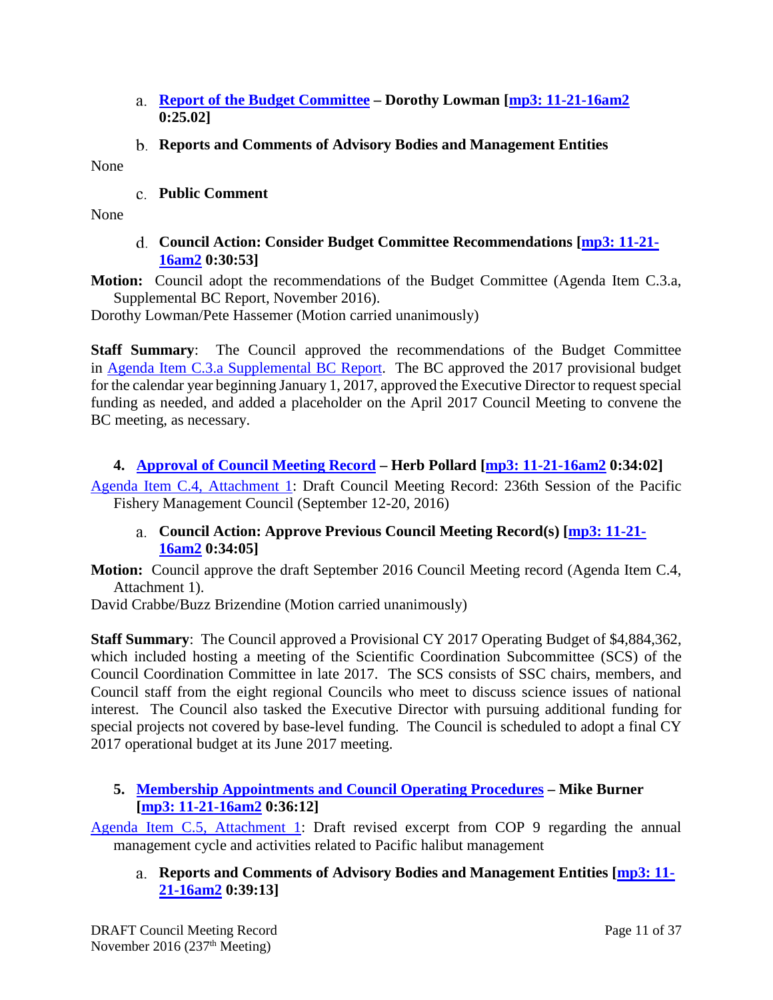- <span id="page-10-0"></span>**Report of the Budget Committee – Dorothy Lowman [\[mp3: 11-21-16am2](ftp://ftp.pcouncil.org/pub/R1611_November_2016_Recordings/11-21-16am2Copy.mp3) 0:25.02]**
- **Reports and Comments of Advisory Bodies and Management Entities**

<span id="page-10-2"></span><span id="page-10-1"></span>None

#### **Public Comment**

<span id="page-10-3"></span>None

### **Council Action: Consider Budget Committee Recommendations [\[mp3: 11-21-](ftp://ftp.pcouncil.org/pub/R1611_November_2016_Recordings/11-21-16am2Copy.mp3) [16am2](ftp://ftp.pcouncil.org/pub/R1611_November_2016_Recordings/11-21-16am2Copy.mp3) 0:30:53]**

**Motion:** Council adopt the recommendations of the Budget Committee (Agenda Item C.3.a, Supplemental BC Report, November 2016).

Dorothy Lowman/Pete Hassemer (Motion carried unanimously)

**Staff Summary**: The Council approved the recommendations of the Budget Committee in Agenda Item C.3.a Supplemental BC Report. The BC approved the 2017 provisional budget for the calendar year beginning January 1, 2017, approved the Executive Director to request special funding as needed, and added a placeholder on the April 2017 Council Meeting to convene the BC meeting, as necessary.

### <span id="page-10-4"></span>**4. [Approval of Council Meeting Record](http://www.pcouncil.org/wp-content/uploads/2016/10/C4__SitSum_MtgRecSept16_NOV2016BB.pdf) – Herb Pollard [\[mp3: 11-21-16am2](ftp://ftp.pcouncil.org/pub/R1611_November_2016_Recordings/11-21-16am2Copy.mp3) 0:34:02]**

<span id="page-10-5"></span>[Agenda Item C.4, Attachment 1:](http://www.pcouncil.org/wp-content/uploads/2016/10/C4_Att_1_CouncilRecord_DraftSept2016_NOV2016BB.pdf) Draft Council Meeting Record: 236th Session of the Pacific Fishery Management Council (September 12-20, 2016)

#### **Council Action: Approve Previous Council Meeting Record(s) [\[mp3: 11-21-](ftp://ftp.pcouncil.org/pub/R1611_November_2016_Recordings/11-21-16am2Copy.mp3) [16am2](ftp://ftp.pcouncil.org/pub/R1611_November_2016_Recordings/11-21-16am2Copy.mp3) 0:34:05]**

**Motion:** Council approve the draft September 2016 Council Meeting record (Agenda Item C.4, Attachment 1).

David Crabbe/Buzz Brizendine (Motion carried unanimously)

**Staff Summary**: The Council approved a Provisional CY 2017 Operating Budget of \$4,884,362, which included hosting a meeting of the Scientific Coordination Subcommittee (SCS) of the Council Coordination Committee in late 2017. The SCS consists of SSC chairs, members, and Council staff from the eight regional Councils who meet to discuss science issues of national interest. The Council also tasked the Executive Director with pursuing additional funding for special projects not covered by base-level funding. The Council is scheduled to adopt a final CY 2017 operational budget at its June 2017 meeting.

### <span id="page-10-6"></span>**5. [Membership Appointments and Council Operating Procedures](http://www.pcouncil.org/wp-content/uploads/2016/10/C5__SitSum_ApptsCOPs_NOV2016BB.pdf) – Mike Burner [\[mp3: 11-21-16am2](ftp://ftp.pcouncil.org/pub/R1611_November_2016_Recordings/11-21-16am2Copy.mp3) 0:36:12]**

<span id="page-10-7"></span>[Agenda Item C.5, Attachment 1:](http://www.pcouncil.org/wp-content/uploads/2016/10/C5_Att1_COP9_Halibut_NOV2016BB.pdf) Draft revised excerpt from COP 9 regarding the annual management cycle and activities related to Pacific halibut management

**Reports and Comments of Advisory Bodies and Management Entities [\[mp3: 11-](ftp://ftp.pcouncil.org/pub/R1611_November_2016_Recordings/11-21-16am2Copy.mp3) [21-16am2](ftp://ftp.pcouncil.org/pub/R1611_November_2016_Recordings/11-21-16am2Copy.mp3) 0:39:13]**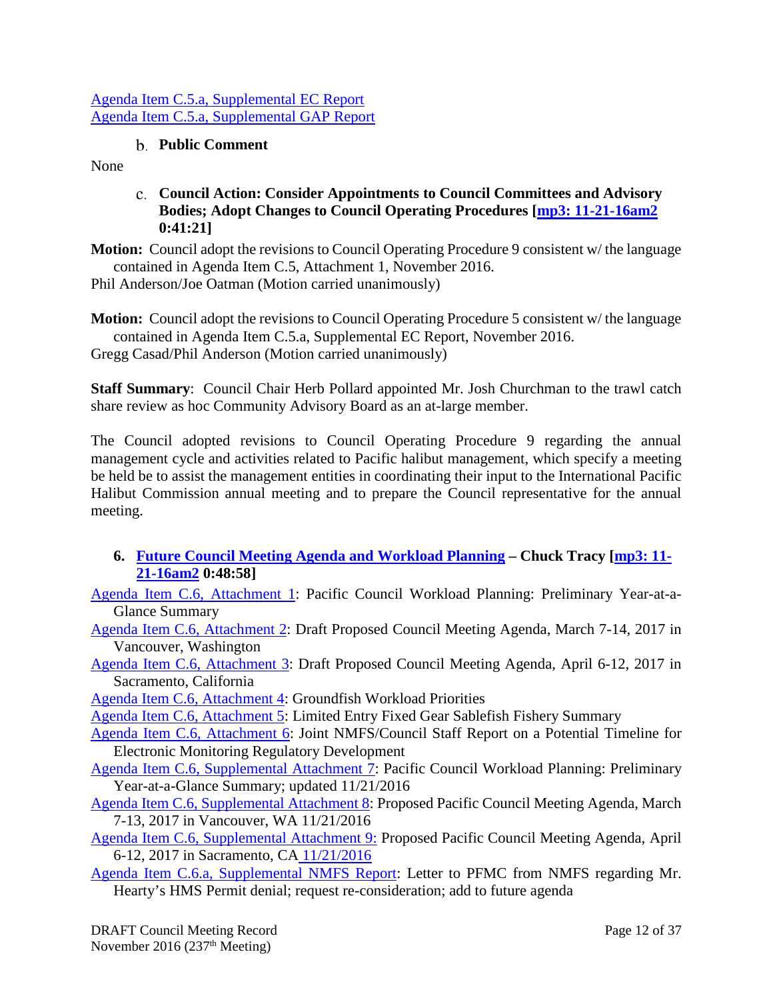#### [Agenda Item C.5.a, Supplemental EC Report](http://www.pcouncil.org/wp-content/uploads/2016/11/C5a_Sup_EC_Rpt_NOV2016BB.pdf) Agenda Item C.5.a, [Supplemental GAP Report](http://www.pcouncil.org/wp-content/uploads/2016/11/C5a_Sup_GAP_Rpt_NOV2016BB.pdf)

## **Public Comment**

<span id="page-11-1"></span><span id="page-11-0"></span>None

**Council Action: Consider Appointments to Council Committees and Advisory Bodies; Adopt Changes to Council Operating Procedures [\[mp3: 11-21-16am2](ftp://ftp.pcouncil.org/pub/R1611_November_2016_Recordings/11-21-16am2Copy.mp3) 0:41:21]**

**Motion:** Council adopt the revisions to Council Operating Procedure 9 consistent w/ the language contained in Agenda Item C.5, Attachment 1, November 2016.

Phil Anderson/Joe Oatman (Motion carried unanimously)

**Motion:** Council adopt the revisions to Council Operating Procedure 5 consistent w/ the language contained in Agenda Item C.5.a, Supplemental EC Report, November 2016. Gregg Casad/Phil Anderson (Motion carried unanimously)

**Staff Summary**: Council Chair Herb Pollard appointed Mr. Josh Churchman to the trawl catch share review as hoc Community Advisory Board as an at-large member.

The Council adopted revisions to Council Operating Procedure 9 regarding the annual management cycle and activities related to Pacific halibut management, which specify a meeting be held be to assist the management entities in coordinating their input to the International Pacific Halibut Commission annual meeting and to prepare the Council representative for the annual meeting.

- <span id="page-11-2"></span>**6. [Future Council Meeting Agenda and Workload Planning](http://www.pcouncil.org/wp-content/uploads/2016/10/C6__SitSum_CMAgendaPlanning_NOV2016BB.pdf) – Chuck Tracy [\[mp3: 11-](ftp://ftp.pcouncil.org/pub/R1611_November_2016_Recordings/11-21-16am2Copy.mp3) [21-16am2](ftp://ftp.pcouncil.org/pub/R1611_November_2016_Recordings/11-21-16am2Copy.mp3) 0:48:58]**
- [Agenda Item C.6, Attachment 1:](http://www.pcouncil.org/wp-content/uploads/2016/10/C6_Att1_YAG_Nov16_Draft_NOV2016BB.pdf) Pacific Council Workload Planning: Preliminary Year-at-a-Glance Summary
- [Agenda Item C.6, Attachment 2:](http://www.pcouncil.org/wp-content/uploads/2016/10/C6_Att2_March17QR_DRAFT_NOV2016BB.pdf) Draft Proposed Council Meeting Agenda, March 7-14, 2017 in Vancouver, Washington
- [Agenda Item C.6, Attachment 3:](http://www.pcouncil.org/wp-content/uploads/2016/10/C6_Att3_Apr17QR_DRAFT_NOV2016BB.pdf) Draft Proposed Council Meeting Agenda, April 6-12, 2017 in Sacramento, California

[Agenda Item C.6, Attachment 4:](http://www.pcouncil.org/wp-content/uploads/2016/10/C6_Att4_GFworkload_NOV2016BB.pdf) Groundfish Workload Priorities

[Agenda Item C.6, Attachment 5:](http://www.pcouncil.org/wp-content/uploads/2016/10/C6_Att5_LE_Fixed_Gear_Sablefish_Process_NOV2016BB.pdf) Limited Entry Fixed Gear Sablefish Fishery Summary

- [Agenda Item C.6, Attachment 6:](http://www.pcouncil.org/wp-content/uploads/2016/10/C6_Att6_Proposed_EM_Timeline_NOV2016BB.pdf) Joint NMFS/Council Staff Report on a Potential Timeline for Electronic Monitoring Regulatory Development
- [Agenda Item C.6, Supplemental Attachment 7:](http://www.pcouncil.org/wp-content/uploads/2016/11/C6_Sup_Att7_YAG_NOV2016.pdf) Pacific Council Workload Planning: Preliminary Year-at-a-Glance Summary; updated 11/21/2016
- [Agenda Item C.6, Supplemental Attachment 8:](http://www.pcouncil.org/wp-content/uploads/2016/11/C6_Sup_Att8_March17QR_NOV2016.pdf) Proposed Pacific Council Meeting Agenda, March 7-13, 2017 in Vancouver, WA 11/21/2016
- [Agenda Item C.6, Supplemental Attachment 9:](http://www.pcouncil.org/wp-content/uploads/2016/11/C6_Sup_Att9_Apr17QR_NOV2016.pdf) Proposed Pacific Council Meeting Agenda, April 6-12, 2017 in Sacramento, CA [11/21/2016](http://www.pcouncil.org/wp-content/uploads/2016/11/C6_Sup_Att9_Apr17QR_NOV2016.pdf)
- [Agenda Item C.6.a, Supplemental NMFS Report:](http://www.pcouncil.org/wp-content/uploads/2016/11/C6a_Sup_NMFS_Rpt_161031_Ltr_Hearty_HMS_PermitDenial_NOV2016BB.pdf) Letter to PFMC from NMFS regarding Mr. Hearty's HMS Permit denial; request re-consideration; add to future agenda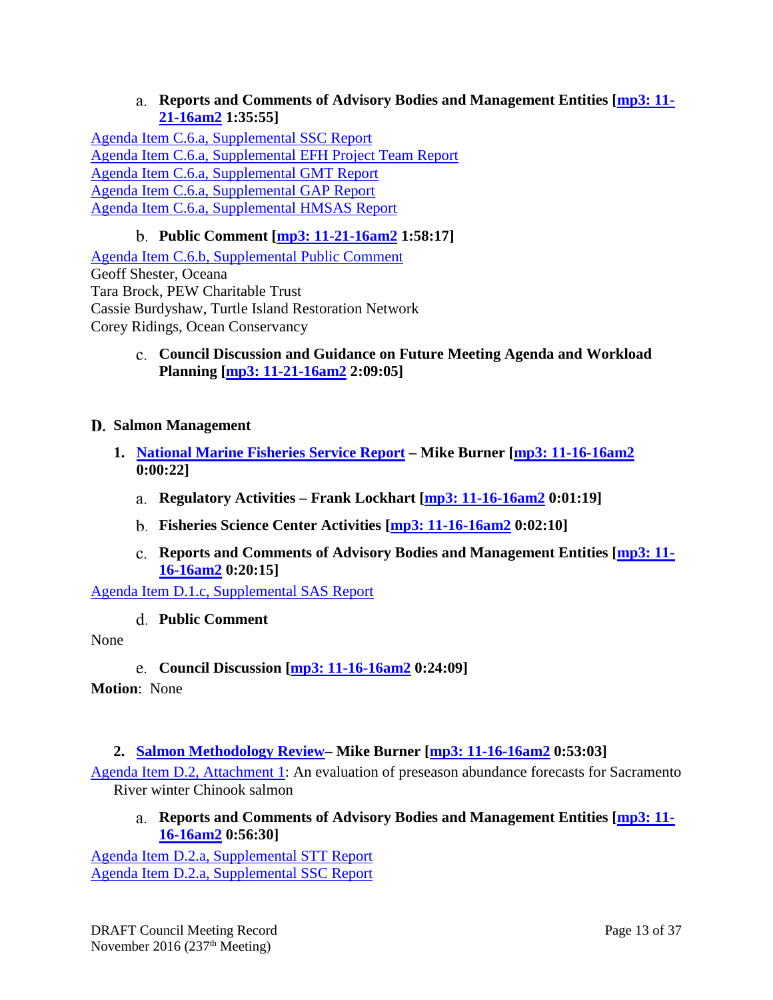**Reports and Comments of Advisory Bodies and Management Entities [\[mp3: 11-](ftp://ftp.pcouncil.org/pub/R1611_November_2016_Recordings/11-21-16am2Copy.mp3) [21-16am2](ftp://ftp.pcouncil.org/pub/R1611_November_2016_Recordings/11-21-16am2Copy.mp3) 1:35:55]**

<span id="page-12-0"></span>[Agenda Item C.6.a, Supplemental SSC Report](http://www.pcouncil.org/wp-content/uploads/2016/11/C6a_Sup_SSC_Rpt_NOV2016BB.pdf) [Agenda Item C.6.a, Supplemental EFH Project Team Report](http://www.pcouncil.org/wp-content/uploads/2016/11/C6a_Sup_EFH_RCA_Project_Team_Rpt_NOV2016BB.pdf) [Agenda Item C.6.a, Supplemental GMT Report](http://www.pcouncil.org/wp-content/uploads/2016/11/C6a_Sup_GMT_NOV2016BB.pdf) [Agenda Item C.6.a, Supplemental GAP Report](http://www.pcouncil.org/wp-content/uploads/2016/11/C6a_Sup_GAP_Rpt_NOV2016BB.pdf) [Agenda Item C.6.a, Supplemental HMSAS Report](http://www.pcouncil.org/wp-content/uploads/2016/11/C6a_Sup_HMSAS_Rpt_NOV2016BB.pdf)

## **Public Comment [\[mp3: 11-21-16am2](ftp://ftp.pcouncil.org/pub/R1611_November_2016_Recordings/11-21-16am2Copy.mp3) 1:58:17]**

<span id="page-12-1"></span>[Agenda Item C.6.b, Supplemental Public Comment](http://www.pcouncil.org/wp-content/uploads/2016/11/C6b_Sup_PubCom_NOV2016BB.pdf) Geoff Shester, Oceana Tara Brock, PEW Charitable Trust Cassie Burdyshaw, Turtle Island Restoration Network Corey Ridings, Ocean Conservancy

> <span id="page-12-2"></span>**Council Discussion and Guidance on Future Meeting Agenda and Workload Planning [\[mp3: 11-21-16am2](ftp://ftp.pcouncil.org/pub/R1611_November_2016_Recordings/11-21-16am2Copy.mp3) 2:09:05]**

#### <span id="page-12-3"></span>**Salmon Management**

- <span id="page-12-6"></span><span id="page-12-5"></span><span id="page-12-4"></span>**1. [National Marine Fisheries Service Report](http://www.pcouncil.org/wp-content/uploads/2016/10/D1__SitSum_NMFSRpt_Salmon_NOV2016BB.pdf) – Mike Burner [\[mp3: 11-16-16am2](ftp://ftp.pcouncil.org/pub/R1611_November_2016_Recordings/11-16-16am2Copy.mp3) 0:00:22]**
	- **Regulatory Activities – Frank Lockhart [mp3: [11-16-16am2](ftp://ftp.pcouncil.org/pub/R1611_November_2016_Recordings/11-16-16am2Copy.mp3) 0:01:19]**
	- **Fisheries Science Center Activities [\[mp3: 11-16-16am2](ftp://ftp.pcouncil.org/pub/R1611_November_2016_Recordings/11-16-16am2Copy.mp3) 0:02:10]**
	- **Reports and Comments of Advisory Bodies and Management Entities [\[mp3: 11-](ftp://ftp.pcouncil.org/pub/R1611_November_2016_Recordings/11-16-16am2Copy.mp3) [16-16am2](ftp://ftp.pcouncil.org/pub/R1611_November_2016_Recordings/11-16-16am2Copy.mp3) 0:20:15]**

<span id="page-12-8"></span><span id="page-12-7"></span>[Agenda Item D.1.c, Supplemental SAS Report](http://www.pcouncil.org/wp-content/uploads/2016/11/D1c_Sup_SAS_Rpt_MitchellAct_NOV2016.pdf)

**Public Comment**

#### <span id="page-12-9"></span>None

**Council Discussion [\[mp3: 11-16-16am2](ftp://ftp.pcouncil.org/pub/R1611_November_2016_Recordings/11-16-16am2Copy.mp3) 0:24:09]**

**Motion**: None

### <span id="page-12-10"></span>**2. [Salmon Methodology Review–](http://www.pcouncil.org/wp-content/uploads/2016/10/D2__SitSum_SalMethRev_NOV2016BB.pdf) Mike Burner [\[mp3: 11-16-16am2](ftp://ftp.pcouncil.org/pub/R1611_November_2016_Recordings/11-16-16am2Copy.mp3) 0:53:03]**

<span id="page-12-11"></span>[Agenda Item D.2, Attachment 1:](http://www.pcouncil.org/wp-content/uploads/2016/10/D2_Att1_SRWC_forecast_rev_doc_Oct032016_NOV2016BB.pdf) An evaluation of preseason abundance forecasts for Sacramento River winter Chinook salmon

**Reports and Comments of Advisory Bodies and Management Entities [\[mp3: 11-](ftp://ftp.pcouncil.org/pub/R1611_November_2016_Recordings/11-16-16am2Copy.mp3) [16-16am2](ftp://ftp.pcouncil.org/pub/R1611_November_2016_Recordings/11-16-16am2Copy.mp3) 0:56:30]**

[Agenda Item D.2.a, Supplemental STT Report](http://www.pcouncil.org/wp-content/uploads/2016/11/D2a_Sup_STT_Rpt_Methodology_Review_NOV2016BB.pdf) [Agenda Item D.2.a, Supplemental SSC Report](http://www.pcouncil.org/wp-content/uploads/2016/11/D2a_Sup_SSC_Rpt_Methodology_Review_NOV2016BB.pdf)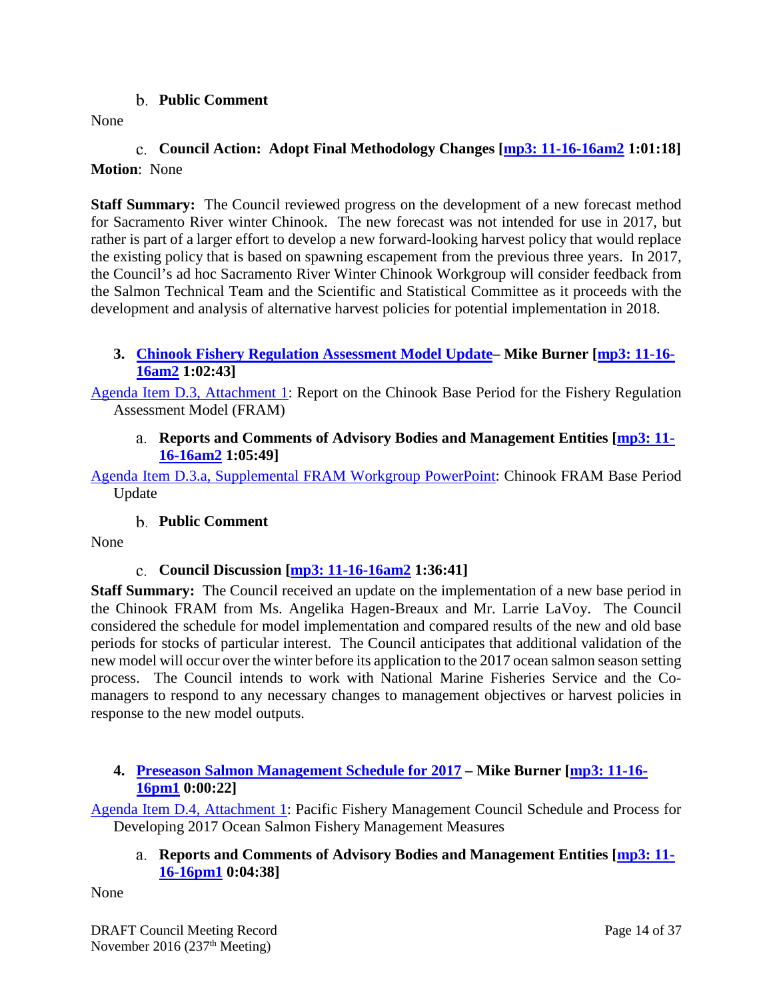#### **Public Comment**

<span id="page-13-0"></span>None

## <span id="page-13-1"></span>**Council Action: Adopt Final Methodology Changes [\[mp3: 11-16-16am2](ftp://ftp.pcouncil.org/pub/R1611_November_2016_Recordings/11-16-16am2Copy.mp3) 1:01:18] Motion**: None

**Staff Summary:** The Council reviewed progress on the development of a new forecast method for Sacramento River winter Chinook. The new forecast was not intended for use in 2017, but rather is part of a larger effort to develop a new forward-looking harvest policy that would replace the existing policy that is based on spawning escapement from the previous three years. In 2017, the Council's ad hoc Sacramento River Winter Chinook Workgroup will consider feedback from the Salmon Technical Team and the Scientific and Statistical Committee as it proceeds with the development and analysis of alternative harvest policies for potential implementation in 2018.

### <span id="page-13-2"></span>**3. [Chinook Fishery Regulation Assessment Model Update–](http://www.pcouncil.org/wp-content/uploads/2016/10/D3__SitSum_FRAM_NOV2016BB.pdf) Mike Burner [\[mp3: 11-16-](ftp://ftp.pcouncil.org/pub/R1611_November_2016_Recordings/11-16-16am2Copy.mp3) [16am2](ftp://ftp.pcouncil.org/pub/R1611_November_2016_Recordings/11-16-16am2Copy.mp3) 1:02:43]**

<span id="page-13-3"></span>[Agenda Item D.3, Attachment 1:](http://www.pcouncil.org/wp-content/uploads/2016/10/D3_Att1_FRAM_BasePeriod_Update_102116_NOV2016BB.pdf) Report on the Chinook Base Period for the Fishery Regulation Assessment Model (FRAM)

#### **Reports and Comments of Advisory Bodies and Management Entities [\[mp3: 11-](ftp://ftp.pcouncil.org/pub/R1611_November_2016_Recordings/11-16-16am2Copy.mp3) [16-16am2](ftp://ftp.pcouncil.org/pub/R1611_November_2016_Recordings/11-16-16am2Copy.mp3) 1:05:49]**

[Agenda Item D.3.a, Supplemental FRAM Workgroup PowerPoint:](http://www.pcouncil.org/wp-content/uploads/2016/11/D3a_Sup_FRAM_Workgroup_PPT_Haegen-Breaux_NOV2016BB.pdf) Chinook FRAM Base Period Update

### **Public Comment**

<span id="page-13-5"></span><span id="page-13-4"></span>None

### **Council Discussion [\[mp3: 11-16-16am2](ftp://ftp.pcouncil.org/pub/R1611_November_2016_Recordings/11-16-16am2Copy.mp3) 1:36:41]**

**Staff Summary:** The Council received an update on the implementation of a new base period in the Chinook FRAM from Ms. Angelika Hagen-Breaux and Mr. Larrie LaVoy. The Council considered the schedule for model implementation and compared results of the new and old base periods for stocks of particular interest. The Council anticipates that additional validation of the new model will occur over the winter before its application to the 2017 ocean salmon season setting process. The Council intends to work with National Marine Fisheries Service and the Comanagers to respond to any necessary changes to management objectives or harvest policies in response to the new model outputs.

### <span id="page-13-6"></span>**4. [Preseason Salmon Management Schedule for 2017](http://www.pcouncil.org/wp-content/uploads/2016/10/D4__SitSum_SalSched_NOV2016BB.pdf) – Mike Burner [\[mp3: 11-16-](ftp://ftp.pcouncil.org/pub/R1611_November_2016_Recordings/11-16-16pm1Copy.mp3) [16pm1](ftp://ftp.pcouncil.org/pub/R1611_November_2016_Recordings/11-16-16pm1Copy.mp3) 0:00:22]**

<span id="page-13-7"></span>[Agenda Item D.4, Attachment 1:](http://www.pcouncil.org/wp-content/uploads/2016/10/D4_Att1_SalSched2017_NOV2016BB.pdf) Pacific Fishery Management Council Schedule and Process for Developing 2017 Ocean Salmon Fishery Management Measures

### **Reports and Comments of Advisory Bodies and Management Entities [\[mp3: 11-](ftp://ftp.pcouncil.org/pub/R1611_November_2016_Recordings/11-16-16pm1Copy.mp3) [16-16pm1](ftp://ftp.pcouncil.org/pub/R1611_November_2016_Recordings/11-16-16pm1Copy.mp3) 0:04:38]**

None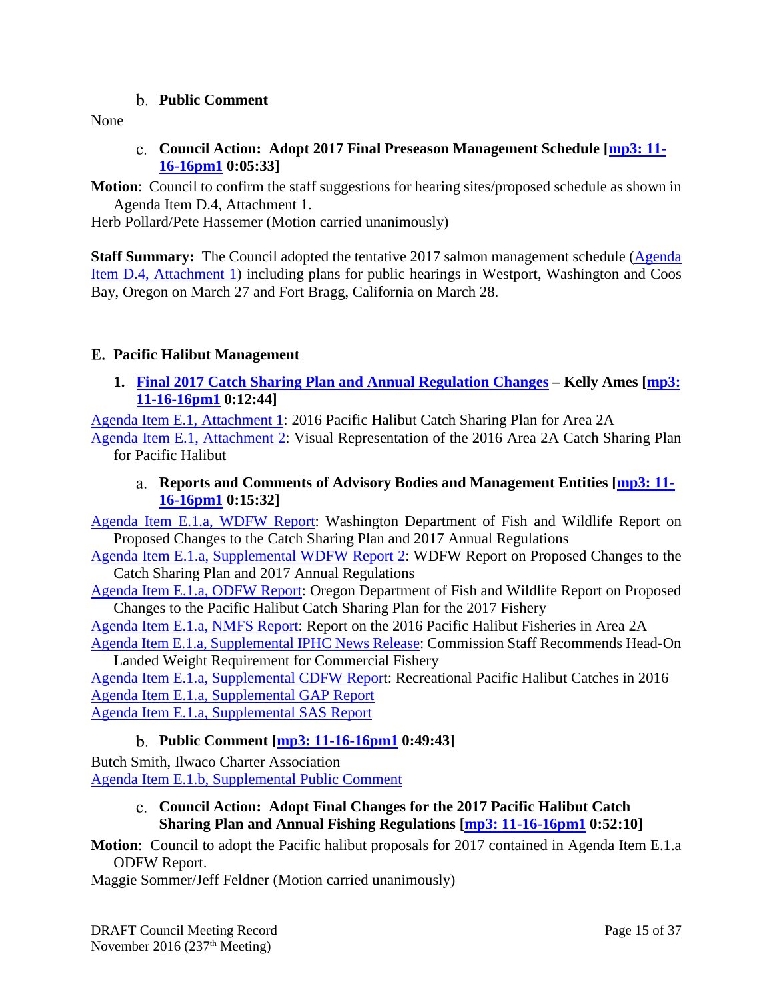#### **Public Comment**

<span id="page-14-1"></span><span id="page-14-0"></span>None

**Council Action: Adopt 2017 Final Preseason Management Schedule [\[mp3: 11-](ftp://ftp.pcouncil.org/pub/R1611_November_2016_Recordings/11-16-16pm1Copy.mp3) [16-16pm1](ftp://ftp.pcouncil.org/pub/R1611_November_2016_Recordings/11-16-16pm1Copy.mp3) 0:05:33]**

**Motion**: Council to confirm the staff suggestions for hearing sites/proposed schedule as shown in Agenda Item D.4, Attachment 1.

Herb Pollard/Pete Hassemer (Motion carried unanimously)

**Staff Summary:** The Council adopted the tentative 2017 salmon management schedule (Agenda) [Item D.4, Attachment 1\)](http://www.pcouncil.org/wp-content/uploads/2016/10/D4_Att1_SalSched2017_NOV2016BB.pdf) including plans for public hearings in Westport, Washington and Coos Bay, Oregon on March 27 and Fort Bragg, California on March 28.

## <span id="page-14-2"></span>**Pacific Halibut Management**

<span id="page-14-3"></span>**1. [Final 2017 Catch Sharing Plan and Annual Regulation Changes](http://www.pcouncil.org/wp-content/uploads/2016/10/E1__SitSum_CSP_NOV2016BB.pdf) – Kelly Ames [\[mp3:](ftp://ftp.pcouncil.org/pub/R1611_November_2016_Recordings/11-16-16pm1Copy.mp3)  [11-16-16pm1](ftp://ftp.pcouncil.org/pub/R1611_November_2016_Recordings/11-16-16pm1Copy.mp3) 0:12:44]**

[Agenda Item E.1, Attachment 1:](http://www.pcouncil.org/wp-content/uploads/2016/10/E1_Att1_2016_CSP_NOV2016BB.pdf) 2016 Pacific Halibut Catch Sharing Plan for Area 2A

<span id="page-14-4"></span>[Agenda Item E.1, Attachment 2:](http://www.pcouncil.org/wp-content/uploads/2016/10/E1_Att2_CSP_Visual_NOV2016BB.pdf) Visual Representation of the 2016 Area 2A Catch Sharing Plan for Pacific Halibut

**Reports and Comments of Advisory Bodies and Management Entities [\[mp3: 11-](ftp://ftp.pcouncil.org/pub/R1611_November_2016_Recordings/11-16-16pm1Copy.mp3) [16-16pm1](ftp://ftp.pcouncil.org/pub/R1611_November_2016_Recordings/11-16-16pm1Copy.mp3) 0:15:32]**

[Agenda Item E.1.a, WDFW Report:](http://www.pcouncil.org/wp-content/uploads/2016/10/E1a_WDFW_Rpt_CSP_NOV2016BB.pdf) Washington Department of Fish and Wildlife Report on Proposed Changes to the Catch Sharing Plan and 2017 Annual Regulations

Agenda Item [E.1.a, Supplemental WDFW Report 2:](http://www.pcouncil.org/wp-content/uploads/2016/11/E1a_Sup_WDFW_Rpt2_CSP_NOV2016BB.pdf) WDFW Report on Proposed Changes to the Catch Sharing Plan and 2017 Annual Regulations

[Agenda Item E.1.a, ODFW Report:](http://www.pcouncil.org/wp-content/uploads/2016/10/E1a_ODFW_Rpt_CSP_NOV2016BB.pdf) Oregon Department of Fish and Wildlife Report on Proposed Changes to the Pacific Halibut Catch Sharing Plan for the 2017 Fishery

[Agenda Item E.1.a, NMFS Report:](http://www.pcouncil.org/wp-content/uploads/2016/10/E1a_NMFS_Rpt_2016_Catch_NOV2016BB.pdf) Report on the 2016 Pacific Halibut Fisheries in Area 2A [Agenda Item E.1.a, Supplemental IPHC News Release:](http://www.pcouncil.org/wp-content/uploads/2016/11/E1a_Sup_IPHC_NR_NOV2016BB.pdf) Commission Staff Recommends Head-On

Landed Weight Requirement for Commercial Fishery

[Agenda Item E.1.a, Supplemental CDFW Report](http://www.pcouncil.org/wp-content/uploads/2016/11/E1a_Sup_CDFW_Rpt_RecCatches_NOV2016BB.pdf): Recreational Pacific Halibut Catches in 2016 [Agenda Item E.1.a, Supplemental GAP Report](http://www.pcouncil.org/wp-content/uploads/2016/11/E1a_Sup_GAP_Rpt_NOV2016BB.pdf) [Agenda Item E.1.a, Supplemental SAS Report](http://www.pcouncil.org/wp-content/uploads/2016/11/E1a_Sup_SAS_Rpt_NOV2016BB.pdf)

### **Public Comment [\[mp3: 11-16-16pm1](ftp://ftp.pcouncil.org/pub/R1611_November_2016_Recordings/11-16-16pm1Copy.mp3) 0:49:43]**

<span id="page-14-6"></span><span id="page-14-5"></span>Butch Smith, Ilwaco Charter Association [Agenda Item E.1.b, Supplemental Public Comment](http://www.pcouncil.org/wp-content/uploads/2016/11/E1b_Sup_PubCom_NOV2016BB.pdf)

### **Council Action: Adopt Final Changes for the 2017 Pacific Halibut Catch Sharing Plan and Annual Fishing Regulations [\[mp3: 11-16-16pm1](ftp://ftp.pcouncil.org/pub/R1611_November_2016_Recordings/11-16-16pm1Copy.mp3) 0:52:10]**

**Motion**: Council to adopt the Pacific halibut proposals for 2017 contained in Agenda Item E.1.a ODFW Report.

Maggie Sommer/Jeff Feldner (Motion carried unanimously)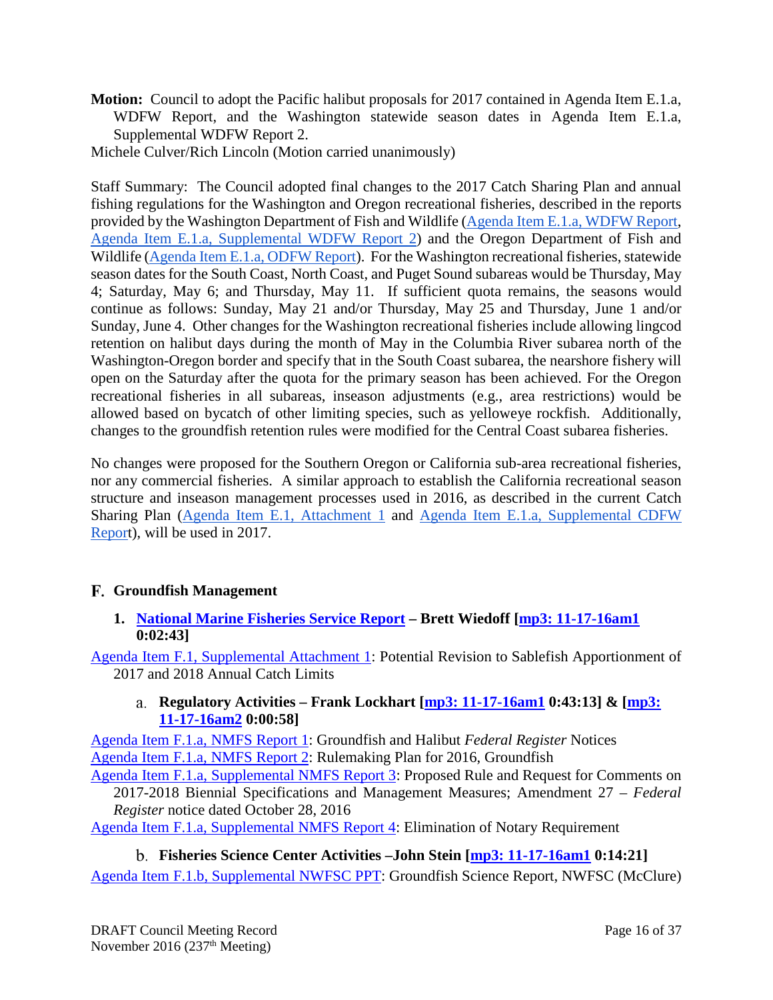- **Motion:** Council to adopt the Pacific halibut proposals for 2017 contained in Agenda Item E.1.a, WDFW Report, and the Washington statewide season dates in Agenda Item E.1.a, Supplemental WDFW Report 2.
- Michele Culver/Rich Lincoln (Motion carried unanimously)

Staff Summary: The Council adopted final changes to the 2017 Catch Sharing Plan and annual fishing regulations for the Washington and Oregon recreational fisheries, described in the reports provided by the Washington Department of Fish and Wildlife [\(Agenda Item E.1.a, WDFW Report,](http://www.pcouncil.org/wp-content/uploads/2016/10/E1a_WDFW_Rpt_CSP_NOV2016BB.pdf) [Agenda Item E.1.a, Supplemental WDFW Report 2\)](http://www.pcouncil.org/wp-content/uploads/2016/11/E1a_Sup_WDFW_Rpt2_CSP_NOV2016BB.pdf) and the Oregon Department of Fish and Wildlife [\(Agenda Item E.1.a, ODFW Report\)](http://www.pcouncil.org/wp-content/uploads/2016/10/E1a_ODFW_Rpt_CSP_NOV2016BB.pdf). For the Washington recreational fisheries, statewide season dates for the South Coast, North Coast, and Puget Sound subareas would be Thursday, May 4; Saturday, May 6; and Thursday, May 11. If sufficient quota remains, the seasons would continue as follows: Sunday, May 21 and/or Thursday, May 25 and Thursday, June 1 and/or Sunday, June 4. Other changes for the Washington recreational fisheries include allowing lingcod retention on halibut days during the month of May in the Columbia River subarea north of the Washington-Oregon border and specify that in the South Coast subarea, the nearshore fishery will open on the Saturday after the quota for the primary season has been achieved. For the Oregon recreational fisheries in all subareas, inseason adjustments (e.g., area restrictions) would be allowed based on bycatch of other limiting species, such as yelloweye rockfish. Additionally, changes to the groundfish retention rules were modified for the Central Coast subarea fisheries.

No changes were proposed for the Southern Oregon or California sub-area recreational fisheries, nor any commercial fisheries. A similar approach to establish the California recreational season structure and inseason management processes used in 2016, as described in the current Catch Sharing Plan [\(Agenda Item E.1, Attachment 1](http://www.pcouncil.org/wp-content/uploads/2016/10/E1_Att1_2016_CSP_NOV2016BB.pdf) and [Agenda Item E.1.a, Supplemental CDFW](http://www.pcouncil.org/wp-content/uploads/2016/11/E1a_Sup_CDFW_Rpt_RecCatches_NOV2016BB.pdf)  [Report](http://www.pcouncil.org/wp-content/uploads/2016/11/E1a_Sup_CDFW_Rpt_RecCatches_NOV2016BB.pdf)), will be used in 2017.

### <span id="page-15-0"></span>**Groundfish Management**

#### <span id="page-15-1"></span>**1. [National Marine Fisheries Service Report](http://www.pcouncil.org/wp-content/uploads/2016/10/F1__SitSum_NMFS_Rpt_NOV2016BB.pdf) – Brett Wiedoff [\[mp3: 11-17-16am1](ftp://ftp.pcouncil.org/pub/R1611_November_2016_Recordings/11-17-16am1Copy.mp3) 0:02:43]**

<span id="page-15-2"></span>[Agenda Item F.1, Supplemental Attachment 1:](http://www.pcouncil.org/wp-content/uploads/2016/11/F1_Sup_Att1_SablefishApportionment_NOV2016BB.pdf) Potential Revision to Sablefish Apportionment of 2017 and 2018 Annual Catch Limits

#### **Regulatory Activities – Frank Lockhart [\[mp3: 11-17-16am1](ftp://ftp.pcouncil.org/pub/R1611_November_2016_Recordings/11-17-16am1Copy.mp3) 0:43:13] & [\[mp3:](ftp://ftp.pcouncil.org/pub/R1611_November_2016_Recordings/11-17-16am2Copy.mp3)  [11-17-16am2](ftp://ftp.pcouncil.org/pub/R1611_November_2016_Recordings/11-17-16am2Copy.mp3) 0:00:58]**

[Agenda Item F.1.a, NMFS Report 1:](http://www.pcouncil.org/wp-content/uploads/2016/10/F1a_NMFS_RPT1_Groundfish_and_Halibut_Notices_NOV2016BB.pdf) Groundfish and Halibut *Federal Register* Notices [Agenda Item F.1.a, NMFS Report 2:](http://www.pcouncil.org/wp-content/uploads/2016/10/F1a_NMFS_RPT2_NMFS_rulemaking_plan_2016-2017_NOV2016BB.pdf) Rulemaking Plan for 2016, Groundfish

[Agenda Item F.1.a, Supplemental NMFS Report 3:](http://www.pcouncil.org/wp-content/uploads/2016/11/F1a_Sup_NMFS_Rpt3_ElectricOnly_FR_Notice_2017-18_grndfIsh_spex_NOV2016BB.pdf) Proposed Rule and Request for Comments on 2017-2018 Biennial Specifications and Management Measures; Amendment 27 – *Federal Register* notice dated October 28, 2016

[Agenda Item F.1.a, Supplemental NMFS Report 4:](http://www.pcouncil.org/wp-content/uploads/2016/11/F1a_Sup_NMFS_Rpt4_Elimination_of_Notary_Requirement_NOV2016BB.pdf) Elimination of Notary Requirement

<span id="page-15-3"></span>**Fisheries Science Center Activities –John Stein [\[mp3: 11-17-16am1](ftp://ftp.pcouncil.org/pub/R1611_November_2016_Recordings/11-17-16am1Copy.mp3) 0:14:21]** [Agenda Item F.1.b, Supplemental NWFSC PPT:](http://www.pcouncil.org/wp-content/uploads/2016/11/F1b_Sup_NWFSC_PPT_McClure_NOV2016BB.pdf) Groundfish Science Report, NWFSC (McClure)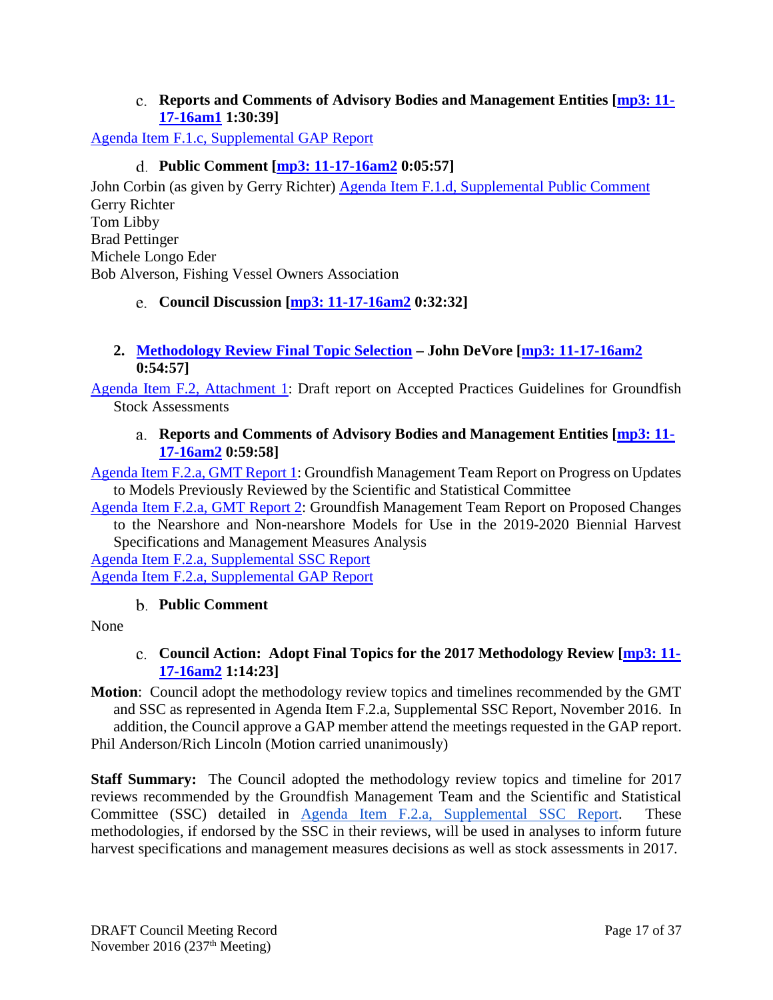#### **Reports and Comments of Advisory Bodies and Management Entities [\[mp3: 11-](ftp://ftp.pcouncil.org/pub/R1611_November_2016_Recordings/11-17-16am1Copy.mp3) [17-16am1](ftp://ftp.pcouncil.org/pub/R1611_November_2016_Recordings/11-17-16am1Copy.mp3) 1:30:39]**

<span id="page-16-1"></span><span id="page-16-0"></span>[Agenda Item F.1.c, Supplemental GAP Report](http://www.pcouncil.org/wp-content/uploads/2016/11/F1c_Sup_GAP_Rpt_NMFSRpt_NOV2016BB.pdf)

## **Public Comment [\[mp3: 11-17-16am2](ftp://ftp.pcouncil.org/pub/R1611_November_2016_Recordings/11-17-16am2Copy.mp3) 0:05:57]**

John Corbin (as given by Gerry Richter) [Agenda Item F.1.d, Supplemental Public Comment](http://www.pcouncil.org/wp-content/uploads/2016/11/F1d_Sup_PubCom_NOV2016BB.pdf) Gerry Richter Tom Libby Brad Pettinger Michele Longo Eder Bob Alverson, Fishing Vessel Owners Association

### <span id="page-16-2"></span>**Council Discussion [\[mp3: 11-17-16am2](ftp://ftp.pcouncil.org/pub/R1611_November_2016_Recordings/11-17-16am2Copy.mp3) 0:32:32]**

### <span id="page-16-3"></span>**2. [Methodology Review Final](http://www.pcouncil.org/wp-content/uploads/2016/10/F2__SitSum_MethReview_NOV2016BB.pdf) Topic Selection – John DeVore [\[mp3: 11-17-16am2](ftp://ftp.pcouncil.org/pub/R1611_November_2016_Recordings/11-17-16am2Copy.mp3) 0:54:57]**

<span id="page-16-4"></span>[Agenda Item F.2, Attachment 1:](http://www.pcouncil.org/wp-content/uploads/2016/10/F2_Att1_AcceptedPracticesGuidelines_Draft_NOV2016BB.pdf) Draft report on Accepted Practices Guidelines for Groundfish Stock Assessments

### **Reports and Comments of Advisory Bodies and Management Entities [\[mp3: 11-](ftp://ftp.pcouncil.org/pub/R1611_November_2016_Recordings/11-17-16am2Copy.mp3) [17-16am2](ftp://ftp.pcouncil.org/pub/R1611_November_2016_Recordings/11-17-16am2Copy.mp3) 0:59:58]**

[Agenda Item F.2.a, GMT Report 1:](http://www.pcouncil.org/wp-content/uploads/2016/10/F2a_GMT_Rpt1_NOV2016BB.pdf) Groundfish Management Team Report on Progress on Updates to Models Previously Reviewed by the Scientific and Statistical Committee

[Agenda Item F.2.a,](http://www.pcouncil.org/wp-content/uploads/2016/10/F2a_GMT_Rpt2_NOV2016BB.pdf) GMT Report 2: Groundfish Management Team Report on Proposed Changes to the Nearshore and Non-nearshore Models for Use in the 2019-2020 Biennial Harvest Specifications and Management Measures Analysis

[Agenda Item F.2.a, Supplemental SSC Report](http://www.pcouncil.org/wp-content/uploads/2016/11/F2a_Sup_SSC_Rpt_NOV2016BB.pdf) [Agenda Item F.2.a, Supplemental GAP Report](http://www.pcouncil.org/wp-content/uploads/2016/11/F2a_Sup_GAP_Rpt_MethReview_NOV2016BB.pdf)

### **Public Comment**

<span id="page-16-6"></span><span id="page-16-5"></span>None

### **Council Action: Adopt Final Topics for the 2017 Methodology Review [\[mp3: 11-](ftp://ftp.pcouncil.org/pub/R1611_November_2016_Recordings/11-17-16am2Copy.mp3) [17-16am2](ftp://ftp.pcouncil.org/pub/R1611_November_2016_Recordings/11-17-16am2Copy.mp3) 1:14:23]**

**Motion**: Council adopt the methodology review topics and timelines recommended by the GMT and SSC as represented in Agenda Item F.2.a, Supplemental SSC Report, November 2016. In addition, the Council approve a GAP member attend the meetings requested in the GAP report. Phil Anderson/Rich Lincoln (Motion carried unanimously)

**Staff Summary:** The Council adopted the methodology review topics and timeline for 2017 reviews recommended by the Groundfish Management Team and the Scientific and Statistical Committee (SSC) detailed in [Agenda Item F.2.a, Supplemental SSC Report.](http://www.pcouncil.org/wp-content/uploads/2016/11/F2a_Sup_SSC_Rpt_NOV2016BB.pdf) These methodologies, if endorsed by the SSC in their reviews, will be used in analyses to inform future harvest specifications and management measures decisions as well as stock assessments in 2017.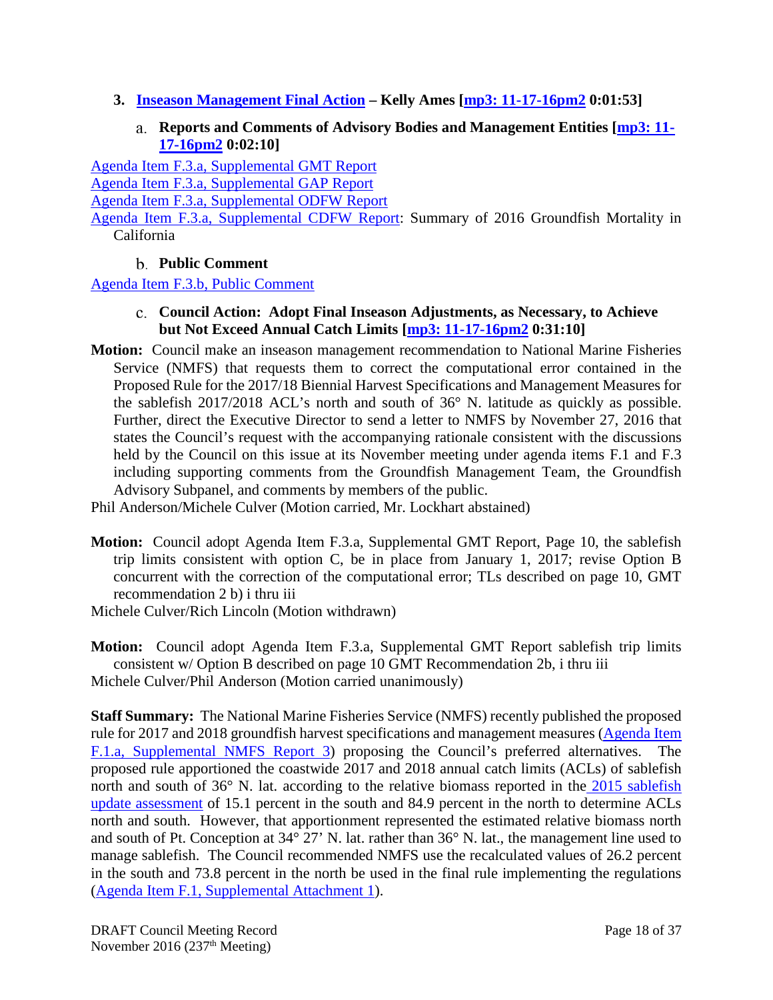- <span id="page-17-1"></span><span id="page-17-0"></span>**3. [Inseason Management Final Action](http://www.pcouncil.org/wp-content/uploads/2016/10/F3__SitSum_Inseason_NOV2016BB.pdf) – Kelly Ames [\[mp3: 11-17-16pm2](ftp://ftp.pcouncil.org/pub/R1611_November_2016_Recordings/11-17-16pm2Copy.mp3) 0:01:53]**
	- **Reports and Comments of Advisory Bodies and Management Entities [\[mp3: 11-](ftp://ftp.pcouncil.org/pub/R1611_November_2016_Recordings/11-17-16pm2Copy.mp3) [17-16pm2](ftp://ftp.pcouncil.org/pub/R1611_November_2016_Recordings/11-17-16pm2Copy.mp3) 0:02:10]**

[Agenda Item F.3.a, Supplemental GMT Report](http://www.pcouncil.org/wp-content/uploads/2016/11/F3a_Sup_GMT_NOV2016BB.pdf)

[Agenda Item F.3.a, Supplemental GAP Report](http://www.pcouncil.org/wp-content/uploads/2016/11/F3a_Sup_GAP_NOV2016BB.pdf)

[Agenda Item F.3.a, Supplemental ODFW Report](http://www.pcouncil.org/wp-content/uploads/2016/11/F3a_Sup_ODFW_Rpt_Inseason_NOV2016BB.pdf)

[Agenda Item F.3.a, Supplemental CDFW Report:](http://www.pcouncil.org/wp-content/uploads/2016/11/F3a_Sup_CDFW_Rpt_2016GFmortality_NOV2016BB.pdf) Summary of 2016 Groundfish Mortality in California

## **Public Comment**

<span id="page-17-3"></span><span id="page-17-2"></span>[Agenda Item F.3.b, Public Comment](http://www.pcouncil.org/wp-content/uploads/2016/10/F3b_PubCom_NOV2016BB.pdf)

- **Council Action: Adopt Final Inseason Adjustments, as Necessary, to Achieve but Not Exceed Annual Catch Limits [\[mp3: 11-17-16pm2](ftp://ftp.pcouncil.org/pub/R1611_November_2016_Recordings/11-17-16pm2Copy.mp3) 0:31:10]**
- **Motion:** Council make an inseason management recommendation to National Marine Fisheries Service (NMFS) that requests them to correct the computational error contained in the Proposed Rule for the 2017/18 Biennial Harvest Specifications and Management Measures for the sablefish 2017/2018 ACL's north and south of 36° N. latitude as quickly as possible. Further, direct the Executive Director to send a letter to NMFS by November 27, 2016 that states the Council's request with the accompanying rationale consistent with the discussions held by the Council on this issue at its November meeting under agenda items F.1 and F.3 including supporting comments from the Groundfish Management Team, the Groundfish Advisory Subpanel, and comments by members of the public.

Phil Anderson/Michele Culver (Motion carried, Mr. Lockhart abstained)

**Motion:** Council adopt Agenda Item F.3.a, Supplemental GMT Report, Page 10, the sablefish trip limits consistent with option C, be in place from January 1, 2017; revise Option B concurrent with the correction of the computational error; TLs described on page 10, GMT recommendation 2 b) i thru iii

Michele Culver/Rich Lincoln (Motion withdrawn)

**Motion:** Council adopt Agenda Item F.3.a, Supplemental GMT Report sablefish trip limits consistent w/ Option B described on page 10 GMT Recommendation 2b, i thru iii Michele Culver/Phil Anderson (Motion carried unanimously)

**Staff Summary:** The National Marine Fisheries Service (NMFS) recently published the proposed rule for 2017 and 2018 groundfish harvest specifications and management measures (Agenda Item [F.1.a, Supplemental NMFS Report 3\)](http://www.pcouncil.org/wp-content/uploads/2016/11/F1a_Sup_NMFS_Rpt3_ElectricOnly_FR_Notice_2017-18_grndfIsh_spex_NOV2016BB.pdf) proposing the Council's preferred alternatives. The proposed rule apportioned the coastwide 2017 and 2018 annual catch limits (ACLs) of sablefish north and south of 36° N. lat. according to the relative biomass reported in the 2015 sablefish [update assessment](http://www.pcouncil.org/wp-content/uploads/2016/04/Sablefish_2015_Final.pdf) of 15.1 percent in the south and 84.9 percent in the north to determine ACLs north and south. However, that apportionment represented the estimated relative biomass north and south of Pt. Conception at 34° 27' N. lat. rather than 36° N. lat., the management line used to manage sablefish. The Council recommended NMFS use the recalculated values of 26.2 percent in the south and 73.8 percent in the north be used in the final rule implementing the regulations [\(Agenda Item F.1, Supplemental Attachment 1\)](http://www.pcouncil.org/wp-content/uploads/2016/11/F1_Sup_Att1_SablefishApportionment_NOV2016BB.pdf).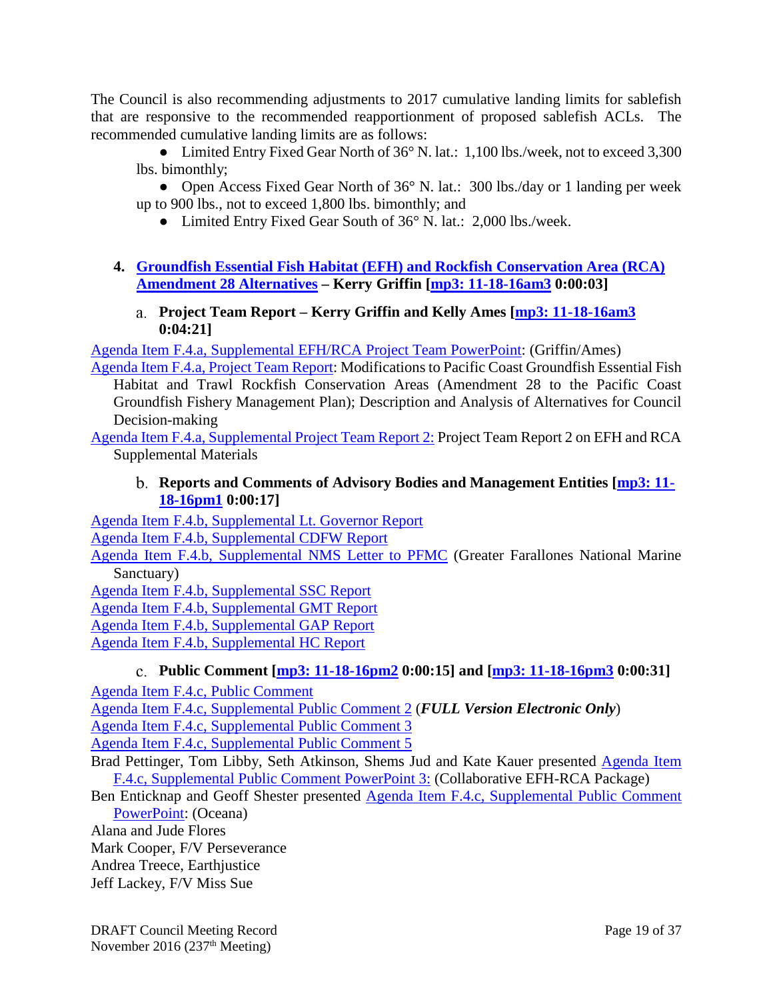The Council is also recommending adjustments to 2017 cumulative landing limits for sablefish that are responsive to the recommended reapportionment of proposed sablefish ACLs. The recommended cumulative landing limits are as follows:

• Limited Entry Fixed Gear North of 36° N. lat.: 1,100 lbs./week, not to exceed 3,300 lbs. bimonthly;

• Open Access Fixed Gear North of 36° N. lat.: 300 lbs./day or 1 landing per week up to 900 lbs., not to exceed 1,800 lbs. bimonthly; and

- Limited Entry Fixed Gear South of 36° N. lat.: 2,000 lbs./week.
- <span id="page-18-0"></span>**4. [Groundfish Essential Fish Habitat \(EFH\) and Rockfish Conservation Area \(RCA\)](http://www.pcouncil.org/wp-content/uploads/2016/10/F4_SitSum_GF_EFH_A28_Alts_NOV2016BB.pdf)  [Amendment 28 Alternatives](http://www.pcouncil.org/wp-content/uploads/2016/10/F4_SitSum_GF_EFH_A28_Alts_NOV2016BB.pdf) – Kerry Griffin [\[mp3: 11-18-16am3](ftp://ftp.pcouncil.org/pub/R1611_November_2016_Recordings/11-18-16am3Copy.mp3) 0:00:03]**
	- **Project Team Report – Kerry Griffin and Kelly Ames [\[mp3: 11-18-16am3](ftp://ftp.pcouncil.org/pub/R1611_November_2016_Recordings/11-18-16am3Copy.mp3) 0:04:21]**

<span id="page-18-1"></span>[Agenda Item F.4.a, Supplemental EFH/RCA Project Team PowerPoint:](http://www.pcouncil.org/wp-content/uploads/2016/11/F4a_Sup_Project_Team_PPT_KFG_NOV2016BB.pdf) (Griffin/Ames)

[Agenda Item F.4.a, Project Team Report:](http://www.pcouncil.org/wp-content/uploads/2016/11/F4a_Project_Team_Report_EFHRCA_Modifications_Analytical_Doc_NOV2016BB.pdf) Modifications to Pacific Coast Groundfish Essential Fish Habitat and Trawl Rockfish Conservation Areas (Amendment 28 to the Pacific Coast Groundfish Fishery Management Plan); Description and Analysis of Alternatives for Council Decision-making

<span id="page-18-2"></span>[Agenda Item F.4.a, Supplemental Project Team Report 2:](http://www.pcouncil.org/wp-content/uploads/2016/11/F4a_Sup_Project_Team_Report_2_NOV2016BB.pdf) Project Team Report 2 on EFH and RCA Supplemental Materials

### **Reports and Comments of Advisory Bodies and Management Entities [\[mp3: 11-](ftp://ftp.pcouncil.org/pub/R1611_November_2016_Recordings/11-18-16pm1Copy.mp3) [18-16pm1](ftp://ftp.pcouncil.org/pub/R1611_November_2016_Recordings/11-18-16pm1Copy.mp3) 0:00:17]**

[Agenda Item F.4.b, Supplemental Lt. Governor Report](http://www.pcouncil.org/wp-content/uploads/2016/10/F4b_Sup_Lt_Governor_Rpt_NOV2016BB.pdf)

[Agenda Item F.4.b, Supplemental CDFW Report](http://www.pcouncil.org/wp-content/uploads/2016/11/F4b_Sup_CDFW_Rpt_NOV2016BB.pdf)

[Agenda Item F.4.b, Supplemental NMS Letter to PFMC](http://www.pcouncil.org/wp-content/uploads/2016/11/F4b_Sup_NMS_Ltr_EFH_to_PFMC_NOV2016BB.pdf) (Greater Farallones National Marine Sanctuary)

[Agenda Item F.4.b, Supplemental SSC Report](http://www.pcouncil.org/wp-content/uploads/2016/11/F4b_Sup_SSC_Rpt_NOV2016BB.pdf)

[Agenda Item F.4.b, Supplemental GMT Report](http://www.pcouncil.org/wp-content/uploads/2016/11/F4b_Sup_GMT_Rpt_NOV2016BB.pdf)

[Agenda Item F.4.b, Supplemental GAP Report](http://www.pcouncil.org/wp-content/uploads/2016/11/F4b_Sup_GAP_Rpt_NOV2016BB.pdf)

<span id="page-18-3"></span>[Agenda Item F.4.b, Supplemental HC Report](http://www.pcouncil.org/wp-content/uploads/2016/11/F4b_Sup_HC_Rpt_NOV2016BB.pdf)

## **Public Comment [\[mp3: 11-18-16pm2](ftp://ftp.pcouncil.org/pub/R1611_November_2016_Recordings/11-18-16pm2Copy.mp3) 0:00:15] and [\[mp3: 11-18-16pm3](ftp://ftp.pcouncil.org/pub/R1611_November_2016_Recordings/11-18-16pm3Copy.mp3) 0:00:31]**

[Agenda Item F.4.c, Public Comment](http://www.pcouncil.org/wp-content/uploads/2016/10/F4c_Pub_Cmt_EFH_NOV2016BB.pdf)

[Agenda Item F.4.c, Supplemental Public Comment 2](http://www.pcouncil.org/wp-content/uploads/2016/11/F4c_Sup_PubCom2_FULL_ELECTRONIC_ONLY_NOV2016BB.pdf) (*FULL Version Electronic Only*)

[Agenda Item F.4.c, Supplemental Public Comment 3](http://www.pcouncil.org/wp-content/uploads/2016/11/F4c_Sup_PubCom3_NOV2016BB.pdf)

[Agenda Item F.4.c, Supplemental Public Comment 5](http://www.pcouncil.org/wp-content/uploads/2016/11/F4c_Sup_PubCom5_NOV2016BB.pdf)

- Brad Pettinger, Tom Libby, Seth Atkinson, Shems Jud and Kate Kauer presented [Agenda Item](http://www.pcouncil.org/wp-content/uploads/2016/11/F4c_Sup_PubCom_PPT3_Collaborative_NOV2016BB.pdf)  [F.4.c, Supplemental Public Comment PowerPoint 3:](http://www.pcouncil.org/wp-content/uploads/2016/11/F4c_Sup_PubCom_PPT3_Collaborative_NOV2016BB.pdf) (Collaborative EFH-RCA Package)
- Ben Enticknap and Geoff Shester presented [Agenda Item F.4.c, Supplemental Public Comment](http://www.pcouncil.org/wp-content/uploads/2016/11/F4c_Sup_PubCom_PPT_Oceana_Shester_NOV2016BB.pdf)  [PowerPoint:](http://www.pcouncil.org/wp-content/uploads/2016/11/F4c_Sup_PubCom_PPT_Oceana_Shester_NOV2016BB.pdf) (Oceana)

Alana and Jude Flores

Mark Cooper, F/V Perseverance Andrea Treece, Earthjustice

Jeff Lackey, F/V Miss Sue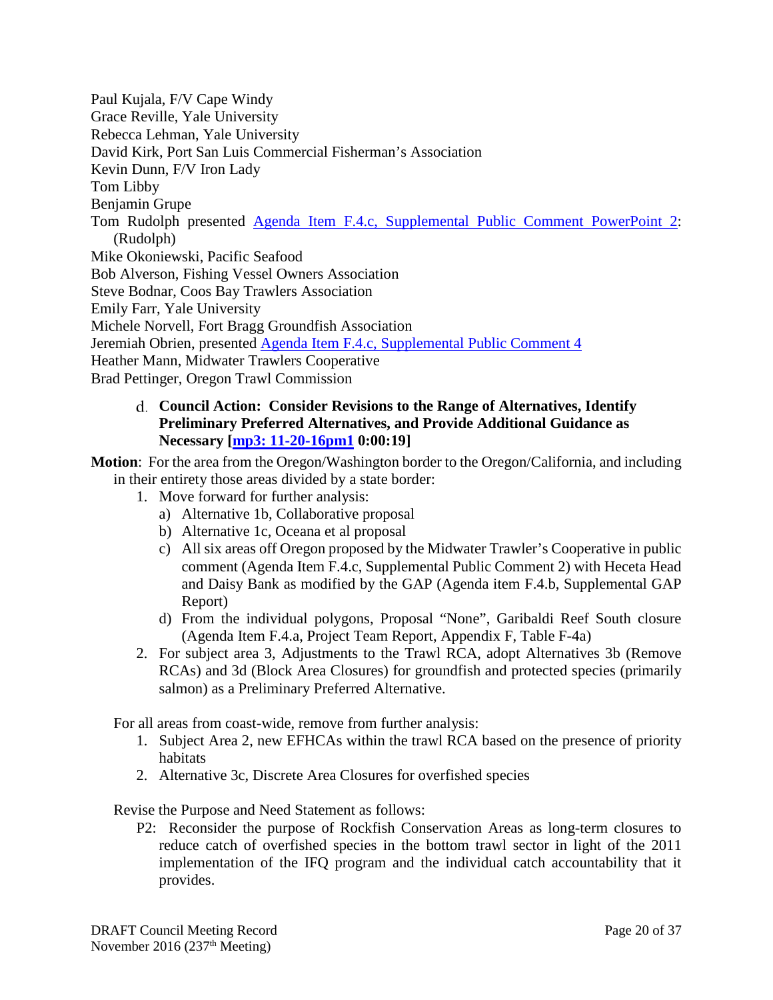Paul Kujala, F/V Cape Windy Grace Reville, Yale University Rebecca Lehman, Yale University David Kirk, Port San Luis Commercial Fisherman's Association Kevin Dunn, F/V Iron Lady Tom Libby Benjamin Grupe Tom Rudolph presented [Agenda Item F.4.c, Supplemental Public Comment PowerPoint](http://www.pcouncil.org/wp-content/uploads/2016/11/F4c_Sup_PubCom_PPT2_Pew_A28_Rudolph_NOV2016BB.pdf) 2: (Rudolph) Mike Okoniewski, Pacific Seafood Bob Alverson, Fishing Vessel Owners Association Steve Bodnar, Coos Bay Trawlers Association Emily Farr, Yale University Michele Norvell, Fort Bragg Groundfish Association Jeremiah Obrien, presented [Agenda Item F.4.c, Supplemental Public Comment 4](http://www.pcouncil.org/wp-content/uploads/2016/11/F4c_Sup_PubCom4_NOV2016BB.pdf) Heather Mann, Midwater Trawlers Cooperative Brad Pettinger, Oregon Trawl Commission

#### <span id="page-19-0"></span>**Council Action: Consider Revisions to the Range of Alternatives, Identify Preliminary Preferred Alternatives, and Provide Additional Guidance as Necessary [\[mp3: 11-20-16pm1](ftp://ftp.pcouncil.org/pub/R1611_November_2016_Recordings/11-20-16pm1Copy.mp3) 0:00:19]**

**Motion**: For the area from the Oregon/Washington border to the Oregon/California, and including in their entirety those areas divided by a state border:

- 1. Move forward for further analysis:
	- a) Alternative 1b, Collaborative proposal
	- b) Alternative 1c, Oceana et al proposal
	- c) All six areas off Oregon proposed by the Midwater Trawler's Cooperative in public comment (Agenda Item F.4.c, Supplemental Public Comment 2) with Heceta Head and Daisy Bank as modified by the GAP (Agenda item F.4.b, Supplemental GAP Report)
	- d) From the individual polygons, Proposal "None", Garibaldi Reef South closure (Agenda Item F.4.a, Project Team Report, Appendix F, Table F-4a)
- 2. For subject area 3, Adjustments to the Trawl RCA, adopt Alternatives 3b (Remove RCAs) and 3d (Block Area Closures) for groundfish and protected species (primarily salmon) as a Preliminary Preferred Alternative.

For all areas from coast-wide, remove from further analysis:

- 1. Subject Area 2, new EFHCAs within the trawl RCA based on the presence of priority habitats
- 2. Alternative 3c, Discrete Area Closures for overfished species

Revise the Purpose and Need Statement as follows:

P2: Reconsider the purpose of Rockfish Conservation Areas as long-term closures to reduce catch of overfished species in the bottom trawl sector in light of the 2011 implementation of the IFQ program and the individual catch accountability that it provides.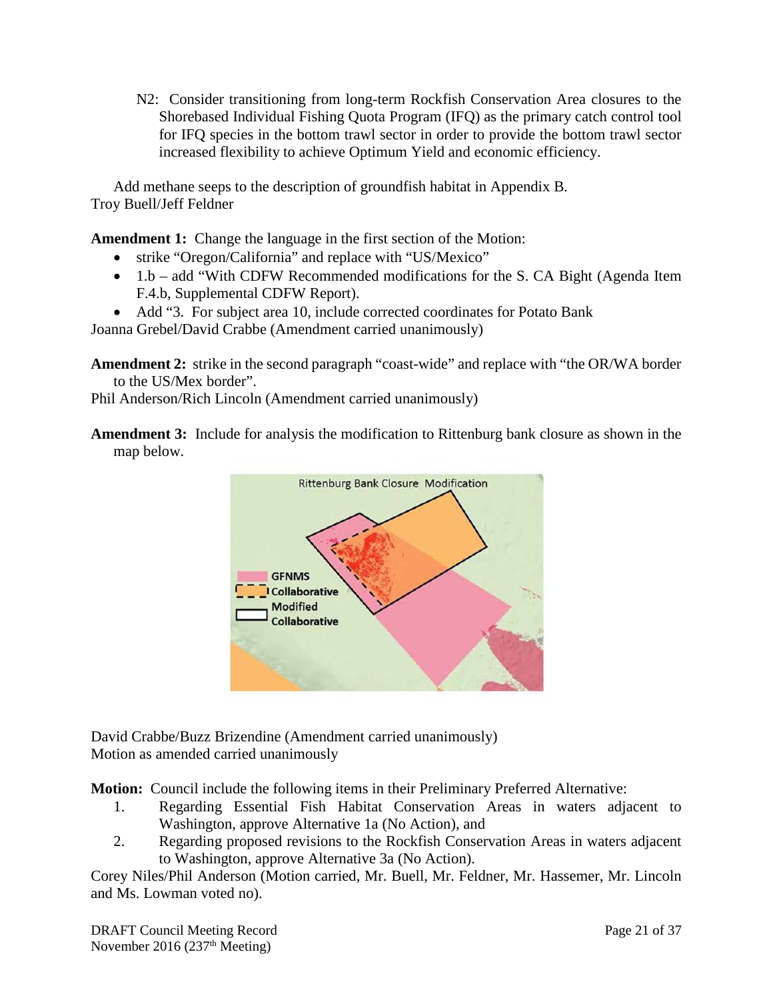N2: Consider transitioning from long-term Rockfish Conservation Area closures to the Shorebased Individual Fishing Quota Program (IFQ) as the primary catch control tool for IFQ species in the bottom trawl sector in order to provide the bottom trawl sector increased flexibility to achieve Optimum Yield and economic efficiency.

Add methane seeps to the description of groundfish habitat in Appendix B. Troy Buell/Jeff Feldner

**Amendment 1:** Change the language in the first section of the Motion:

- strike "Oregon/California" and replace with "US/Mexico"
- 1.b add "With CDFW Recommended modifications for the S. CA Bight (Agenda Item F.4.b, Supplemental CDFW Report).
- Add "3. For subject area 10, include corrected coordinates for Potato Bank

Joanna Grebel/David Crabbe (Amendment carried unanimously)

**Amendment 2:** strike in the second paragraph "coast-wide" and replace with "the OR/WA border to the US/Mex border".

Phil Anderson/Rich Lincoln (Amendment carried unanimously)

**Amendment 3:** Include for analysis the modification to Rittenburg bank closure as shown in the map below.



David Crabbe/Buzz Brizendine (Amendment carried unanimously) Motion as amended carried unanimously

**Motion:** Council include the following items in their Preliminary Preferred Alternative:

- 1. Regarding Essential Fish Habitat Conservation Areas in waters adjacent to Washington, approve Alternative 1a (No Action), and
- 2. Regarding proposed revisions to the Rockfish Conservation Areas in waters adjacent to Washington, approve Alternative 3a (No Action).

Corey Niles/Phil Anderson (Motion carried, Mr. Buell, Mr. Feldner, Mr. Hassemer, Mr. Lincoln and Ms. Lowman voted no).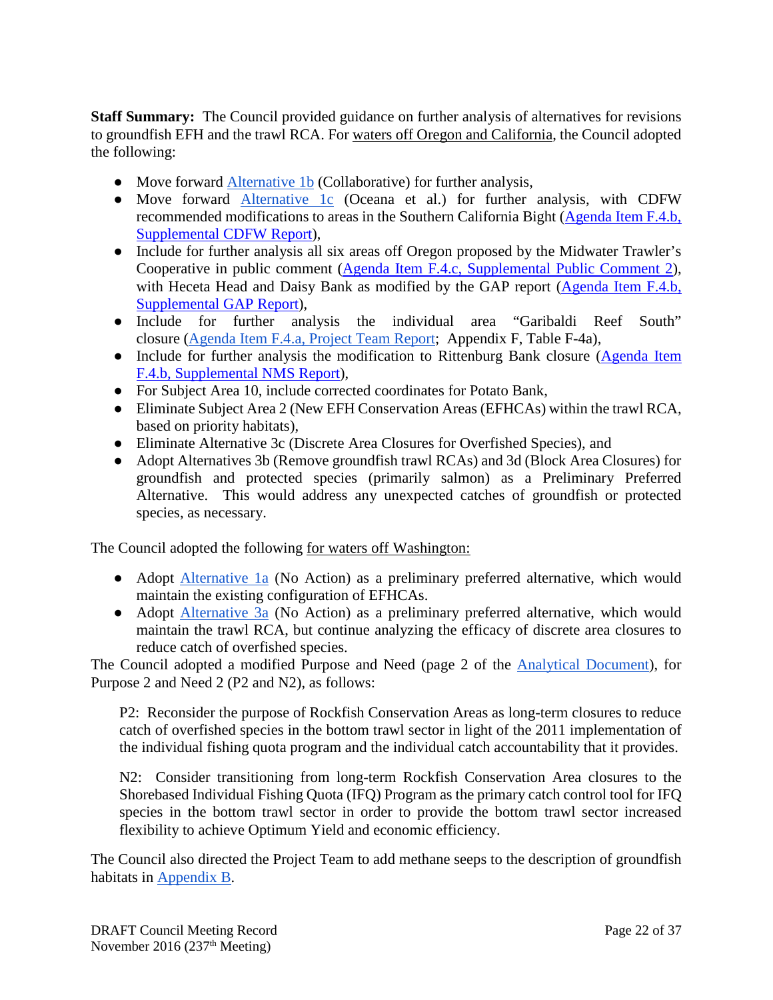**Staff Summary:** The Council provided guidance on further analysis of alternatives for revisions to groundfish EFH and the trawl RCA. For waters off Oregon and California, the Council adopted the following:

- Move forward [Alternative 1b](http://www.pcouncil.org/wp-content/uploads/2016/11/F4a_Project_Team_Report_EFHRCA_Modifications_Analytical_Doc_NOV2016BB.pdf) (Collaborative) for further analysis,
- Move forward [Alternative 1c](http://www.pcouncil.org/wp-content/uploads/2016/11/F4a_Project_Team_Report_EFHRCA_Modifications_Analytical_Doc_NOV2016BB.pdf) (Oceana et al.) for further analysis, with CDFW recommended modifications to areas in the Southern California Bight [\(Agenda Item F.4.b,](http://www.pcouncil.org/wp-content/uploads/2016/11/F4b_Sup_CDFW_Rpt_NOV2016BB.pdf)  [Supplemental CDFW Report\)](http://www.pcouncil.org/wp-content/uploads/2016/11/F4b_Sup_CDFW_Rpt_NOV2016BB.pdf),
- Include for further analysis all six areas off Oregon proposed by the Midwater Trawler's Cooperative in public comment [\(Agenda Item F.4.c, Supplemental Public Comment 2\)](http://www.pcouncil.org/wp-content/uploads/2016/11/F4c_Sup_PubCom2_FULL_ELECTRONIC_ONLY_NOV2016BB.pdf), with Heceta Head and Daisy Bank as modified by the GAP report (Agenda Item F.4.b, [Supplemental GAP Report\)](http://www.pcouncil.org/wp-content/uploads/2016/11/F4b_Sup_GAP_Rpt_NOV2016BB.pdf),
- Include for further analysis the individual area "Garibaldi Reef South" closure [\(Agenda Item F.4.a, P](http://www.pcouncil.org/wp-content/uploads/2016/11/F4a_Project_Team_Report_EFHRCA_Modifications_Analytical_Doc_NOV2016BB.pdf)roject [Team Report;](http://www.pcouncil.org/wp-content/uploads/2016/11/F4a_Project_Team_Report_EFHRCA_Modifications_Analytical_Doc_NOV2016BB.pdf) Appendix F, Table F-4a),
- Include for further analysis the modification to Rittenburg Bank closure (Agenda Item [F.4.b, Supplemental NMS Report\)](http://www.pcouncil.org/wp-content/uploads/2016/11/F4b_Sup_NMS_Ltr_EFH_to_PFMC_NOV2016BB.pdf),
- For Subject Area 10, include corrected coordinates for Potato Bank,
- Eliminate Subject Area 2 (New EFH Conservation Areas (EFHCAs) within the trawl RCA, based on priority habitats),
- Eliminate Alternative 3c (Discrete Area Closures for Overfished Species), and
- Adopt Alternatives 3b (Remove groundfish trawl RCAs) and 3d (Block Area Closures) for groundfish and protected species (primarily salmon) as a Preliminary Preferred Alternative. This would address any unexpected catches of groundfish or protected species, as necessary.

The Council adopted the following for waters off Washington:

- Adopt [Alternative 1a](http://www.pcouncil.org/wp-content/uploads/2016/11/F4a_Project_Team_Report_EFHRCA_Modifications_Analytical_Doc_NOV2016BB.pdf) (No Action) as a preliminary preferred alternative, which would maintain the existing configuration of EFHCAs.
- Adopt [Alternative 3a](http://www.pcouncil.org/wp-content/uploads/2016/11/F4a_Project_Team_Report_EFHRCA_Modifications_Analytical_Doc_NOV2016BB.pdf) (No Action) as a preliminary preferred alternative, which would maintain the trawl RCA, but continue analyzing the efficacy of discrete area closures to reduce catch of overfished species.

The Council adopted a modified Purpose and Need (page 2 of the [Analytical Document\)](http://www.pcouncil.org/wp-content/uploads/2016/11/F4a_Project_Team_Report_EFHRCA_Modifications_Analytical_Doc_NOV2016BB.pdf), for Purpose 2 and Need 2 (P2 and N2), as follows:

P2: Reconsider the purpose of Rockfish Conservation Areas as long-term closures to reduce catch of overfished species in the bottom trawl sector in light of the 2011 implementation of the individual fishing quota program and the individual catch accountability that it provides.

N2: Consider transitioning from long-term Rockfish Conservation Area closures to the Shorebased Individual Fishing Quota (IFQ) Program as the primary catch control tool for IFQ species in the bottom trawl sector in order to provide the bottom trawl sector increased flexibility to achieve Optimum Yield and economic efficiency.

The Council also directed the Project Team to add methane seeps to the description of groundfish habitats in [Appendix B.](http://www.pcouncil.org/wp-content/uploads/GF_FMP_App_B3.pdf)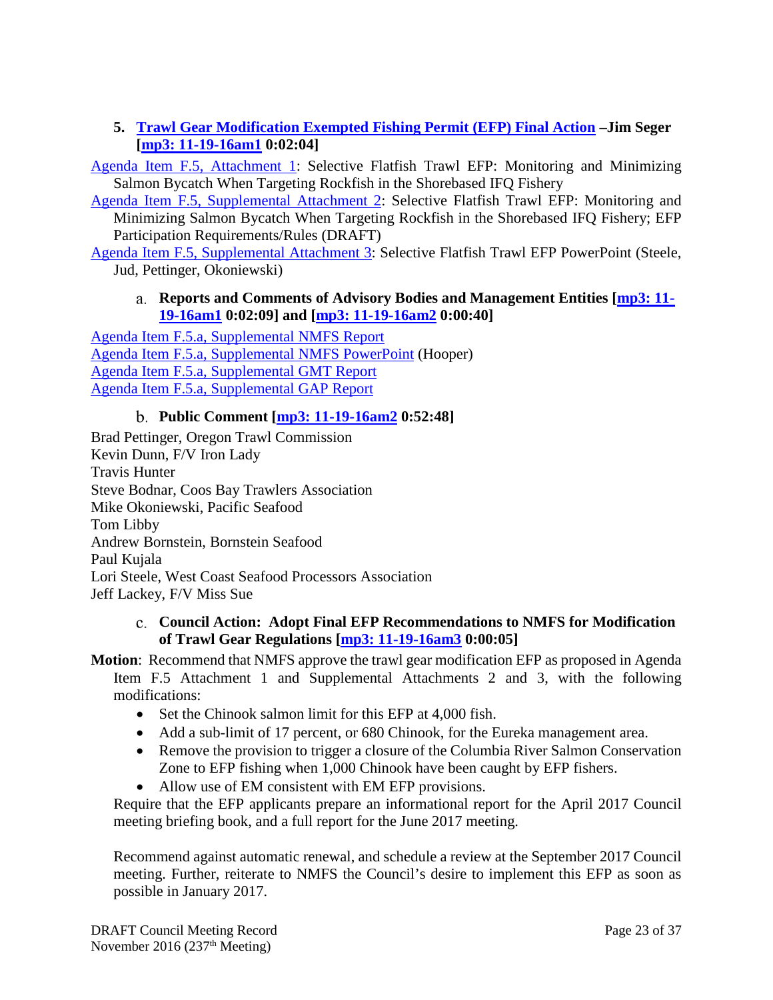### <span id="page-22-0"></span>**5. [Trawl Gear Modification Exempted Fishing Permit \(EFP\) Final Action](http://www.pcouncil.org/wp-content/uploads/2016/10/F5__SitSum_EFPs_2017-18_NOV2016BB.pdf) –Jim Seger [\[mp3: 11-19-16am1](ftp://ftp.pcouncil.org/pub/R1611_November_2016_Recordings/11-19-16am1Copy.mp3) 0:02:04]**

[Agenda Item F.5, Attachment 1:](http://www.pcouncil.org/wp-content/uploads/2016/10/F5_Att1_Selective.Flatfish.Trawl_.EFP_.Proposal.10.20.2016_NOV2016BB.pdf) Selective Flatfish Trawl EFP: Monitoring and Minimizing Salmon Bycatch When Targeting Rockfish in the Shorebased IFQ Fishery

[Agenda Item F.5, Supplemental Attachment 2:](http://www.pcouncil.org/wp-content/uploads/2016/11/F5_Sup_Att2_SelectFFTrawlEFP_NOV2016BB.pdf) Selective Flatfish Trawl EFP: Monitoring and Minimizing Salmon Bycatch When Targeting Rockfish in the Shorebased IFQ Fishery; EFP Participation Requirements/Rules (DRAFT)

<span id="page-22-1"></span>[Agenda Item F.5, Supplemental Attachment 3:](http://www.pcouncil.org/wp-content/uploads/2016/11/F5a_Sup_Att3_PPT_SFFT_EFP_Steele_NOV2016BB.pdf) Selective Flatfish Trawl EFP PowerPoint (Steele, Jud, Pettinger, Okoniewski)

#### **Reports and Comments of Advisory Bodies and Management Entities [\[mp3: 11-](ftp://ftp.pcouncil.org/pub/R1611_November_2016_Recordings/11-19-16am1Copy.mp3) [19-16am1](ftp://ftp.pcouncil.org/pub/R1611_November_2016_Recordings/11-19-16am1Copy.mp3) 0:02:09] and [\[mp3: 11-19-16am2](ftp://ftp.pcouncil.org/pub/R1611_November_2016_Recordings/11-19-16am2Copy.mp3) 0:00:40]**

[Agenda Item F.5.a, Supplemental NMFS Report](http://www.pcouncil.org/wp-content/uploads/2016/11/F5a_Sup_NMFS_Rpt_NOV2016BB.pdf) [Agenda Item F.5.a, Supplemental NMFS PowerPoint](http://www.pcouncil.org/wp-content/uploads/2016/11/F5a_Sup_NMFS_PPT_Hooper_NOV2016BB.pdf) (Hooper) [Agenda Item F.5.a, Supplemental GMT Report](http://www.pcouncil.org/wp-content/uploads/2016/11/F5a_Sup_GMT_Rpt_NOV2016BB.pdf) [Agenda Item F.5.a, Supplemental GAP Report](http://www.pcouncil.org/wp-content/uploads/2016/11/F5a_Sup_GAP_Rpt_NOV2016BB.pdf)

## **Public Comment [\[mp3: 11-19-16am2](ftp://ftp.pcouncil.org/pub/R1611_November_2016_Recordings/11-19-16am2Copy.mp3) 0:52:48]**

<span id="page-22-2"></span>Brad Pettinger, Oregon Trawl Commission Kevin Dunn, F/V Iron Lady Travis Hunter Steve Bodnar, Coos Bay Trawlers Association Mike Okoniewski, Pacific Seafood Tom Libby Andrew Bornstein, Bornstein Seafood Paul Kujala Lori Steele, West Coast Seafood Processors Association Jeff Lackey, F/V Miss Sue

#### <span id="page-22-3"></span>**Council Action: Adopt Final EFP Recommendations to NMFS for Modification of Trawl Gear Regulations [\[mp3: 11-19-16am3](ftp://ftp.pcouncil.org/pub/R1611_November_2016_Recordings/11-19-16am3Copy.mp3) 0:00:05]**

**Motion**: Recommend that NMFS approve the trawl gear modification EFP as proposed in Agenda Item F.5 Attachment 1 and Supplemental Attachments 2 and 3, with the following modifications:

- Set the Chinook salmon limit for this EFP at 4,000 fish.
- Add a sub-limit of 17 percent, or 680 Chinook, for the Eureka management area.
- Remove the provision to trigger a closure of the Columbia River Salmon Conservation Zone to EFP fishing when 1,000 Chinook have been caught by EFP fishers.
- Allow use of EM consistent with EM EFP provisions.

Require that the EFP applicants prepare an informational report for the April 2017 Council meeting briefing book, and a full report for the June 2017 meeting.

Recommend against automatic renewal, and schedule a review at the September 2017 Council meeting. Further, reiterate to NMFS the Council's desire to implement this EFP as soon as possible in January 2017.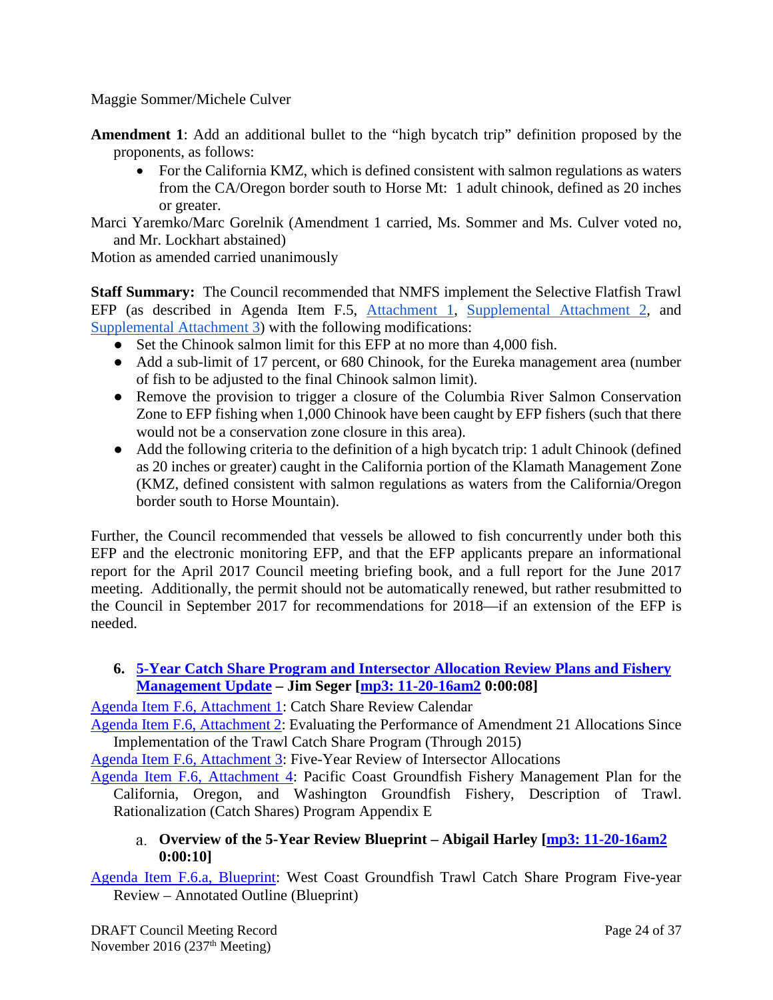Maggie Sommer/Michele Culver

- **Amendment 1**: Add an additional bullet to the "high bycatch trip" definition proposed by the proponents, as follows:
	- For the California KMZ, which is defined consistent with salmon regulations as waters from the CA/Oregon border south to Horse Mt: 1 adult chinook, defined as 20 inches or greater.
- Marci Yaremko/Marc Gorelnik (Amendment 1 carried, Ms. Sommer and Ms. Culver voted no, and Mr. Lockhart abstained)

Motion as amended carried unanimously

**Staff Summary:** The Council recommended that NMFS implement the Selective Flatfish Trawl EFP (as described in Agenda Item F.5, [Attachment 1,](http://www.pcouncil.org/wp-content/uploads/2016/10/F5_Att1_Selective.Flatfish.Trawl_.EFP_.Proposal.10.20.2016_NOV2016BB.pdf) [Supplemental Attachment 2,](http://www.pcouncil.org/wp-content/uploads/2016/11/F5_Sup_Att2_SelectFFTrawlEFP_NOV2016BB.pdf) an[d](http://www.pcouncil.org/wp-content/uploads/2016/11/F5a_Sup_Att3_PPT_SFFT_EFP_Steele_NOV2016BB.pdf) [Supplemental Attachment 3\)](http://www.pcouncil.org/wp-content/uploads/2016/11/F5a_Sup_Att3_PPT_SFFT_EFP_Steele_NOV2016BB.pdf) with the following modifications:

- Set the Chinook salmon limit for this EFP at no more than 4,000 fish.
- Add a sub-limit of 17 percent, or 680 Chinook, for the Eureka management area (number of fish to be adjusted to the final Chinook salmon limit).
- Remove the provision to trigger a closure of the Columbia River Salmon Conservation Zone to EFP fishing when 1,000 Chinook have been caught by EFP fishers (such that there would not be a conservation zone closure in this area).
- Add the following criteria to the definition of a high bycatch trip: 1 adult Chinook (defined as 20 inches or greater) caught in the California portion of the Klamath Management Zone (KMZ, defined consistent with salmon regulations as waters from the California/Oregon border south to Horse Mountain).

Further, the Council recommended that vessels be allowed to fish concurrently under both this EFP and the electronic monitoring EFP, and that the EFP applicants prepare an informational report for the April 2017 Council meeting briefing book, and a full report for the June 2017 meeting. Additionally, the permit should not be automatically renewed, but rather resubmitted to the Council in September 2017 for recommendations for 2018—if an extension of the EFP is needed.

### <span id="page-23-0"></span>**6. 5-Year Catch Share Program [and Intersector Allocation Review Plans and Fishery](http://www.pcouncil.org/wp-content/uploads/2016/10/F6__SitSum_CatchShare5YR_NOV2016BB.pdf)  [Management Update](http://www.pcouncil.org/wp-content/uploads/2016/10/F6__SitSum_CatchShare5YR_NOV2016BB.pdf) – Jim Seger [\[mp3: 11-20-16am2](ftp://ftp.pcouncil.org/pub/R1611_November_2016_Recordings/11-20-16am2Copy.mp3) 0:00:08]**

[Agenda Item F.6, Attachment 1:](http://www.pcouncil.org/wp-content/uploads/2016/10/F6_Att1_ReviewCalendar_NOV2016BB.pdf) Catch Share Review Calendar

[Agenda Item F.6, Attachment 2:](http://www.pcouncil.org/wp-content/uploads/2016/10/F6_Att2_Am21Eval-2015_NOV2016BB.pdf) Evaluating the Performance of Amendment 21 Allocations Since Implementation of the Trawl Catch Share Program (Through 2015)

[Agenda Item F.6, Attachment 3:](http://www.pcouncil.org/wp-content/uploads/2016/10/F6_Att3_ISA_Rvw_NOV2016BB.pdf) Five-Year Review of Intersector Allocations

[Agenda Item F.6, Attachment 4:](http://www.pcouncil.org/wp-content/uploads/2016/10/F6_Att4_GF_FMP_ApdxE_RevThruAug162016_Draft_NOV2016BB.pdf) Pacific Coast Groundfish Fishery Management Plan for the California, Oregon, and Washington Groundfish Fishery, Description of Trawl. Rationalization (Catch Shares) Program Appendix E

#### <span id="page-23-1"></span>**Overview of the 5-Year Review Blueprint – Abigail Harley [\[mp3: 11-20-16am2](ftp://ftp.pcouncil.org/pub/R1611_November_2016_Recordings/11-20-16am2Copy.mp3) 0:00:10]**

[Agenda Item F.6.a, Blueprint:](http://www.pcouncil.org/wp-content/uploads/2016/10/F6a_Blueprint-Fin_BB_NOV2016BB.pdf) West Coast Groundfish Trawl Catch Share Program Five-year Review – Annotated Outline (Blueprint)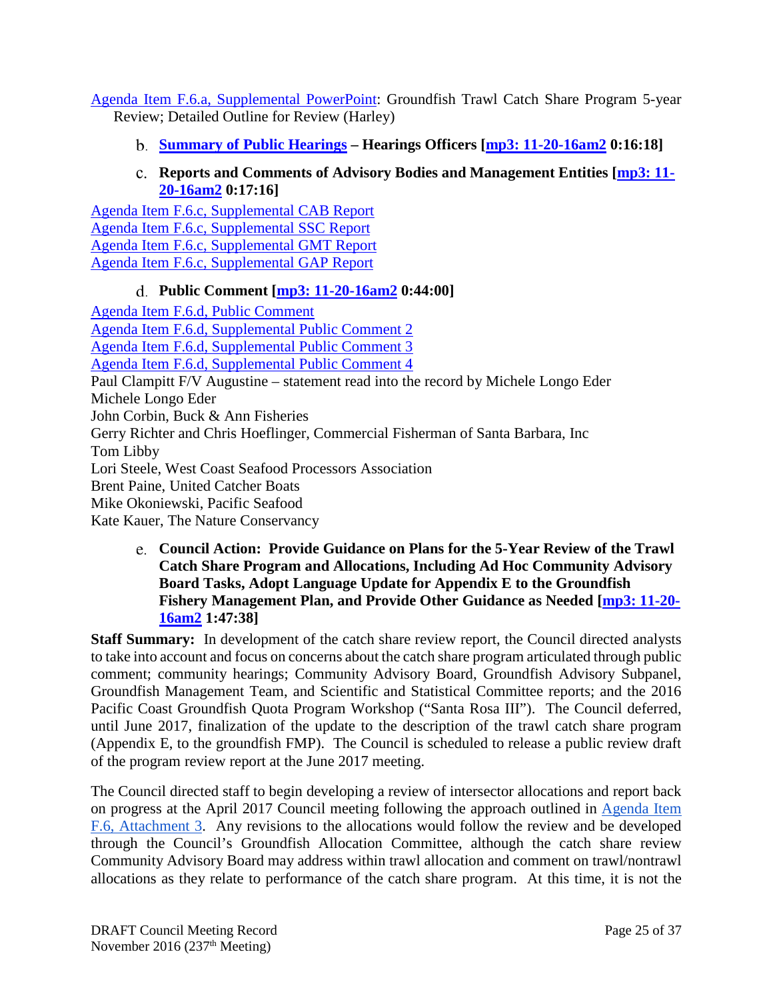[Agenda Item F.6.a, Supplemental PowerPoint:](http://www.pcouncil.org/wp-content/uploads/2016/11/F6a_Harley_CS_5_Year_Review_Outline_PPT_NOV2016BB.pdf) Groundfish Trawl Catch Share Program 5-year Review; Detailed Outline for Review (Harley)

<span id="page-24-0"></span>**[Summary of Public Hearings](http://www.pcouncil.org/wp-content/uploads/2016/10/F6b_FiveYearRvw_Hrg_Sums_NOV2016BB.pdf) – Hearings Officers [\[mp3: 11-20-16am2](ftp://ftp.pcouncil.org/pub/R1611_November_2016_Recordings/11-20-16am2Copy.mp3) 0:16:18]**

## **Reports and Comments of Advisory Bodies and Management Entities [\[mp3:](ftp://ftp.pcouncil.org/pub/R1611_November_2016_Recordings/11-20-16am2Copy.mp3) 11- [20-16am2](ftp://ftp.pcouncil.org/pub/R1611_November_2016_Recordings/11-20-16am2Copy.mp3) 0:17:16]**

<span id="page-24-1"></span>[Agenda Item F.6.c, Supplemental CAB Report](http://www.pcouncil.org/wp-content/uploads/2016/11/F6c_Sup_CAB_Rpt_NOV2016BB.pdf) [Agenda Item F.6.c, Supplemental SSC Report](http://www.pcouncil.org/wp-content/uploads/2016/11/F6c_Sup_SSC_Rpt_NOV2016BB.pdf) [Agenda Item F.6.c, Supplemental GMT Report](http://www.pcouncil.org/wp-content/uploads/2016/11/F6c_Sup_GMT_Rpt_NOV2016BB.pdf) [Agenda Item F.6.c, Supplemental GAP Report](http://www.pcouncil.org/wp-content/uploads/2016/11/F6c_Sup_GAP_Rpt_NOV2016BB.pdf)

## **Public Comment [\[mp3: 11-20-16am2](ftp://ftp.pcouncil.org/pub/R1611_November_2016_Recordings/11-20-16am2Copy.mp3) 0:44:00]**

<span id="page-24-2"></span>[Agenda Item F.6.d, Public Comment](http://www.pcouncil.org/wp-content/uploads/2016/10/F6d_PubCom_NOV2016BB.pdf) Agenda Item [F.6.d, Supplemental Public Comment 2](http://www.pcouncil.org/wp-content/uploads/2016/11/F6d_Sup_PubCom2_NOV2016BB.pdf) [Agenda Item F.6.d, Supplemental Public Comment 3](http://www.pcouncil.org/wp-content/uploads/2016/11/F6d_Sup_PubCom3_NOV2016BB.pdf) [Agenda Item F.6.d, Supplemental Public Comment 4](http://www.pcouncil.org/wp-content/uploads/2016/11/F6d_Sup_PubCom4_NOV2016BB.pdf) Paul Clampitt F/V Augustine – statement read into the record by Michele Longo Eder Michele Longo Eder John Corbin, Buck & Ann Fisheries Gerry Richter and Chris Hoeflinger, Commercial Fisherman of Santa Barbara, Inc Tom Libby Lori Steele, West Coast Seafood Processors Association Brent Paine, United Catcher Boats Mike Okoniewski, Pacific Seafood Kate Kauer, The Nature Conservancy

<span id="page-24-3"></span>**Council Action: Provide Guidance on Plans for the 5-Year Review of the Trawl Catch Share Program and Allocations, Including Ad Hoc Community Advisory Board Tasks, Adopt Language Update for Appendix E to the Groundfish Fishery Management Plan, and Provide Other Guidance as Needed [\[mp3: 11-20-](ftp://ftp.pcouncil.org/pub/R1611_November_2016_Recordings/11-20-16am2Copy.mp3) [16am2](ftp://ftp.pcouncil.org/pub/R1611_November_2016_Recordings/11-20-16am2Copy.mp3) 1:47:38]**

**Staff Summary:** In development of the catch share review report, the Council directed analysts to take into account and focus on concerns about the catch share program articulated through public comment; community hearings; Community Advisory Board, Groundfish Advisory Subpanel, Groundfish Management Team, and Scientific and Statistical Committee reports; and the 2016 Pacific Coast Groundfish Quota Program Workshop ("Santa Rosa III"). The Council deferred, until June 2017, finalization of the update to the description of the trawl catch share program (Appendix E, to the groundfish FMP). The Council is scheduled to release a public review draft of the program review report at the June 2017 meeting.

The Council directed staff to begin developing a review of intersector allocations and report back on progress at the April 2017 Council meeting following the approach outlined in [Agenda Item](http://www.pcouncil.org/wp-content/uploads/2016/10/F6_Att3_ISA_Rvw_NOV2016BB.pdf)  [F.6, Attachment 3.](http://www.pcouncil.org/wp-content/uploads/2016/10/F6_Att3_ISA_Rvw_NOV2016BB.pdf) Any revisions to the allocations would follow the review and be developed through the Council's Groundfish Allocation Committee, although the catch share review Community Advisory Board may address within trawl allocation and comment on trawl/nontrawl allocations as they relate to performance of the catch share program. At this time, it is not the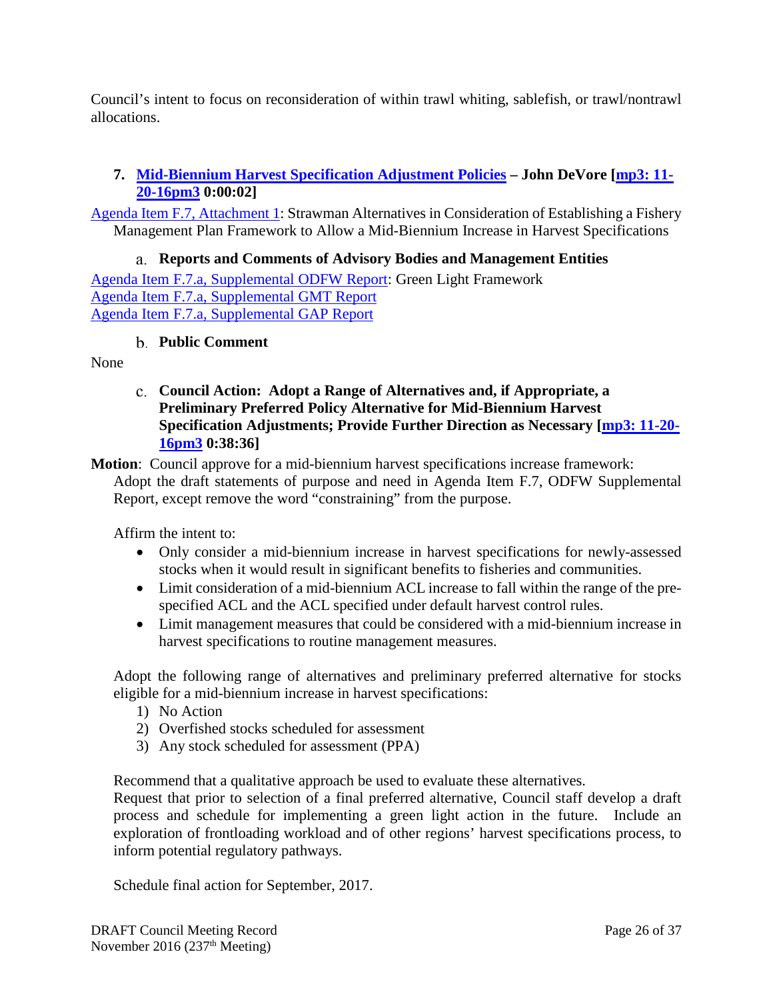Council's intent to focus on reconsideration of within trawl whiting, sablefish, or trawl/nontrawl allocations.

### <span id="page-25-0"></span>**7. [Mid-Biennium Harvest Specification Adjustment Policies](http://www.pcouncil.org/wp-content/uploads/2016/10/F7__SitSum_GreenLightPolicy_NOV2016BB.pdf) – John DeVore [\[mp3: 11-](ftp://ftp.pcouncil.org/pub/R1611_November_2016_Recordings/11-20-16pm3Copy.mp3) [20-16pm3](ftp://ftp.pcouncil.org/pub/R1611_November_2016_Recordings/11-20-16pm3Copy.mp3) 0:00:02]**

[Agenda Item F.7, Attachment 1:](http://www.pcouncil.org/wp-content/uploads/2016/10/F7_Att1_GreenLightPolicy_NOV2016BB.pdf) Strawman Alternatives in Consideration of Establishing a Fishery Management Plan Framework to Allow a Mid-Biennium Increase in Harvest Specifications

<span id="page-25-1"></span>**Reports and Comments of Advisory Bodies and Management Entities** [Agenda Item F.7.a, Supplemental ODFW Report:](http://www.pcouncil.org/wp-content/uploads/2016/11/F7a_Sup_ODFW_Rpt_GreenLight_NOV2016BB.pdf) Green Light Framework [Agenda Item F.7.a, Supplemental GMT Report](http://www.pcouncil.org/wp-content/uploads/2016/11/F7a_Sup_GMT_Rpt_NOV2016BB.pdf) [Agenda Item F.7.a, Supplemental GAP Report](http://www.pcouncil.org/wp-content/uploads/2016/11/F7a_Sup_GAP_Rpt_NOV2016BB.pdf)

#### **Public Comment**

<span id="page-25-3"></span><span id="page-25-2"></span>None

**Council Action: Adopt a Range of Alternatives and, if Appropriate, a Preliminary Preferred Policy Alternative for Mid-Biennium Harvest Specification Adjustments; Provide Further Direction as Necessary [\[mp3: 11-20-](ftp://ftp.pcouncil.org/pub/R1611_November_2016_Recordings/11-20-16pm3Copy.mp3) [16pm3](ftp://ftp.pcouncil.org/pub/R1611_November_2016_Recordings/11-20-16pm3Copy.mp3) 0:38:36]**

**Motion**: Council approve for a mid-biennium harvest specifications increase framework: Adopt the draft statements of purpose and need in Agenda Item F.7, ODFW Supplemental Report, except remove the word "constraining" from the purpose.

Affirm the intent to:

- Only consider a mid-biennium increase in harvest specifications for newly-assessed stocks when it would result in significant benefits to fisheries and communities.
- Limit consideration of a mid-biennium ACL increase to fall within the range of the prespecified ACL and the ACL specified under default harvest control rules.
- Limit management measures that could be considered with a mid-biennium increase in harvest specifications to routine management measures.

Adopt the following range of alternatives and preliminary preferred alternative for stocks eligible for a mid-biennium increase in harvest specifications:

- 1) No Action
- 2) Overfished stocks scheduled for assessment
- 3) Any stock scheduled for assessment (PPA)

Recommend that a qualitative approach be used to evaluate these alternatives.

Request that prior to selection of a final preferred alternative, Council staff develop a draft process and schedule for implementing a green light action in the future. Include an exploration of frontloading workload and of other regions' harvest specifications process, to inform potential regulatory pathways.

Schedule final action for September, 2017.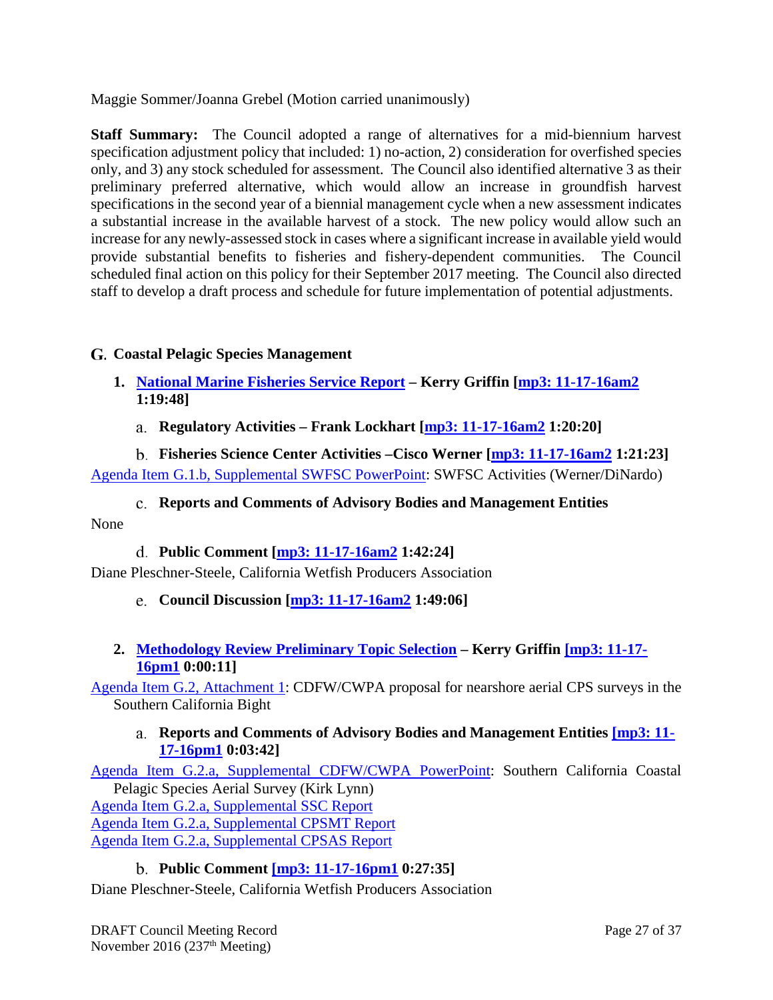Maggie Sommer/Joanna Grebel (Motion carried unanimously)

**Staff Summary:** The Council adopted a range of alternatives for a mid-biennium harvest specification adjustment policy that included: 1) no-action, 2) consideration for overfished species only, and 3) any stock scheduled for assessment. The Council also identified alternative 3 as their preliminary preferred alternative, which would allow an increase in groundfish harvest specifications in the second year of a biennial management cycle when a new assessment indicates a substantial increase in the available harvest of a stock. The new policy would allow such an increase for any newly-assessed stock in cases where a significant increase in available yield would provide substantial benefits to fisheries and fishery-dependent communities. The Council scheduled final action on this policy for their September 2017 meeting. The Council also directed staff to develop a draft process and schedule for future implementation of potential adjustments.

## <span id="page-26-0"></span>**Coastal Pelagic Species Management**

- <span id="page-26-1"></span>**1. [National Marine Fisheries Service Report](http://www.pcouncil.org/wp-content/uploads/2016/10/G1__SitSum_NMFSRptCPS_NOV2016BB.pdf) – Kerry Griffin [\[mp3: 11-17-16am2](ftp://ftp.pcouncil.org/pub/R1611_November_2016_Recordings/11-17-16am2Copy.mp3) 1:19:48]**
	- **Regulatory Activities – Frank Lockhart [\[mp3: 11-17-16am2](ftp://ftp.pcouncil.org/pub/R1611_November_2016_Recordings/11-17-16am2Copy.mp3) 1:20:20]**

<span id="page-26-3"></span><span id="page-26-2"></span>**Fisheries Science Center Activities –Cisco Werner [\[mp3: 11-17-16am2](ftp://ftp.pcouncil.org/pub/R1611_November_2016_Recordings/11-17-16am2Copy.mp3) 1:21:23]** [Agenda Item G.1.b, Supplemental SWFSC PowerPoint:](http://www.pcouncil.org/wp-content/uploads/2016/11/G1b_Sup_SWFSC_PPT_Werner_NOV2016BB.pdf) SWFSC Activities (Werner/DiNardo)

**Reports and Comments of Advisory Bodies and Management Entities**

<span id="page-26-5"></span><span id="page-26-4"></span>None

## **Public Comment [\[mp3: 11-17-16am2](ftp://ftp.pcouncil.org/pub/R1611_November_2016_Recordings/11-17-16am2Copy.mp3) 1:42:24]**

<span id="page-26-6"></span>Diane Pleschner-Steele, California Wetfish Producers Association

- **Council Discussion [\[mp3: 11-17-16am2](ftp://ftp.pcouncil.org/pub/R1611_November_2016_Recordings/11-17-16am2Copy.mp3) 1:49:06]**
- <span id="page-26-7"></span>**2. [Methodology Review Preliminary Topic Selection](http://www.pcouncil.org/wp-content/uploads/2016/10/G2__SitSum_CPS_Meth_Review_NOV2016BB.pdf) – Kerry Griffin [\[mp3: 11-17-](ftp://ftp.pcouncil.org/pub/R1611_November_2016_Recordings/11-17-16pm1Copy.mp3) [16pm1](ftp://ftp.pcouncil.org/pub/R1611_November_2016_Recordings/11-17-16pm1Copy.mp3) 0:00:11]**

<span id="page-26-8"></span>[Agenda Item G.2, Attachment 1:](http://www.pcouncil.org/wp-content/uploads/2016/10/G2_Att1_CDFWandCWPA_proposal_NOV2016BB.pdf) CDFW/CWPA proposal for nearshore aerial CPS surveys in the Southern California Bight

**Reports and Comments of Advisory Bodies and Management Entities [\[mp3: 11-](ftp://ftp.pcouncil.org/pub/R1611_November_2016_Recordings/11-17-16pm1Copy.mp3) [17-16pm1](ftp://ftp.pcouncil.org/pub/R1611_November_2016_Recordings/11-17-16pm1Copy.mp3) 0:03:42]**

[Agenda Item G.2.a, Supplemental CDFW/CWPA PowerPoint:](http://www.pcouncil.org/wp-content/uploads/2016/11/G2a_Sup_CDFW_CWPA_PPT_KirkLynn_AerialSurvey_MethodReviewProposal_NOV2016BB.pdf) Southern California Coastal Pelagic Species Aerial Survey (Kirk Lynn) [Agenda Item G.2.a, Supplemental SSC Report](http://www.pcouncil.org/wp-content/uploads/2016/11/G2a_Sup_SSC_Rpt_NOV2016BB.pdf) [Agenda Item G.2.a, Supplemental CPSMT Report](http://www.pcouncil.org/wp-content/uploads/2016/11/G2a_Sup_CPSMT_Rpt_NOV2016BB.pdf) [Agenda Item G.2.a, Supplemental CPSAS Report](http://www.pcouncil.org/wp-content/uploads/2016/11/G2a_Sup_CPSAS_Rpt_NOV2016BB.pdf)

## **Public Comment [\[mp3: 11-17-16pm1](ftp://ftp.pcouncil.org/pub/R1611_November_2016_Recordings/11-17-16pm1Copy.mp3) 0:27:35]**

<span id="page-26-9"></span>Diane Pleschner-Steele, California Wetfish Producers Association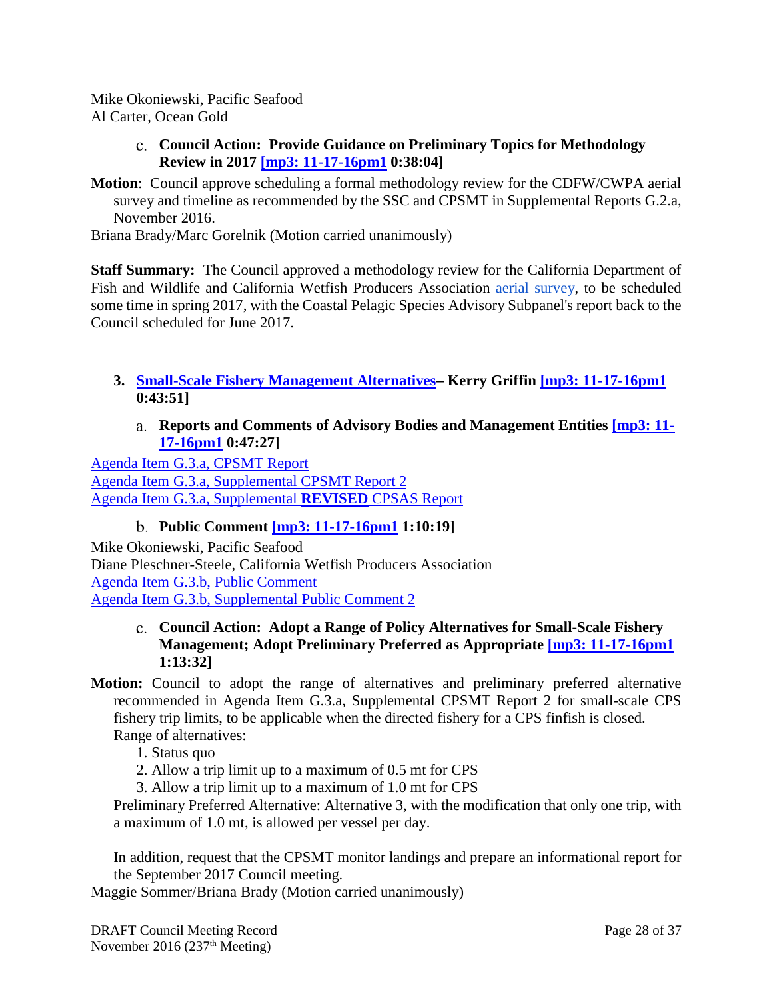<span id="page-27-0"></span>Mike Okoniewski, Pacific Seafood Al Carter, Ocean Gold

- **Council Action: Provide Guidance on Preliminary Topics for Methodology Review in 2017 [\[mp3: 11-17-16pm1](ftp://ftp.pcouncil.org/pub/R1611_November_2016_Recordings/11-17-16pm1Copy.mp3) 0:38:04]**
- **Motion**: Council approve scheduling a formal methodology review for the CDFW/CWPA aerial survey and timeline as recommended by the SSC and CPSMT in Supplemental Reports G.2.a, November 2016.

Briana Brady/Marc Gorelnik (Motion carried unanimously)

**Staff Summary:** The Council approved a methodology review for the California Department of Fish and Wildlife and California Wetfish Producers Association [aerial survey,](http://www.pcouncil.org/wp-content/uploads/2016/10/G2_Att1_CDFWandCWPA_proposal_NOV2016BB.pdf) to be scheduled some time in spring 2017, with the Coastal Pelagic Species Advisory Subpanel's report back to the Council scheduled for June 2017.

- <span id="page-27-2"></span><span id="page-27-1"></span>**3. [Small-Scale Fishery Management Alternatives–](http://www.pcouncil.org/wp-content/uploads/2016/10/G3__SitSum_SmallScaleMgmtAlts_NOV2016BB.pdf) Kerry Griffin [\[mp3: 11-17-16pm1](ftp://ftp.pcouncil.org/pub/R1611_November_2016_Recordings/11-17-16pm1Copy.mp3) 0:43:51]**
	- **Reports and Comments of Advisory Bodies and Management Entities [\[mp3: 11-](ftp://ftp.pcouncil.org/pub/R1611_November_2016_Recordings/11-17-16pm1Copy.mp3) [17-16pm1](ftp://ftp.pcouncil.org/pub/R1611_November_2016_Recordings/11-17-16pm1Copy.mp3) 0:47:27]**

[Agenda Item G.3.a, CPSMT Report](http://www.pcouncil.org/wp-content/uploads/2016/10/G3a_CPSMT_Rpt_NOV2016BB.pdf) [Agenda Item G.3.a, Supplemental CPSMT Report 2](http://www.pcouncil.org/wp-content/uploads/2016/11/G3a_Sup_CPSMT_Rpt2_NOV2016BB.pdf) [Agenda Item G.3.a, Supplemental](http://www.pcouncil.org/wp-content/uploads/2016/11/G3a_Sup_REVISED_CPSAS_Rpt_NOV2016BB.pdf) **REVISED** CPSAS Report

## **Public Comment [\[mp3: 11-17-16pm1](ftp://ftp.pcouncil.org/pub/R1611_November_2016_Recordings/11-17-16pm1Copy.mp3) 1:10:19]**

<span id="page-27-3"></span>Mike Okoniewski, Pacific Seafood Diane Pleschner-Steele, California Wetfish Producers Association [Agenda Item G.3.b, Public Comment](http://www.pcouncil.org/wp-content/uploads/2016/10/G3b_PubCom_NOV2016BB.pdf) [Agenda Item G.3.b, Supplemental Public Comment 2](http://www.pcouncil.org/wp-content/uploads/2016/11/G3b_Sup_PubCom2_NOV2016BB.pdf)

#### <span id="page-27-4"></span>**Council Action: Adopt a Range of Policy Alternatives for Small-Scale Fishery Management; Adopt Preliminary Preferred as Appropriate [\[mp3: 11-17-16pm1](ftp://ftp.pcouncil.org/pub/R1611_November_2016_Recordings/11-17-16pm1Copy.mp3) 1:13:32]**

- **Motion:** Council to adopt the range of alternatives and preliminary preferred alternative recommended in Agenda Item G.3.a, Supplemental CPSMT Report 2 for small-scale CPS fishery trip limits, to be applicable when the directed fishery for a CPS finfish is closed. Range of alternatives:
	- 1. Status quo
	- 2. Allow a trip limit up to a maximum of 0.5 mt for CPS
	- 3. Allow a trip limit up to a maximum of 1.0 mt for CPS

Preliminary Preferred Alternative: Alternative 3, with the modification that only one trip, with a maximum of 1.0 mt, is allowed per vessel per day.

In addition, request that the CPSMT monitor landings and prepare an informational report for the September 2017 Council meeting.

Maggie Sommer/Briana Brady (Motion carried unanimously)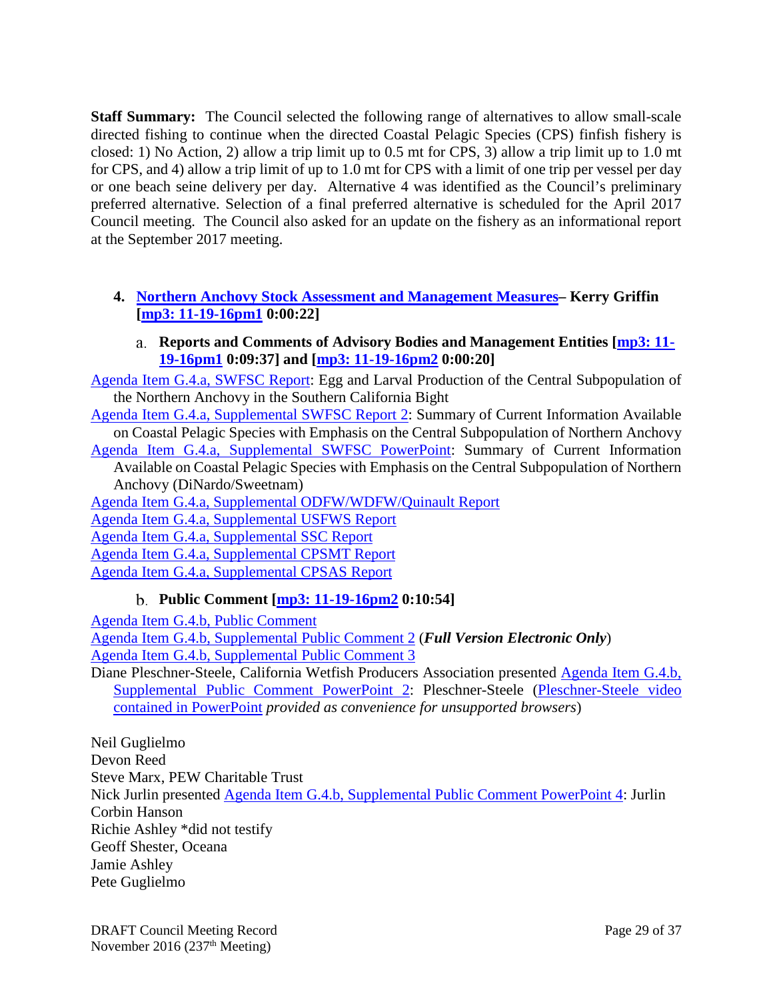**Staff Summary:** The Council selected the following range of alternatives to allow small-scale directed fishing to continue when the directed Coastal Pelagic Species (CPS) finfish fishery is closed: 1) No Action, 2) allow a trip limit up to 0.5 mt for CPS, 3) allow a trip limit up to 1.0 mt for CPS, and 4) allow a trip limit of up to 1.0 mt for CPS with a limit of one trip per vessel per day or one beach seine delivery per day. Alternative 4 was identified as the Council's preliminary preferred alternative. Selection of a final preferred alternative is scheduled for the April 2017 Council meeting. The Council also asked for an update on the fishery as an informational report at the September 2017 meeting.

### <span id="page-28-0"></span>**4. [Northern Anchovy Stock Assessment and Management Measures–](http://www.pcouncil.org/wp-content/uploads/2016/10/G4__SitSum_AnchovyStockAssmt_MM_NOV2016BB.pdf) Kerry Griffin [\[mp3: 11-19-16pm1](ftp://ftp.pcouncil.org/pub/R1611_November_2016_Recordings/11-19-16pm1Copy.mp3) 0:00:22]**

### **Reports and Comments of Advisory Bodies and Management Entities [\[mp3: 11-](ftp://ftp.pcouncil.org/pub/R1611_November_2016_Recordings/11-19-16pm1Copy.mp3) [19-16pm1](ftp://ftp.pcouncil.org/pub/R1611_November_2016_Recordings/11-19-16pm1Copy.mp3) 0:09:37] and [mp3: [11-19-16pm2](ftp://ftp.pcouncil.org/pub/R1611_November_2016_Recordings/11-19-16pm2Copy.mp3) 0:00:20]**

<span id="page-28-1"></span>[Agenda Item G.4.a, SWFSC Report:](http://www.pcouncil.org/wp-content/uploads/2016/10/G4a_SWFSC_Report_Anchovy_EggLarval_Production_NOV2016BB.pdf) Egg and Larval Production of the Central Subpopulation of the Northern Anchovy in the Southern California Bight

[Agenda Item G.4.a, Supplemental SWFSC Report 2:](http://www.pcouncil.org/wp-content/uploads/2016/11/G4a_Sup_SWFSC_Rpt2_NOV2016BB.pdf) Summary of Current Information Available on Coastal Pelagic Species with Emphasis on the Central Subpopulation of Northern Anchovy

[Agenda Item G.4.a, Supplemental SWFSC PowerPoint:](http://www.pcouncil.org/wp-content/uploads/2016/11/G4a_Sup_SWFSC_Anchovy_PPT_Sweetnam_NOV2016BB.pdf) Summary of Current Information Available on Coastal Pelagic Species with Emphasis on the Central Subpopulation of Northern Anchovy (DiNardo/Sweetnam)

[Agenda Item G.4.a, Supplemental ODFW/WDFW/Quinault Report](http://www.pcouncil.org/wp-content/uploads/2016/11/G4a_Sup_ODFW_WDFW_Quinault_Rpt_NOV2016BB.pdf)

[Agenda Item G.4.a, Supplemental USFWS Report](http://www.pcouncil.org/wp-content/uploads/2016/11/G4a_Sup_USFWS_Ltr_NOV2016BB.pdf)

[Agenda Item G.4.a, Supplemental SSC Report](http://www.pcouncil.org/wp-content/uploads/2016/11/G4a_Sup_SSC_Rpt_NOV2016BB.pdf)

[Agenda Item G.4.a, Supplemental CPSMT Report](http://www.pcouncil.org/wp-content/uploads/2016/11/G4a_Sup_CPSMT_Rpt_NOV2016BB.pdf)

<span id="page-28-2"></span>[Agenda Item G.4.a, Supplemental CPSAS Report](http://www.pcouncil.org/wp-content/uploads/2016/11/G4a_Sup_CPSAS_Rpt_NOV2016BB.pdf)

### **Public Comment [\[mp3: 11-19-16pm2](ftp://ftp.pcouncil.org/pub/R1611_November_2016_Recordings/11-19-16pm2Copy.mp3) 0:10:54]**

[Agenda Item G.4.b, Public Comment](http://www.pcouncil.org/wp-content/uploads/2016/10/G4b_PubCom_NOV2016BB.pdf)

[Agenda Item G.4.b, Supplemental Public Comment 2](http://www.pcouncil.org/wp-content/uploads/2016/11/G4b_Sup_PubCom2_FULL_ELECTRONIC_ONLY_NOV2016BB.pdf) (*Full Version Electronic Only*)

[Agenda Item G.4.b, Supplemental Public Comment 3](http://www.pcouncil.org/wp-content/uploads/2016/11/G4b_Sup_PubCom3_NOV2016BB.pdf)

Diane Pleschner-Steele, California Wetfish Producers Association presented [Agenda Item G.4.b,](http://www.pcouncil.org/wp-content/uploads/2016/11/G4b_Sup_PubCom_PPT2_PleschnerSteele_NOV2016BB.pdf)  [Supplemental Public Comment PowerPoint 2:](http://www.pcouncil.org/wp-content/uploads/2016/11/G4b_Sup_PubCom_PPT2_PleschnerSteele_NOV2016BB.pdf) Pleschner-Steele [\(Pleschner-Steele video](http://www.pcouncil.org/wp-content/uploads/2016/11/Pleshner-Steel-Slide-14-Video.m4v)  [contained in PowerPoint](http://www.pcouncil.org/wp-content/uploads/2016/11/Pleshner-Steel-Slide-14-Video.m4v) *provided as convenience for unsupported browsers*)

Neil Guglielmo

Devon Reed Steve Marx, PEW Charitable Trust

Nick Jurlin presented [Agenda Item G.4.b, Supplemental Public Comment PowerPoint 4:](http://www.pcouncil.org/wp-content/uploads/2016/11/G4b_Sup_PubCom_PPT4_Jurlin_NOV2016BB.pdf) Jurlin Corbin Hanson

Richie Ashley \*did not testify

Geoff Shester, Oceana

Jamie Ashley

Pete Guglielmo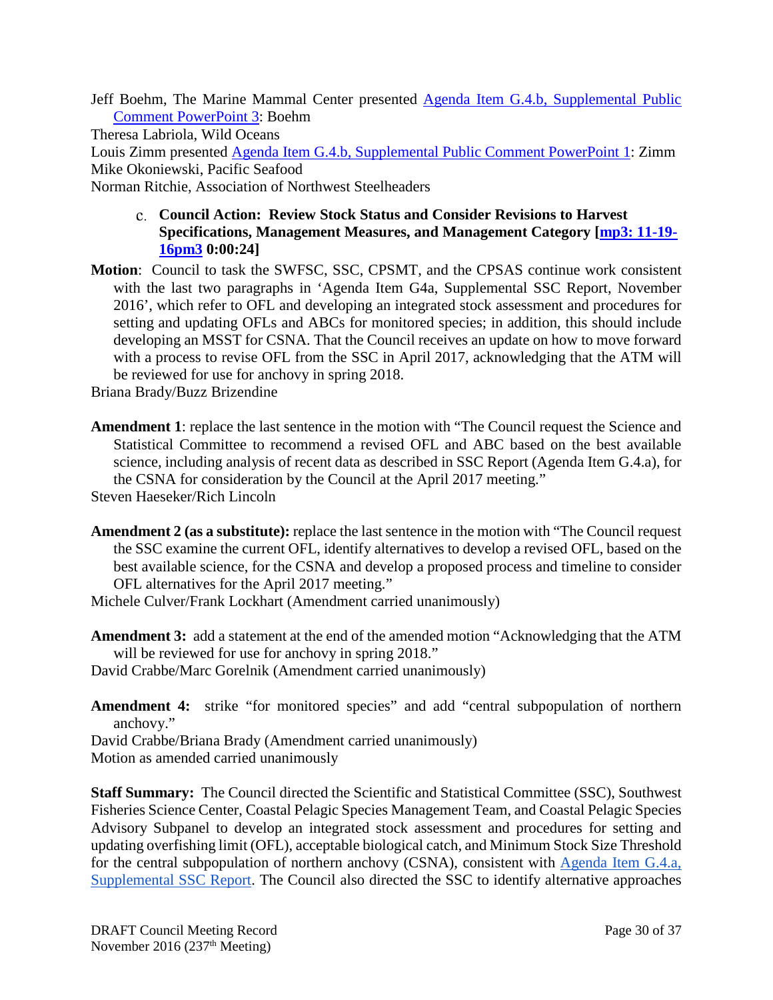Jeff Boehm, The Marine Mammal Center presented [Agenda Item G.4.b, Supplemental Public](http://www.pcouncil.org/wp-content/uploads/2016/11/G4b_Sup_PubCom_PPT3_Boehm_NOV2016BB.pdf)  [Comment PowerPoint 3:](http://www.pcouncil.org/wp-content/uploads/2016/11/G4b_Sup_PubCom_PPT3_Boehm_NOV2016BB.pdf) Boehm

Theresa Labriola, Wild Oceans

Louis Zimm presented [Agenda Item G.4.b, Supplemental Public Comment PowerPoint](http://www.pcouncil.org/wp-content/uploads/2016/11/L-Zimm-SOURCE-video-EMBEDDED-INTO-PPT-Anchovy-at-Pyramid-clip.m4v) 1: Zimm Mike Okoniewski, Pacific Seafood

<span id="page-29-0"></span>Norman Ritchie, Association of Northwest Steelheaders

### **Council Action: Review Stock Status and Consider Revisions to Harvest Specifications, Management Measures, and Management Category [\[mp3: 11-19-](ftp://ftp.pcouncil.org/pub/R1611_November_2016_Recordings/11-19-16pm3Copy.mp3) [16pm3](ftp://ftp.pcouncil.org/pub/R1611_November_2016_Recordings/11-19-16pm3Copy.mp3) 0:00:24]**

**Motion**: Council to task the SWFSC, SSC, CPSMT, and the CPSAS continue work consistent with the last two paragraphs in 'Agenda Item G4a, Supplemental SSC Report, November 2016', which refer to OFL and developing an integrated stock assessment and procedures for setting and updating OFLs and ABCs for monitored species; in addition, this should include developing an MSST for CSNA. That the Council receives an update on how to move forward with a process to revise OFL from the SSC in April 2017, acknowledging that the ATM will be reviewed for use for anchovy in spring 2018.

Briana Brady/Buzz Brizendine

**Amendment 1**: replace the last sentence in the motion with "The Council request the Science and Statistical Committee to recommend a revised OFL and ABC based on the best available science, including analysis of recent data as described in SSC Report (Agenda Item G.4.a), for the CSNA for consideration by the Council at the April 2017 meeting."

Steven Haeseker/Rich Lincoln

**Amendment 2 (as a substitute):** replace the last sentence in the motion with "The Council request the SSC examine the current OFL, identify alternatives to develop a revised OFL, based on the best available science, for the CSNA and develop a proposed process and timeline to consider OFL alternatives for the April 2017 meeting."

Michele Culver/Frank Lockhart (Amendment carried unanimously)

**Amendment 3:** add a statement at the end of the amended motion "Acknowledging that the ATM will be reviewed for use for anchovy in spring 2018."

David Crabbe/Marc Gorelnik (Amendment carried unanimously)

**Amendment 4:** strike "for monitored species" and add "central subpopulation of northern anchovy."

David Crabbe/Briana Brady (Amendment carried unanimously)

Motion as amended carried unanimously

**Staff Summary:** The Council directed the Scientific and Statistical Committee (SSC), Southwest Fisheries Science Center, Coastal Pelagic Species Management Team, and Coastal Pelagic Species Advisory Subpanel to develop an integrated stock assessment and procedures for setting and updating overfishing limit (OFL), acceptable biological catch, and Minimum Stock Size Threshold for the central subpopulation of northern anchovy (CSNA), consistent with [Agenda Item G.4.a,](http://www.pcouncil.org/wp-content/uploads/2016/11/G4a_Sup_SSC_Rpt_NOV2016BB.pdf)  [Supplemental SSC Report.](http://www.pcouncil.org/wp-content/uploads/2016/11/G4a_Sup_SSC_Rpt_NOV2016BB.pdf) The Council also directed the SSC to identify alternative approaches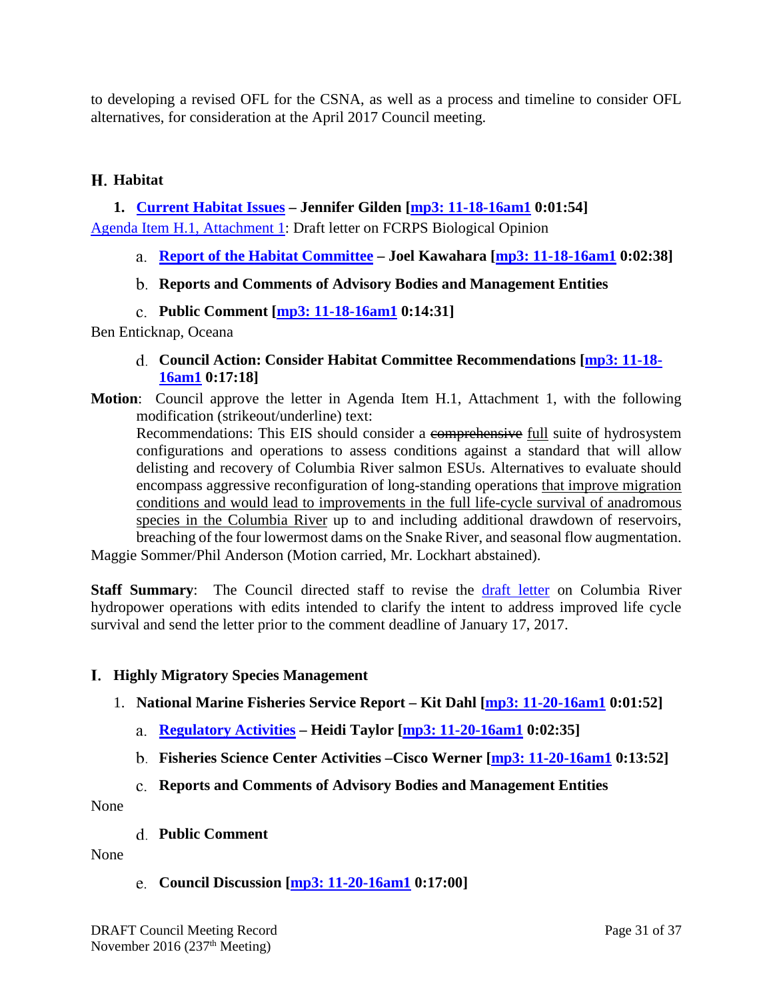to developing a revised OFL for the CSNA, as well as a process and timeline to consider OFL alternatives, for consideration at the April 2017 Council meeting.

#### <span id="page-30-0"></span>**Habitat**

### <span id="page-30-1"></span>**1. [Current Habitat Issues](http://www.pcouncil.org/wp-content/uploads/2016/10/H1_SitSum_HabitatIssues_NOV2016BB.pdf) – Jennifer Gilden [\[mp3: 11-18-16am1](ftp://ftp.pcouncil.org/pub/R1611_November_2016_Recordings/11-18-16am1Copy.mp3) 0:01:54]**

[Agenda Item H.1, Attachment 1:](http://www.pcouncil.org/wp-content/uploads/2016/10/H1_Att1_Columbia_Biop_Ltr_NOV2016BB.pdf) Draft letter on FCRPS Biological Opinion

- <span id="page-30-2"></span>**Report of the Habitat Committee – Joel Kawahara [\[mp3: 11-18-16am1](ftp://ftp.pcouncil.org/pub/R1611_November_2016_Recordings/11-18-16am1Copy.mp3) 0:02:38]**
- <span id="page-30-3"></span>**Reports and Comments of Advisory Bodies and Management Entities**
- **Public Comment [\[mp3: 11-18-16am1](ftp://ftp.pcouncil.org/pub/R1611_November_2016_Recordings/11-18-16am1Copy.mp3) 0:14:31]**

#### <span id="page-30-5"></span><span id="page-30-4"></span>Ben Enticknap, Oceana

- **Council Action: Consider Habitat Committee Recommendations [\[mp3: 11-18-](ftp://ftp.pcouncil.org/pub/R1611_November_2016_Recordings/11-18-16am1Copy.mp3) [16am1](ftp://ftp.pcouncil.org/pub/R1611_November_2016_Recordings/11-18-16am1Copy.mp3) 0:17:18]**
- **Motion**: Council approve the letter in Agenda Item H.1, Attachment 1, with the following modification (strikeout/underline) text:

Recommendations: This EIS should consider a comprehensive full suite of hydrosystem configurations and operations to assess conditions against a standard that will allow delisting and recovery of Columbia River salmon ESUs. Alternatives to evaluate should encompass aggressive reconfiguration of long-standing operations that improve migration conditions and would lead to improvements in the full life-cycle survival of anadromous species in the Columbia River up to and including additional drawdown of reservoirs, breaching of the four lowermost dams on the Snake River, and seasonal flow augmentation.

Maggie Sommer/Phil Anderson (Motion carried, Mr. Lockhart abstained).

**Staff Summary**: The Council directed staff to revise the [draft letter](http://www.pcouncil.org/wp-content/uploads/2016/10/H1_Att1_Columbia_Biop_Ltr_NOV2016BB.pdf) on Columbia River hydropower operations with edits intended to clarify the intent to address improved life cycle survival and send the letter prior to the comment deadline of January 17, 2017.

#### <span id="page-30-6"></span>**Highly Migratory Species Management**

- <span id="page-30-9"></span><span id="page-30-8"></span><span id="page-30-7"></span>1. **[National Marine Fisheries Service Report](http://www.pcouncil.org/wp-content/uploads/2016/10/I1__SitSum_NMFS_Rpt_HMS_NOV2016BB.pdf) – Kit Dahl [\[mp3: 11-20-16am1](ftp://ftp.pcouncil.org/pub/R1611_November_2016_Recordings/11-20-16am1Copy.mp3) 0:01:52]**
	- **[Regulatory Activities](http://www.pcouncil.org/wp-content/uploads/2016/10/I1a_NMFS_Rpt_RegMatters_NOV2016BB.pdf) – Heidi Taylor [\[mp3: 11-20-16am1](ftp://ftp.pcouncil.org/pub/R1611_November_2016_Recordings/11-20-16am1Copy.mp3) 0:02:35]**
	- **Fisheries Science Center Activities –Cisco Werner [\[mp3: 11-20-16am1](ftp://ftp.pcouncil.org/pub/R1611_November_2016_Recordings/11-20-16am1Copy.mp3) 0:13:52]**
	- **Reports and Comments of Advisory Bodies and Management Entities**

<span id="page-30-11"></span><span id="page-30-10"></span>None

**Public Comment**

<span id="page-30-12"></span>None

**Council Discussion [\[mp3: 11-20-16am1](ftp://ftp.pcouncil.org/pub/R1611_November_2016_Recordings/11-20-16am1Copy.mp3) 0:17:00]**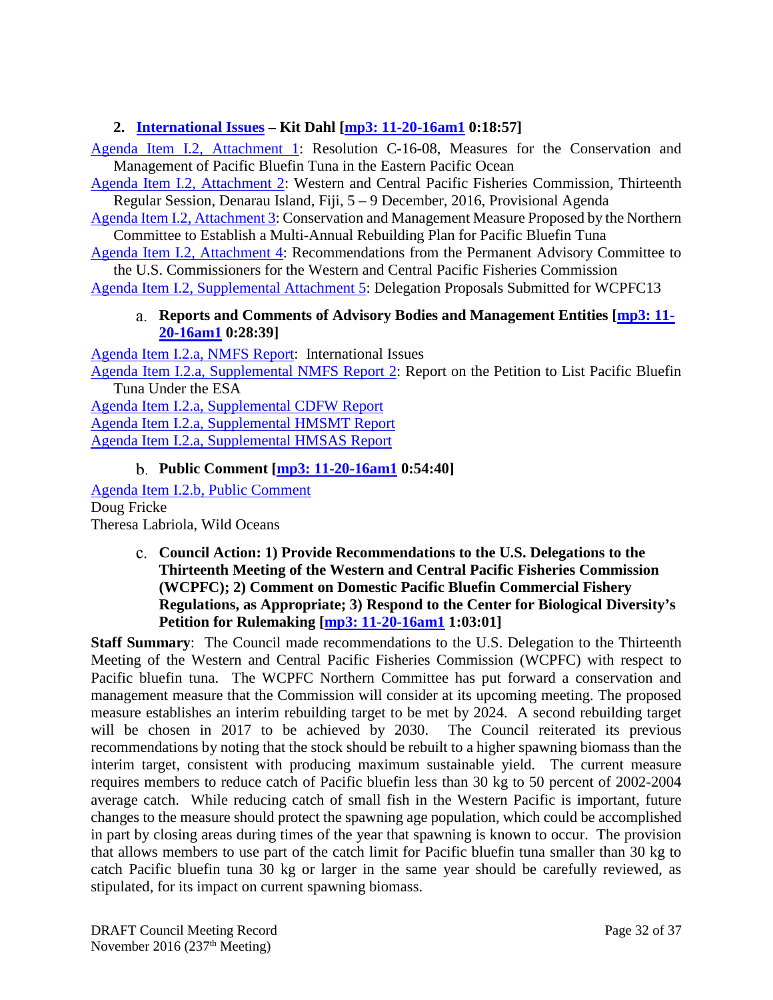### <span id="page-31-0"></span>**2. [International Issues](http://www.pcouncil.org/wp-content/uploads/2016/10/I2__SitSum_Intl_HMS_NOV2016BB.pdf) – Kit Dahl [\[mp3: 11-20-16am1](ftp://ftp.pcouncil.org/pub/R1611_November_2016_Recordings/11-20-16am1Copy.mp3) 0:18:57]**

[Agenda Item I.2, Attachment 1:](http://www.pcouncil.org/wp-content/uploads/2016/10/I2_Att1_C-16-08-Conservation-and-management-of-PBT_NOV2016BB.pdf) Resolution C-16-08, Measures for the Conservation and Management of Pacific Bluefin Tuna in the Eastern Pacific Ocean

[Agenda Item I.2, Attachment 2:](http://www.pcouncil.org/wp-content/uploads/2016/10/I2_Att2_WCPFC13-2016-01ProvisionalAgenda_NOV2016BB.pdf) Western and Central Pacific Fisheries Commission, Thirteenth Regular Session, Denarau Island, Fiji, 5 – 9 December, 2016, Provisional Agenda

[Agenda Item I.2, Attachment 3:](http://www.pcouncil.org/wp-content/uploads/2016/10/I2_Att3_NC_PBF_CMM_NOV2016BB.pdf) Conservation and Management Measure Proposed by the Northern Committee to Establish a Multi-Annual Rebuilding Plan for Pacific Bluefin Tuna

[Agenda Item I.2, Attachment 4:](http://www.pcouncil.org/wp-content/uploads/2016/10/I2_Att4_Recommendations_PAC_draftOct112016_NOV2016BB.pdf) Recommendations from the Permanent Advisory Committee to the U.S. Commissioners for the Western and Central Pacific Fisheries Commission

<span id="page-31-1"></span>[Agenda Item I.2, Supplemental Attachment 5:](http://www.pcouncil.org/wp-content/uploads/2016/11/I2_Sup_Att5_WCPFC13_Proposals_NOV2016BB.pdf) Delegation Proposals Submitted for WCPFC13

#### **Reports and Comments of Advisory Bodies and Management Entities [\[mp3: 11-](ftp://ftp.pcouncil.org/pub/R1611_November_2016_Recordings/11-20-16am1Copy.mp3) [20-16am1](ftp://ftp.pcouncil.org/pub/R1611_November_2016_Recordings/11-20-16am1Copy.mp3) 0:28:39]**

[Agenda Item I.2.a, NMFS Report:](http://www.pcouncil.org/wp-content/uploads/2016/10/I2a_NMFS_Rpt_IntlIssues_NOV2016BB.pdf) International Issues

[Agenda Item I.2.a, Supplemental NMFS Report 2:](http://www.pcouncil.org/wp-content/uploads/2016/11/I2a_Sup_NMFS_Rpt2_PetitionPBF_NOV2016BB.pdf) Report on the Petition to List Pacific Bluefin Tuna Under the ESA

[Agenda Item I.2.a, Supplemental CDFW Report](http://www.pcouncil.org/wp-content/uploads/2016/11/I2a_Sup_CDFW_Rpt_NOV2016BB.pdf) [Agenda Item I.2.a, Supplemental HMSMT Report](http://www.pcouncil.org/wp-content/uploads/2016/11/I2a_Sup_HMSMT_Rpt_Intl_NOV2016BB.pdf) [Agenda Item I.2.a, Supplemental HMSAS Report](http://www.pcouncil.org/wp-content/uploads/2016/11/I2a_Sup_HMSAS_Rpt_Intl_NOV2016BB.pdf)

## **Public Comment [\[mp3: 11-20-16am1](ftp://ftp.pcouncil.org/pub/R1611_November_2016_Recordings/11-20-16am1Copy.mp3) 0:54:40]**

<span id="page-31-2"></span>[Agenda Item I.2.b, Public Comment](http://www.pcouncil.org/wp-content/uploads/2016/10/I2b_PubCom_NOV2016BB.pdf) Doug Fricke Theresa Labriola, Wild Oceans

#### <span id="page-31-3"></span>**Council Action: 1) Provide Recommendations to the U.S. Delegations to the Thirteenth Meeting of the Western and Central Pacific Fisheries Commission (WCPFC); 2) Comment on Domestic Pacific Bluefin Commercial Fishery Regulations, as Appropriate; 3) Respond to the Center for Biological Diversity's Petition for Rulemaking [\[mp3: 11-20-16am1](ftp://ftp.pcouncil.org/pub/R1611_November_2016_Recordings/11-20-16am1Copy.mp3) 1:03:01]**

**Staff Summary:** The Council made recommendations to the U.S. Delegation to the Thirteenth Meeting of the Western and Central Pacific Fisheries Commission (WCPFC) with respect to Pacific bluefin tuna. The WCPFC Northern Committee has put forward a conservation and management measure that the Commission will consider at its upcoming meeting. The proposed measure establishes an interim rebuilding target to be met by 2024. A second rebuilding target will be chosen in 2017 to be achieved by 2030. The Council reiterated its previous recommendations by noting that the stock should be rebuilt to a higher spawning biomass than the interim target, consistent with producing maximum sustainable yield. The current measure requires members to reduce catch of Pacific bluefin less than 30 kg to 50 percent of 2002-2004 average catch. While reducing catch of small fish in the Western Pacific is important, future changes to the measure should protect the spawning age population, which could be accomplished in part by closing areas during times of the year that spawning is known to occur. The provision that allows members to use part of the catch limit for Pacific bluefin tuna smaller than 30 kg to catch Pacific bluefin tuna 30 kg or larger in the same year should be carefully reviewed, as stipulated, for its impact on current spawning biomass.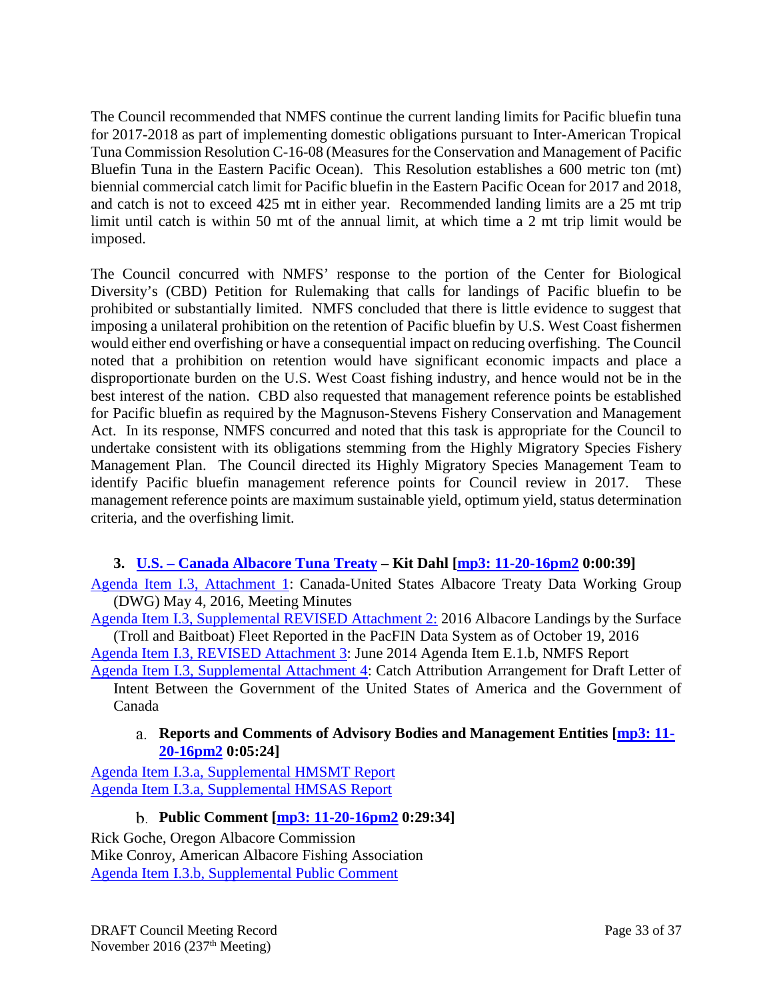The Council recommended that NMFS continue the current landing limits for Pacific bluefin tuna for 2017-2018 as part of implementing domestic obligations pursuant to Inter-American Tropical Tuna Commission Resolution C-16-08 (Measures for the Conservation and Management of Pacific Bluefin Tuna in the Eastern Pacific Ocean). This Resolution establishes a 600 metric ton (mt) biennial commercial catch limit for Pacific bluefin in the Eastern Pacific Ocean for 2017 and 2018, and catch is not to exceed 425 mt in either year. Recommended landing limits are a 25 mt trip limit until catch is within 50 mt of the annual limit, at which time a 2 mt trip limit would be imposed.

The Council concurred with NMFS' response to the portion of the Center for Biological Diversity's (CBD) Petition for Rulemaking that calls for landings of Pacific bluefin to be prohibited or substantially limited. NMFS concluded that there is little evidence to suggest that imposing a unilateral prohibition on the retention of Pacific bluefin by U.S. West Coast fishermen would either end overfishing or have a consequential impact on reducing overfishing. The Council noted that a prohibition on retention would have significant economic impacts and place a disproportionate burden on the U.S. West Coast fishing industry, and hence would not be in the best interest of the nation. CBD also requested that management reference points be established for Pacific bluefin as required by the Magnuson-Stevens Fishery Conservation and Management Act. In its response, NMFS concurred and noted that this task is appropriate for the Council to undertake consistent with its obligations stemming from the Highly Migratory Species Fishery Management Plan. The Council directed its Highly Migratory Species Management Team to identify Pacific bluefin management reference points for Council review in 2017. These management reference points are maximum sustainable yield, optimum yield, status determination criteria, and the overfishing limit.

## <span id="page-32-0"></span>**3. U.S. – [Canada Albacore Tuna Treaty](http://www.pcouncil.org/wp-content/uploads/2016/11/I3__SitSumREVISED_US-Canada_Albacore_Treaty_NOV2016BB.pdf) – Kit Dahl [\[mp3: 11-20-16pm2](ftp://ftp.pcouncil.org/pub/R1611_November_2016_Recordings/11-20-16pm2Copy.mp3) 0:00:39]**

[Agenda Item I.3, Attachment 1:](http://www.pcouncil.org/wp-content/uploads/2016/10/I3_Att1_Mtg_minutes_DWG_ALB_treaty_20160504_final_NOV2016BB.pdf) Canada-United States Albacore Treaty Data Working Group (DWG) May 4, 2016, Meeting Minutes

[Agenda Item I.3, Supplemental REVISED Attachment 2:](http://www.pcouncil.org/wp-content/uploads/2016/11/I3_Sup_REVISED_Att2_albacore_landings_NOV2016BB.pdf) 2016 Albacore Landings by the Surface (Troll and Baitboat) Fleet Reported in the PacFIN Data System as of October 19, 2016

[Agenda Item I.3, REVISED Attachment 3:](http://www.pcouncil.org/wp-content/uploads/2016/11/I3_Att3REVISED_June14NMFS_Rpt_NOV2016BB.pdf) June 2014 Agenda Item E.1.b, NMFS Report

[Agenda Item I.3, Supplemental Attachment 4:](http://www.pcouncil.org/wp-content/uploads/2016/11/I3_Sup_Att4_CatchAttribution_NOV2016BB.pdf) Catch Attribution Arrangement for Draft Letter of Intent Between the Government of the United States of America and the Government of Canada

### <span id="page-32-1"></span>**Reports and Comments of Advisory Bodies and Management Entities [\[mp3: 11-](ftp://ftp.pcouncil.org/pub/R1611_November_2016_Recordings/11-20-16pm2Copy.mp3) [20-16pm2](ftp://ftp.pcouncil.org/pub/R1611_November_2016_Recordings/11-20-16pm2Copy.mp3) 0:05:24]**

[Agenda Item I.3.a, Supplemental HMSMT Report](http://www.pcouncil.org/wp-content/uploads/2016/11/I3a_Sup_HMSMT_Rpt_Treaty_NOV2016BB.pdf) [Agenda Item I.3.a, Supplemental HMSAS Report](http://www.pcouncil.org/wp-content/uploads/2016/11/I3a_Sup_HMSAS_Rpt_Treaty_NOV2016BB.pdf)

## **Public Comment [\[mp3: 11-20-16pm2](ftp://ftp.pcouncil.org/pub/R1611_November_2016_Recordings/11-20-16pm2Copy.mp3) 0:29:34]**

<span id="page-32-2"></span>Rick Goche, Oregon Albacore Commission Mike Conroy, American Albacore Fishing Association [Agenda Item I.3.b, Supplemental Public Comment](http://www.pcouncil.org/wp-content/uploads/2016/11/I3b_Sup_PubCom_NOV2016BB.pdf)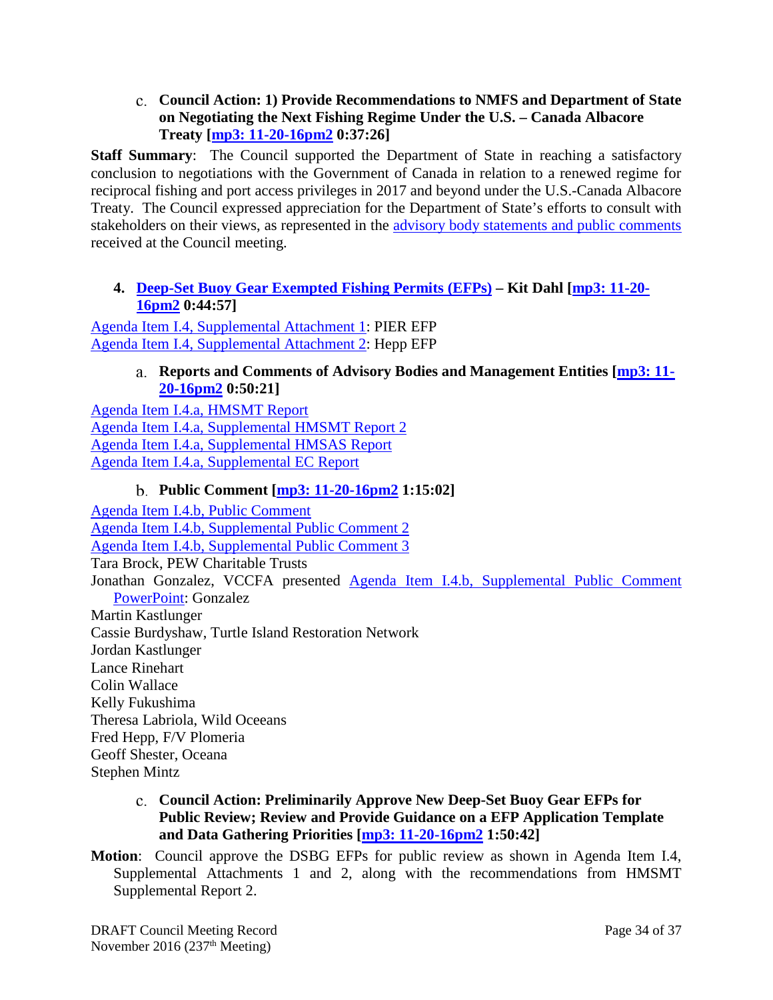<span id="page-33-0"></span>**Council Action: 1) Provide Recommendations to NMFS and Department of State on Negotiating the Next Fishing Regime Under the U.S. – Canada Albacore Treaty [\[mp3: 11-20-16pm2](ftp://ftp.pcouncil.org/pub/R1611_November_2016_Recordings/11-20-16pm2Copy.mp3) 0:37:26]**

**Staff Summary**: The Council supported the Department of State in reaching a satisfactory conclusion to negotiations with the Government of Canada in relation to a renewed regime for reciprocal fishing and port access privileges in 2017 and beyond under the U.S.-Canada Albacore Treaty. The Council expressed appreciation for the Department of State's efforts to consult with stakeholders on their views, as represented in the [advisory body statements and public comments](http://www.pcouncil.org/resources/archives/briefing-books/november-2016-briefing-book/#hmsNov2016) received at the Council meeting.

### <span id="page-33-1"></span>**4. [Deep-Set Buoy Gear Exempted Fishing Permits \(EFPs\)](http://www.pcouncil.org/wp-content/uploads/2016/10/I4__Sitsum_DSBG_EFPs_NOV2016BB.pdf) – Kit Dahl [\[mp3: 11-20-](ftp://ftp.pcouncil.org/pub/R1611_November_2016_Recordings/11-20-16pm2Copy.mp3) [16pm2](ftp://ftp.pcouncil.org/pub/R1611_November_2016_Recordings/11-20-16pm2Copy.mp3) 0:44:57]**

<span id="page-33-2"></span>[Agenda Item I.4, Supplemental Attachment 1:](http://www.pcouncil.org/wp-content/uploads/2016/11/I4_Sup_Att1_PIER_EFP_NOV2016BB.pdf) PIER EFP [Agenda Item I.4, Supplemental Attachment 2:](http://www.pcouncil.org/wp-content/uploads/2016/11/I4_Sup_Att2_Hepp_EFP_NOV2016BB.pdf) Hepp EFP

#### **Reports and Comments of Advisory Bodies and Management Entities [\[mp3: 11-](ftp://ftp.pcouncil.org/pub/R1611_November_2016_Recordings/11-20-16pm2Copy.mp3) [20-16pm2](ftp://ftp.pcouncil.org/pub/R1611_November_2016_Recordings/11-20-16pm2Copy.mp3) 0:50:21]**

[Agenda Item I.4.a, HMSMT Report](http://www.pcouncil.org/wp-content/uploads/2016/10/I4a_HMSMT_Rpt_DSBG_EFP_InitlRvw_and_App_Template_NOV2016BB.pdf) [Agenda Item I.4.a, Supplemental HMSMT Report 2](http://www.pcouncil.org/wp-content/uploads/2016/11/I4a_Sup_HMSMT_Rpt2_DSBG_EFPs_NOV2016BB.pdf) [Agenda Item I.4.a, Supplemental HMSAS Report](http://www.pcouncil.org/wp-content/uploads/2016/11/I4a_HMSAS_Rpt_NOV2016BB.pdf) [Agenda Item I.4.a, Supplemental EC Report](http://www.pcouncil.org/wp-content/uploads/2016/11/I4a_Sup_EC_Rpt_NOV2016BB.pdf)

## **Public Comment [\[mp3: 11-20-16pm2](ftp://ftp.pcouncil.org/pub/R1611_November_2016_Recordings/11-20-16pm2Copy.mp3) 1:15:02]**

<span id="page-33-3"></span>[Agenda Item I.4.b, Public Comment](http://www.pcouncil.org/wp-content/uploads/2016/10/I4b_PubCom_NOV2016BB.pdf) [Agenda Item I.4.b, Supplemental Public Comment 2](http://www.pcouncil.org/wp-content/uploads/2016/11/I4b_Sup_PubCom2_NOV2016BB.pdf) [Agenda Item I.4.b, Supplemental Public Comment 3](http://www.pcouncil.org/wp-content/uploads/2016/11/I4b_Sup_PubCom3_NOV2016BB.pdf) Tara Brock, PEW Charitable Trusts Jonathan Gonzalez, VCCFA presented [Agenda Item I.4.b, Supplemental Public Comment](http://www.pcouncil.org/wp-content/uploads/2016/11/I4b_Sup_PubCom_PPT_Gonzalez_NOV2016BB.pdf)  [PowerPoint:](http://www.pcouncil.org/wp-content/uploads/2016/11/I4b_Sup_PubCom_PPT_Gonzalez_NOV2016BB.pdf) Gonzalez Martin Kastlunger Cassie Burdyshaw, Turtle Island Restoration Network Jordan Kastlunger Lance Rinehart Colin Wallace Kelly Fukushima Theresa Labriola, Wild Oceeans Fred Hepp, F/V Plomeria Geoff Shester, Oceana Stephen Mintz

- <span id="page-33-4"></span>**Council Action: Preliminarily Approve New Deep-Set Buoy Gear EFPs for Public Review; Review and Provide Guidance on a EFP Application Template and Data Gathering Priorities [\[mp3: 11-20-16pm2](ftp://ftp.pcouncil.org/pub/R1611_November_2016_Recordings/11-20-16pm2Copy.mp3) 1:50:42]**
- **Motion**: Council approve the DSBG EFPs for public review as shown in Agenda Item I.4, Supplemental Attachments 1 and 2, along with the recommendations from HMSMT Supplemental Report 2.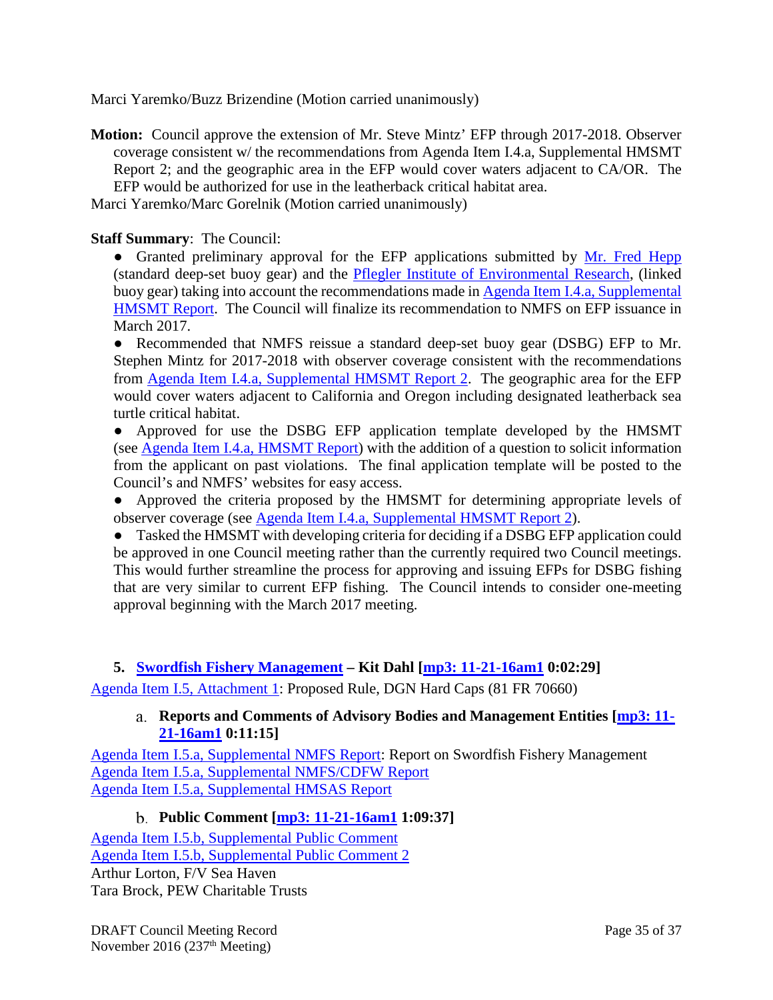Marci Yaremko/Buzz Brizendine (Motion carried unanimously)

**Motion:** Council approve the extension of Mr. Steve Mintz' EFP through 2017-2018. Observer coverage consistent w/ the recommendations from Agenda Item I.4.a, Supplemental HMSMT Report 2; and the geographic area in the EFP would cover waters adjacent to CA/OR. The EFP would be authorized for use in the leatherback critical habitat area.

Marci Yaremko/Marc Gorelnik (Motion carried unanimously)

### **Staff Summary**: The Council:

• Granted preliminary approval for the EFP applications submitted by [Mr. Fred Hepp](http://www.pcouncil.org/wp-content/uploads/2016/11/I4_Sup_Att2_Hepp_EFP_NOV2016BB.pdf) (standard deep-set buoy gear) and the [Pflegler Institute of Environmental Research,](http://www.pcouncil.org/wp-content/uploads/2016/11/I4_Sup_Att1_PIER_EFP_NOV2016BB.pdf) (linked buoy gear) taking into account the recommendations made in Agenda Item I.4.a, Supplemental [HMSMT Report.](http://www.pcouncil.org/wp-content/uploads/2016/11/I4a_Sup_HMSMT_Rpt2_DSBG_EFPs_NOV2016BB.pdf) The Council will finalize its recommendation to NMFS on EFP issuance in March 2017.

● Recommended that NMFS reissue a standard deep-set buoy gear (DSBG) EFP to Mr. Stephen Mintz for 2017-2018 with observer coverage consistent with the recommendations from [Agenda Item I.4.a, Supplemental HMSMT Report 2.](http://www.pcouncil.org/wp-content/uploads/2016/11/I4a_Sup_HMSMT_Rpt2_DSBG_EFPs_NOV2016BB.pdf) The geographic area for the EFP would cover waters adjacent to California and Oregon including designated leatherback sea turtle critical habitat.

• Approved for use the DSBG EFP application template developed by the HMSMT (see [Agenda Item I.4.a, HMSMT Report\)](http://www.pcouncil.org/wp-content/uploads/2016/10/I4a_HMSMT_Rpt_DSBG_EFP_InitlRvw_and_App_Template_NOV2016BB.pdf) with the addition of a question to solicit information from the applicant on past violations. The final application template will be posted to the Council's and NMFS' websites for easy access.

● Approved the criteria proposed by the HMSMT for determining appropriate levels of observer coverage (see [Agenda Item I.4.a, Supplemental HMSMT Report 2\)](http://www.pcouncil.org/wp-content/uploads/2016/11/I4a_Sup_HMSMT_Rpt2_DSBG_EFPs_NOV2016BB.pdf).

● Tasked the HMSMT with developing criteria for deciding if a DSBG EFP application could be approved in one Council meeting rather than the currently required two Council meetings. This would further streamline the process for approving and issuing EFPs for DSBG fishing that are very similar to current EFP fishing. The Council intends to consider one-meeting approval beginning with the March 2017 meeting.

### <span id="page-34-0"></span>**5. [Swordfish Fishery Management](http://www.pcouncil.org/wp-content/uploads/2016/10/I5__SitSum_Swordfish_Mgmt_NOV2016BB.pdf) – Kit Dahl [\[mp3: 11-21-16am1](ftp://ftp.pcouncil.org/pub/R1611_November_2016_Recordings/11-21-16am1Copy.mp3) 0:02:29]**

<span id="page-34-1"></span>[Agenda Item I.5, Attachment 1:](http://www.pcouncil.org/wp-content/uploads/2016/10/I5_Att1_HardCapsProposedRule_NOV2016BB.pdf) Proposed Rule, DGN Hard Caps (81 FR 70660)

### **Reports and Comments of Advisory Bodies and Management Entities [\[mp3: 11-](ftp://ftp.pcouncil.org/pub/R1611_November_2016_Recordings/11-21-16am1Copy.mp3) [21-16am1](ftp://ftp.pcouncil.org/pub/R1611_November_2016_Recordings/11-21-16am1Copy.mp3) 0:11:15]**

[Agenda Item I.5.a, Supplemental NMFS Report:](http://www.pcouncil.org/wp-content/uploads/2016/11/I5a_Sup_NMFS_Rpt_Swordfish_Mgmt_NOV2016BB.pdf) Report on Swordfish Fishery Management [Agenda Item I.5.a, Supplemental NMFS/CDFW Report](http://www.pcouncil.org/wp-content/uploads/2016/11/I5a_Sup_NMFS-CDFW_Rpt_DGN_PermitSystem_NOV2016BB.pdf) [Agenda Item I.5.a, Supplemental HMSAS Report](http://www.pcouncil.org/wp-content/uploads/2016/11/I5a_Sup_HMSAS_Rpt_Swordfish_NOV2016BB.pdf)

## **Public Comment [\[mp3: 11-21-16am1](ftp://ftp.pcouncil.org/pub/R1611_November_2016_Recordings/11-21-16am1Copy.mp3) 1:09:37]**

<span id="page-34-2"></span>[Agenda Item I.5.b, Supplemental Public Comment](http://www.pcouncil.org/wp-content/uploads/2016/11/I5b_Sup_PubCom_NOV2016BB.pdf) [Agenda Item I.5.b, Supplemental Public Comment 2](http://www.pcouncil.org/wp-content/uploads/2016/11/I5b_Sup_PubCom2_NOV2016BB.pdf) Arthur Lorton, F/V Sea Haven Tara Brock, PEW Charitable Trusts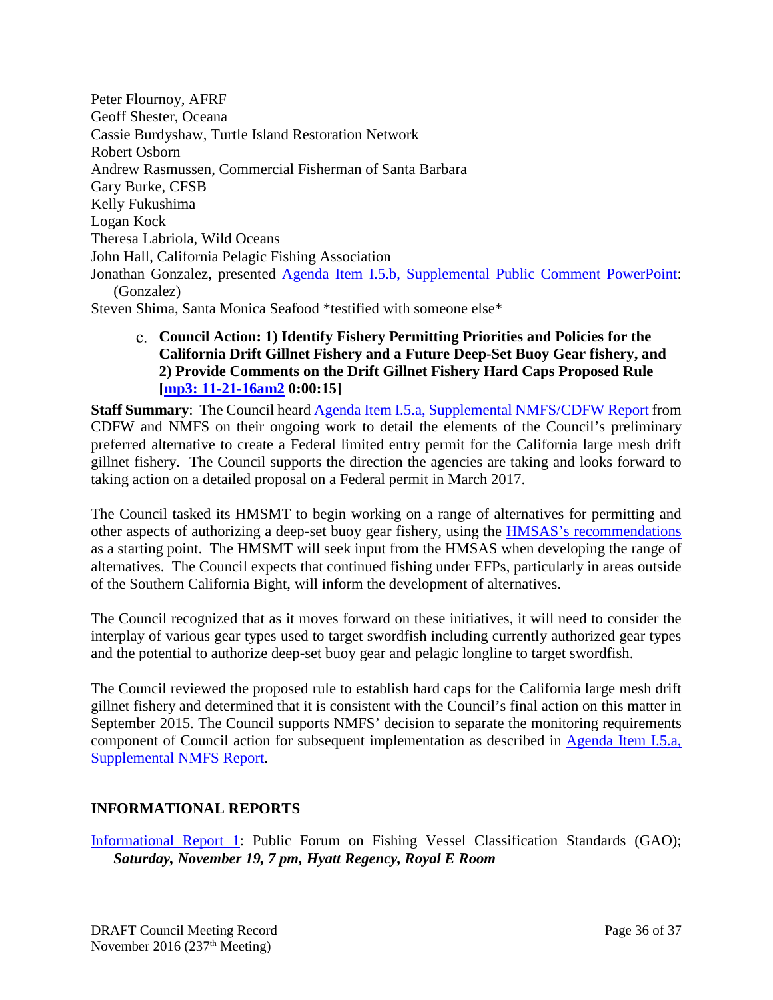Peter Flournoy, AFRF Geoff Shester, Oceana Cassie Burdyshaw, Turtle Island Restoration Network Robert Osborn Andrew Rasmussen, Commercial Fisherman of Santa Barbara Gary Burke, CFSB Kelly Fukushima Logan Kock Theresa Labriola, Wild Oceans John Hall, California Pelagic Fishing Association Jonathan Gonzalez, presented [Agenda Item I.5.b, Supplemental Public Comment PowerPoint:](http://www.pcouncil.org/wp-content/uploads/2016/11/I5b_Sup_PubCom_PPT_Gonzalez_NOV2016BB.pdf) (Gonzalez) Steven Shima, Santa Monica Seafood \*testified with someone else\*

<span id="page-35-0"></span>**Council Action: 1) Identify Fishery Permitting Priorities and Policies for the California Drift Gillnet Fishery and a Future Deep-Set Buoy Gear fishery, and 2) Provide Comments on the Drift Gillnet Fishery Hard Caps Proposed Rule [\[mp3: 11-21-16am2](ftp://ftp.pcouncil.org/pub/R1611_November_2016_Recordings/11-21-16am2Copy.mp3) 0:00:15]**

**Staff Summary:** The Council heard [Agenda Item I.5.a, Supplemental NMFS/CDFW Report](http://www.pcouncil.org/wp-content/uploads/2016/11/I5a_Sup_NMFS-CDFW_Rpt_DGN_PermitSystem_NOV2016BB.pdf) from CDFW and NMFS on their ongoing work to detail the elements of the Council's preliminary preferred alternative to create a Federal limited entry permit for the California large mesh drift gillnet fishery. The Council supports the direction the agencies are taking and looks forward to taking action on a detailed proposal on a Federal permit in March 2017.

The Council tasked its HMSMT to begin working on a range of alternatives for permitting and other aspects of authorizing a deep-set buoy gear fishery, using the [HMSAS's recommendations](http://www.pcouncil.org/wp-content/uploads/2016/11/I5a_Sup_HMSAS_Rpt_Swordfish_NOV2016BB.pdf) as a starting point. The HMSMT will seek input from the HMSAS when developing the range of alternatives. The Council expects that continued fishing under EFPs, particularly in areas outside of the Southern California Bight, will inform the development of alternatives.

The Council recognized that as it moves forward on these initiatives, it will need to consider the interplay of various gear types used to target swordfish including currently authorized gear types and the potential to authorize deep-set buoy gear and pelagic longline to target swordfish.

The Council reviewed the proposed rule to establish hard caps for the California large mesh drift gillnet fishery and determined that it is consistent with the Council's final action on this matter in September 2015. The Council supports NMFS' decision to separate the monitoring requirements component of Council action for subsequent implementation as described in [Agenda Item I.5.a,](http://www.pcouncil.org/wp-content/uploads/2016/11/I5a_Sup_NMFS_Rpt_Swordfish_Mgmt_NOV2016BB.pdf)  [Supplemental NMFS Report.](http://www.pcouncil.org/wp-content/uploads/2016/11/I5a_Sup_NMFS_Rpt_Swordfish_Mgmt_NOV2016BB.pdf)

## <span id="page-35-1"></span>**INFORMATIONAL REPORTS**

[Informational Report 1:](http://www.pcouncil.org/wp-content/uploads/2016/10/IR1_GAO_Vessel_Classification_NOV2016BB.pdf) Public Forum on Fishing Vessel Classification Standards (GAO); *Saturday, November 19, 7 pm, Hyatt Regency, Royal E Room*